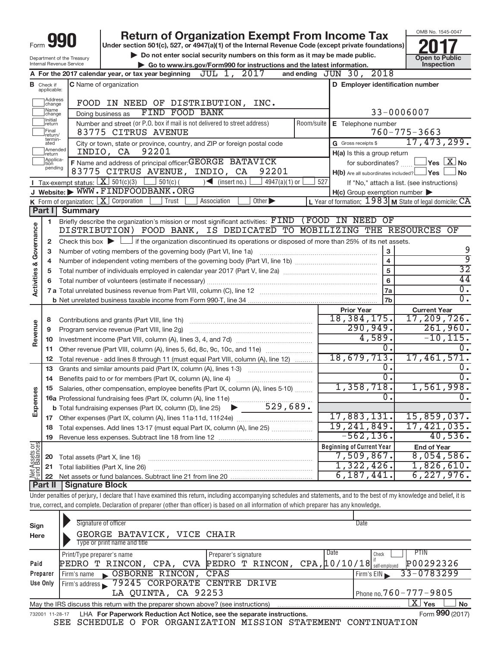|                                  |                                                         |                            | <b>Return of Organization Exempt From Income Tax</b>                                                                                                                       |                                                                                                                    |                  | OMB No. 1545-0047                                         |  |  |
|----------------------------------|---------------------------------------------------------|----------------------------|----------------------------------------------------------------------------------------------------------------------------------------------------------------------------|--------------------------------------------------------------------------------------------------------------------|------------------|-----------------------------------------------------------|--|--|
|                                  |                                                         |                            | Under section 501(c), 527, or 4947(a)(1) of the Internal Revenue Code (except private foundations)                                                                         |                                                                                                                    |                  |                                                           |  |  |
|                                  |                                                         | Department of the Treasury | Do not enter social security numbers on this form as it may be made public.                                                                                                |                                                                                                                    |                  | <b>Open to Public</b>                                     |  |  |
|                                  |                                                         | Internal Revenue Service   | Go to www.irs.gov/Form990 for instructions and the latest information.<br>A For the 2017 calendar year, or tax year beginning $JUL$ 1, $2017$                              | and ending JUN 30, 2018                                                                                            |                  | Inspection                                                |  |  |
| D Employer identification number |                                                         |                            |                                                                                                                                                                            |                                                                                                                    |                  |                                                           |  |  |
|                                  | C Name of organization<br><b>B</b> Check if applicable: |                            |                                                                                                                                                                            |                                                                                                                    |                  |                                                           |  |  |
|                                  | Address<br> change                                      |                            | FOOD IN NEED OF DISTRIBUTION, INC.                                                                                                                                         |                                                                                                                    |                  |                                                           |  |  |
|                                  | Name<br>change                                          |                            | FIND FOOD BANK<br>Doing business as                                                                                                                                        |                                                                                                                    |                  | 33-0006007                                                |  |  |
|                                  | Initial<br>return                                       |                            | Number and street (or P.O. box if mail is not delivered to street address)                                                                                                 | Room/suite   E Telephone number                                                                                    |                  |                                                           |  |  |
|                                  | Final<br>return/                                        |                            | 83775 CITRUS AVENUE                                                                                                                                                        |                                                                                                                    |                  | $760 - 775 - 3663$                                        |  |  |
|                                  | termin-<br>ated                                         |                            | City or town, state or province, country, and ZIP or foreign postal code                                                                                                   | G Gross receipts \$                                                                                                |                  | 17,473,299.                                               |  |  |
|                                  | Amended<br>Ireturn                                      |                            | 92201<br>INDIO, CA                                                                                                                                                         | H(a) Is this a group return                                                                                        |                  |                                                           |  |  |
|                                  | Applica-<br>Ition<br>pending                            |                            | F Name and address of principal officer: GEORGE BATAVICK                                                                                                                   | for subordinates?                                                                                                  |                  | $\sqrt{}$ Yes $\left\lfloor \frac{X}{X} \right\rfloor$ No |  |  |
|                                  |                                                         |                            | 92201<br>83775 CITRUS AVENUE,<br>INDIO, CA                                                                                                                                 | $H(b)$ Are all subordinates included? $\Box$ Yes                                                                   |                  | ∫No                                                       |  |  |
|                                  |                                                         |                            | Tax-exempt status: $X \overline{301(c)(3)}$<br>$\frac{1}{2}$ 501(c) (<br>$\sqrt{\frac{1}{1}}$ (insert no.)<br>$4947(a)(1)$ or<br>Website: WWW.FINDFOODBANK.ORG             | 527                                                                                                                |                  | If "No," attach a list. (see instructions)                |  |  |
|                                  |                                                         |                            | K Form of organization: $X$ Corporation<br>Trust<br>Other ><br>Association                                                                                                 | $H(c)$ Group exemption number $\blacktriangleright$<br>L Year of formation: $1983$ M State of legal domicile: $CA$ |                  |                                                           |  |  |
|                                  | Part I                                                  | <b>Summary</b>             |                                                                                                                                                                            |                                                                                                                    |                  |                                                           |  |  |
|                                  | 1.                                                      |                            | Briefly describe the organization's mission or most significant activities: FIND (FOOD IN NEED OF                                                                          |                                                                                                                    |                  |                                                           |  |  |
| Governance                       |                                                         |                            | DISTRIBUTION) FOOD BANK, IS DEDICATED TO MOBILIZING THE RESOURCES OF                                                                                                       |                                                                                                                    |                  |                                                           |  |  |
|                                  | 2                                                       |                            | Check this box $\blacktriangleright$ $\Box$ if the organization discontinued its operations or disposed of more than 25% of its net assets.                                |                                                                                                                    |                  |                                                           |  |  |
|                                  | 3                                                       |                            | Number of voting members of the governing body (Part VI, line 1a)                                                                                                          |                                                                                                                    | 3                | 9                                                         |  |  |
|                                  |                                                         |                            | $\overline{\mathbf{4}}$                                                                                                                                                    | $\overline{9}$                                                                                                     |                  |                                                           |  |  |
|                                  | 5                                                       |                            |                                                                                                                                                                            |                                                                                                                    | $\overline{5}$   | $\overline{32}$                                           |  |  |
| Activities &                     |                                                         |                            |                                                                                                                                                                            |                                                                                                                    | $6\phantom{a}$   | 44                                                        |  |  |
|                                  |                                                         |                            |                                                                                                                                                                            |                                                                                                                    | 7a               | $\overline{0}$ .<br>$\overline{0}$ .                      |  |  |
|                                  |                                                         |                            |                                                                                                                                                                            |                                                                                                                    | 7 <sub>b</sub>   |                                                           |  |  |
|                                  |                                                         |                            |                                                                                                                                                                            | <b>Prior Year</b><br>18, 384, 175.                                                                                 |                  | <b>Current Year</b><br>17, 209, 726.                      |  |  |
|                                  | 8<br>9                                                  |                            | Program service revenue (Part VIII, line 2g)                                                                                                                               | 290,949.                                                                                                           |                  | 261,960.                                                  |  |  |
| Revenue                          | 10                                                      |                            |                                                                                                                                                                            | 4,589.                                                                                                             |                  | $-10, 115.$                                               |  |  |
|                                  | 11                                                      |                            | Other revenue (Part VIII, column (A), lines 5, 6d, 8c, 9c, 10c, and 11e)                                                                                                   |                                                                                                                    | 0.               | 0.                                                        |  |  |
|                                  | 12                                                      |                            | Total revenue - add lines 8 through 11 (must equal Part VIII, column (A), line 12)                                                                                         | 18,679,713.                                                                                                        |                  | 17,461,571.                                               |  |  |
|                                  | 13                                                      |                            | Grants and similar amounts paid (Part IX, column (A), lines 1-3)                                                                                                           |                                                                                                                    | Ο.               | 0.                                                        |  |  |
|                                  | 14                                                      |                            | σ.<br>Benefits paid to or for members (Part IX, column (A), line 4)                                                                                                        |                                                                                                                    |                  |                                                           |  |  |
| <b>ses</b>                       |                                                         |                            | 15 Salaries, other compensation, employee benefits (Part IX, column (A), lines 5-10)                                                                                       | 1,358,718.                                                                                                         |                  | 1,561,998.                                                |  |  |
|                                  |                                                         |                            |                                                                                                                                                                            |                                                                                                                    | $\overline{0}$ . | 0.                                                        |  |  |
| Expens                           |                                                         |                            |                                                                                                                                                                            |                                                                                                                    |                  |                                                           |  |  |
|                                  |                                                         |                            |                                                                                                                                                                            | 17,883,131.                                                                                                        |                  | 15,859,037.<br>17,421,035.                                |  |  |
|                                  | 18                                                      |                            | Total expenses. Add lines 13-17 (must equal Part IX, column (A), line 25) [                                                                                                | 19, 241, 849.<br>$-562, 136.$                                                                                      |                  | 40,536.                                                   |  |  |
|                                  | 19                                                      |                            |                                                                                                                                                                            | <b>Beginning of Current Year</b>                                                                                   |                  |                                                           |  |  |
| Net Assets or                    | 20                                                      |                            | Total assets (Part X, line 16)                                                                                                                                             | 7,509,867.                                                                                                         |                  | <b>End of Year</b><br>8,054,586.                          |  |  |
|                                  | 21                                                      |                            | Total liabilities (Part X, line 26)                                                                                                                                        | 1,322,426.                                                                                                         |                  | 1,826,610.                                                |  |  |
|                                  | 22                                                      |                            |                                                                                                                                                                            | 6, 187, 441.                                                                                                       |                  | 6, 227, 976.                                              |  |  |
|                                  | Part II                                                 | <b>Signature Block</b>     |                                                                                                                                                                            |                                                                                                                    |                  |                                                           |  |  |
|                                  |                                                         |                            | Under penalties of perjury, I declare that I have examined this return, including accompanying schedules and statements, and to the best of my knowledge and belief, it is |                                                                                                                    |                  |                                                           |  |  |
|                                  |                                                         |                            | true, correct, and complete. Declaration of preparer (other than officer) is based on all information of which preparer has any knowledge.                                 |                                                                                                                    |                  |                                                           |  |  |
|                                  |                                                         |                            |                                                                                                                                                                            |                                                                                                                    |                  |                                                           |  |  |

| Sign<br>Here    | Signature of officer<br>GEORGE BATAVICK, VICE CHAIR<br>Type or print name and title                         |                      | Date                                                                   |                 |  |  |  |  |
|-----------------|-------------------------------------------------------------------------------------------------------------|----------------------|------------------------------------------------------------------------|-----------------|--|--|--|--|
| Paid            | Print/Type preparer's name<br>PEDRO T RINCON, CPA, CVA PEDRO T RINCON,                                      | Preparer's signature | Date<br>PIIN<br>Check<br>P00292326<br>$CPA$ , $10/10/18$ self-employed |                 |  |  |  |  |
| Preparer        | OSBORNE RINCON,<br>Firm's name                                                                              | CPAS                 | $33 - 0783299$<br>Firm's EIN                                           |                 |  |  |  |  |
| Use Only        | Firm's address 39245 CORPORATE CENTRE DRIVE                                                                 |                      |                                                                        |                 |  |  |  |  |
|                 | LA QUINTA, CA 92253                                                                                         |                      | Phone no. $760 - 777 - 9805$                                           |                 |  |  |  |  |
|                 | ΧI<br><b>No</b><br>Yes<br>May the IRS discuss this return with the preparer shown above? (see instructions) |                      |                                                                        |                 |  |  |  |  |
| 732001 11-28-17 | LHA For Paperwork Reduction Act Notice, see the separate instructions.                                      |                      |                                                                        | Form 990 (2017) |  |  |  |  |

SEE SCHEDULE O FOR ORGANIZATION MISSION STATEMENT CONTINUATION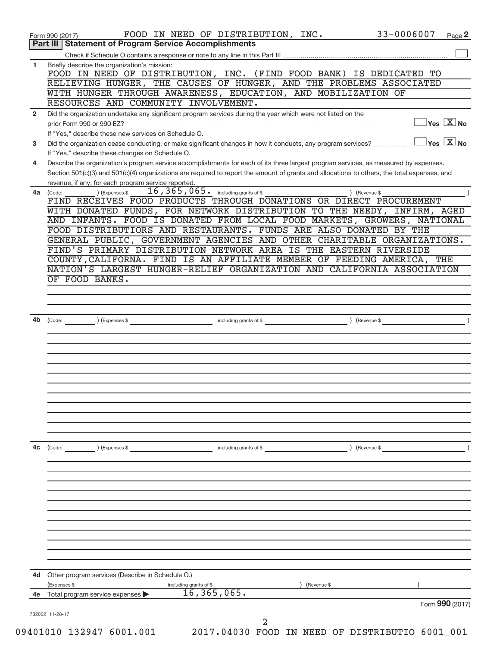|              | 33-0006007<br>FOOD IN NEED OF DISTRIBUTION, INC.<br>Page 2<br>Form 990 (2017)<br><b>Statement of Program Service Accomplishments</b><br>Part III                 |
|--------------|------------------------------------------------------------------------------------------------------------------------------------------------------------------|
|              |                                                                                                                                                                  |
| 1            | Briefly describe the organization's mission:<br>FOOD IN NEED OF DISTRIBUTION, INC. (FIND FOOD BANK) IS DEDICATED TO                                              |
|              | RELIEVING HUNGER, THE CAUSES OF HUNGER, AND THE PROBLEMS ASSOCIATED                                                                                              |
|              | WITH HUNGER THROUGH AWARENESS, EDUCATION, AND MOBILIZATION OF                                                                                                    |
|              | RESOURCES AND COMMUNITY INVOLVEMENT.                                                                                                                             |
| $\mathbf{2}$ | Did the organization undertake any significant program services during the year which were not listed on the                                                     |
|              | $\sqrt{\mathsf{Yes}\ \mathsf{X}}$ No                                                                                                                             |
|              | If "Yes," describe these new services on Schedule O.                                                                                                             |
| 3            | $\overline{\ }$ Yes $\overline{\phantom{a}X}$ No<br>Did the organization cease conducting, or make significant changes in how it conducts, any program services? |
|              | If "Yes," describe these changes on Schedule O.                                                                                                                  |
| 4            | Describe the organization's program service accomplishments for each of its three largest program services, as measured by expenses.                             |
|              | Section 501(c)(3) and 501(c)(4) organizations are required to report the amount of grants and allocations to others, the total expenses, and                     |
|              | revenue, if any, for each program service reported.                                                                                                              |
| 4a           | $\overline{16}$ , $\overline{365}$ , $\overline{065}$ . including grants of \$<br>) (Expenses \$<br>(Code:<br>) (Revenue \$                                      |
|              | FIND RECEIVES FOOD PRODUCTS THROUGH DONATIONS OR DIRECT PROCUREMENT                                                                                              |
|              | WITH DONATED FUNDS, FOR NETWORK DISTRIBUTION TO THE NEEDY, INFIRM, AGED                                                                                          |
|              | AND INFANTS. FOOD IS DONATED FROM LOCAL FOOD MARKETS, GROWERS, NATIONAL                                                                                          |
|              | FOOD DISTRIBUTIORS AND RESTAURANTS. FUNDS ARE ALSO DONATED BY THE                                                                                                |
|              | GENERAL PUBLIC, GOVERNMENT AGENCIES AND OTHER CHARITABLE ORGANIZATIONS.                                                                                          |
|              | FIND'S PRIMARY DISTRIBUTION NETWORK AREA IS THE EASTERN RIVERSIDE<br>COUNTY, CALIFORNA. FIND IS AN AFFILIATE MEMBER OF FEEDING AMERICA, THE                      |
|              | NATION'S LARGEST HUNGER-RELIEF ORGANIZATION AND CALIFORNIA ASSOCIATION                                                                                           |
|              | OF FOOD BANKS.                                                                                                                                                   |
|              |                                                                                                                                                                  |
|              |                                                                                                                                                                  |
|              |                                                                                                                                                                  |
| 4b           |                                                                                                                                                                  |
|              | including grants of \$<br>$\begin{array}{ccc} \text{(Code:} & \text{ } \\ \end{array}$ $\begin{array}{ccc} \text{(Expenses $$)} & \end{array}$<br>) (Revenue \$  |
|              |                                                                                                                                                                  |
|              |                                                                                                                                                                  |
|              |                                                                                                                                                                  |
|              |                                                                                                                                                                  |
|              |                                                                                                                                                                  |
|              |                                                                                                                                                                  |
|              |                                                                                                                                                                  |
|              |                                                                                                                                                                  |
|              |                                                                                                                                                                  |
|              |                                                                                                                                                                  |
|              |                                                                                                                                                                  |
|              |                                                                                                                                                                  |
|              |                                                                                                                                                                  |
| 4c           | ) (Revenue \$<br>(Code:<br>(Expenses \$<br>including grants of \$                                                                                                |
|              |                                                                                                                                                                  |
|              |                                                                                                                                                                  |
|              |                                                                                                                                                                  |
|              |                                                                                                                                                                  |
|              |                                                                                                                                                                  |
|              |                                                                                                                                                                  |
|              |                                                                                                                                                                  |
|              |                                                                                                                                                                  |
|              |                                                                                                                                                                  |
|              |                                                                                                                                                                  |
|              |                                                                                                                                                                  |
|              |                                                                                                                                                                  |
| 4d           | Other program services (Describe in Schedule O.)                                                                                                                 |
|              | (Expenses \$<br>) (Revenue \$<br>including grants of \$                                                                                                          |
|              | 16, 365, 065.<br>4e Total program service expenses<br>Form 990 (2017)                                                                                            |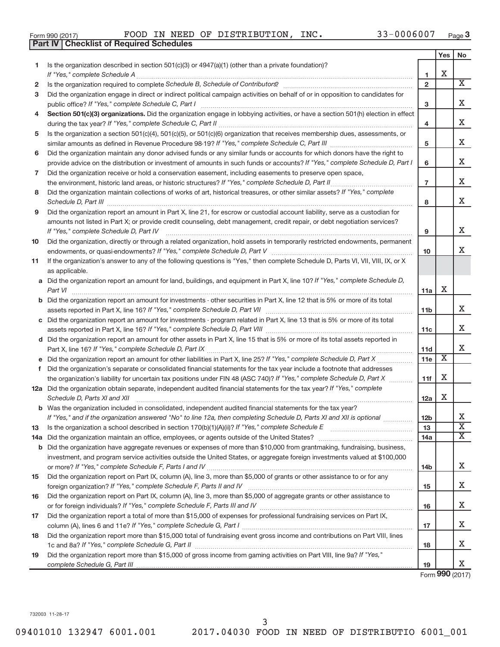| Form 990 (2017 |  |
|----------------|--|
|----------------|--|

Form 990 (2017)  $\rule{1em}{0.15mm}$  FOOD IN NEED OF DISTRIBUTION, INC.  $33-0006007$  Page

|                | <b>Part IV   Checklist of Required Schedules</b>                                                                                                                                                                                    |                |     |                             |
|----------------|-------------------------------------------------------------------------------------------------------------------------------------------------------------------------------------------------------------------------------------|----------------|-----|-----------------------------|
|                |                                                                                                                                                                                                                                     |                | Yes | No                          |
| 1              | Is the organization described in section $501(c)(3)$ or $4947(a)(1)$ (other than a private foundation)?                                                                                                                             |                |     |                             |
|                |                                                                                                                                                                                                                                     | $\mathbf{1}$   | Х   |                             |
| 2              | Is the organization required to complete Schedule B, Schedule of Contributors? [11] The organization required to complete Schedule B, Schedule of Contributors?                                                                     | $\overline{2}$ |     | $\overline{\text{X}}$       |
| 3              | Did the organization engage in direct or indirect political campaign activities on behalf of or in opposition to candidates for                                                                                                     |                |     |                             |
|                |                                                                                                                                                                                                                                     | 3              |     | X                           |
| 4              | Section 501(c)(3) organizations. Did the organization engage in lobbying activities, or have a section 501(h) election in effect                                                                                                    |                |     |                             |
|                |                                                                                                                                                                                                                                     | 4              |     | X                           |
| 5              | Is the organization a section 501(c)(4), 501(c)(5), or 501(c)(6) organization that receives membership dues, assessments, or                                                                                                        |                |     |                             |
|                |                                                                                                                                                                                                                                     | 5              |     | X                           |
| 6              | Did the organization maintain any donor advised funds or any similar funds or accounts for which donors have the right to                                                                                                           |                |     |                             |
|                | provide advice on the distribution or investment of amounts in such funds or accounts? If "Yes," complete Schedule D, Part I                                                                                                        | 6              |     | X                           |
| $\overline{7}$ | Did the organization receive or hold a conservation easement, including easements to preserve open space,                                                                                                                           |                |     |                             |
|                |                                                                                                                                                                                                                                     | $\overline{7}$ |     | х                           |
| 8              | Did the organization maintain collections of works of art, historical treasures, or other similar assets? If "Yes," complete                                                                                                        |                |     |                             |
|                | Schedule D, Part III <b>Marting Community</b> Construction of the Construction of the Construction of the Construction of the Construction of the Construction of the Construction of the Construction of the Construction of the C | 8              |     | х                           |
| 9              | Did the organization report an amount in Part X, line 21, for escrow or custodial account liability, serve as a custodian for                                                                                                       |                |     |                             |
|                | amounts not listed in Part X; or provide credit counseling, debt management, credit repair, or debt negotiation services?                                                                                                           |                |     |                             |
|                | If "Yes," complete Schedule D, Part IV                                                                                                                                                                                              | 9              |     | X                           |
| 10             | Did the organization, directly or through a related organization, hold assets in temporarily restricted endowments, permanent                                                                                                       |                |     |                             |
|                |                                                                                                                                                                                                                                     | 10             |     | X.                          |
| 11             | If the organization's answer to any of the following questions is "Yes," then complete Schedule D, Parts VI, VII, VIII, IX, or X                                                                                                    |                |     |                             |
|                | as applicable.                                                                                                                                                                                                                      |                |     |                             |
|                | a Did the organization report an amount for land, buildings, and equipment in Part X, line 10? If "Yes," complete Schedule D,                                                                                                       |                |     |                             |
|                |                                                                                                                                                                                                                                     | 11a            | X   |                             |
|                | <b>b</b> Did the organization report an amount for investments - other securities in Part X, line 12 that is 5% or more of its total                                                                                                |                |     |                             |
|                |                                                                                                                                                                                                                                     | 11b            |     | x                           |
|                | c Did the organization report an amount for investments - program related in Part X, line 13 that is 5% or more of its total                                                                                                        |                |     |                             |
|                |                                                                                                                                                                                                                                     | 11c            |     | х                           |
|                | d Did the organization report an amount for other assets in Part X, line 15 that is 5% or more of its total assets reported in                                                                                                      |                |     |                             |
|                |                                                                                                                                                                                                                                     | 11d            |     | х                           |
|                |                                                                                                                                                                                                                                     | 11e            | X   |                             |
|                | f Did the organization's separate or consolidated financial statements for the tax year include a footnote that addresses                                                                                                           |                |     |                             |
|                | the organization's liability for uncertain tax positions under FIN 48 (ASC 740)? If "Yes," complete Schedule D, Part X                                                                                                              | 11f            | х   |                             |
|                | 12a Did the organization obtain separate, independent audited financial statements for the tax year? If "Yes," complete                                                                                                             |                |     |                             |
|                | Schedule D, Parts XI and XII                                                                                                                                                                                                        | 12a            | х   |                             |
|                | <b>b</b> Was the organization included in consolidated, independent audited financial statements for the tax year?                                                                                                                  |                |     |                             |
|                | If "Yes," and if the organization answered "No" to line 12a, then completing Schedule D, Parts XI and XII is optional <i>manum</i>                                                                                                  | <b>12b</b>     |     | х                           |
| 13             |                                                                                                                                                                                                                                     | 13             |     | $\overline{\textnormal{x}}$ |
| 14a            | Did the organization maintain an office, employees, or agents outside of the United States? [1111] Did the organization maintain an office, employees, or agents outside of the United States?                                      | 14a            |     | X                           |
|                | <b>b</b> Did the organization have aggregate revenues or expenses of more than \$10,000 from grantmaking, fundraising, business,                                                                                                    |                |     |                             |
|                | investment, and program service activities outside the United States, or aggregate foreign investments valued at \$100,000                                                                                                          |                |     |                             |
|                |                                                                                                                                                                                                                                     | 14b            |     | х                           |
| 15             | Did the organization report on Part IX, column (A), line 3, more than \$5,000 of grants or other assistance to or for any                                                                                                           |                |     |                             |
|                |                                                                                                                                                                                                                                     | 15             |     | х                           |
| 16             | Did the organization report on Part IX, column (A), line 3, more than \$5,000 of aggregate grants or other assistance to                                                                                                            |                |     |                             |
|                |                                                                                                                                                                                                                                     | 16             |     | х                           |
| 17             | Did the organization report a total of more than \$15,000 of expenses for professional fundraising services on Part IX,                                                                                                             |                |     |                             |
|                |                                                                                                                                                                                                                                     | 17             |     | х                           |
| 18             | Did the organization report more than \$15,000 total of fundraising event gross income and contributions on Part VIII, lines                                                                                                        |                |     |                             |
|                |                                                                                                                                                                                                                                     | 18             |     | х                           |
| 19             | Did the organization report more than \$15,000 of gross income from gaming activities on Part VIII, line 9a? If "Yes,"                                                                                                              |                |     |                             |
|                |                                                                                                                                                                                                                                     | 19             |     | X                           |

Form **990** (2017)

732003 11-28-17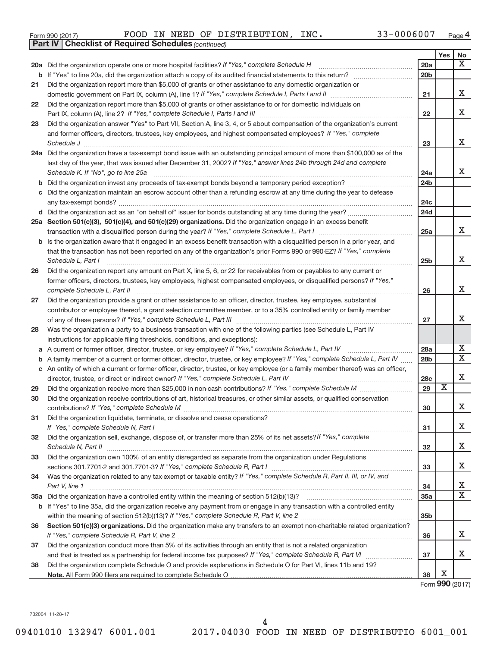|  | Form 990 (2017) |
|--|-----------------|
|  |                 |

*(continued)* **Part IV Checklist of Required Schedules**

Form 990 (2017)  $\rule{1em}{0.15mm}$  FOOD IN NEED OF DISTRIBUTION, INC.  $33-0006007$  Page

|    |                                                                                                                                                        |                 | Yes                     | No                          |
|----|--------------------------------------------------------------------------------------------------------------------------------------------------------|-----------------|-------------------------|-----------------------------|
|    | 20a Did the organization operate one or more hospital facilities? If "Yes," complete Schedule H                                                        | 20a             |                         | X                           |
|    |                                                                                                                                                        | 20 <sub>b</sub> |                         |                             |
| 21 | Did the organization report more than \$5,000 of grants or other assistance to any domestic organization or                                            |                 |                         |                             |
|    |                                                                                                                                                        | 21              |                         | x                           |
| 22 | Did the organization report more than \$5,000 of grants or other assistance to or for domestic individuals on                                          |                 |                         |                             |
|    | Part IX, column (A), line 2? If "Yes," complete Schedule I, Parts I and III [11]] [11]] [11] [11] [11] [11] [1                                         | 22              |                         | X                           |
| 23 | Did the organization answer "Yes" to Part VII, Section A, line 3, 4, or 5 about compensation of the organization's current                             |                 |                         |                             |
|    | and former officers, directors, trustees, key employees, and highest compensated employees? If "Yes," complete                                         |                 |                         |                             |
|    |                                                                                                                                                        | 23              |                         | X                           |
|    | 24a Did the organization have a tax-exempt bond issue with an outstanding principal amount of more than \$100,000 as of the                            |                 |                         |                             |
|    | last day of the year, that was issued after December 31, 2002? If "Yes," answer lines 24b through 24d and complete                                     |                 |                         | X                           |
|    | Schedule K. If "No", go to line 25a                                                                                                                    | 24a             |                         |                             |
|    |                                                                                                                                                        | 24 <sub>b</sub> |                         |                             |
|    | c Did the organization maintain an escrow account other than a refunding escrow at any time during the year to defease                                 | 24c             |                         |                             |
|    |                                                                                                                                                        | 24d             |                         |                             |
|    | 25a Section 501(c)(3), 501(c)(4), and 501(c)(29) organizations. Did the organization engage in an excess benefit                                       |                 |                         |                             |
|    |                                                                                                                                                        | 25a             |                         | X.                          |
|    | b Is the organization aware that it engaged in an excess benefit transaction with a disqualified person in a prior year, and                           |                 |                         |                             |
|    | that the transaction has not been reported on any of the organization's prior Forms 990 or 990-EZ? If "Yes," complete                                  |                 |                         |                             |
|    | Schedule L, Part I                                                                                                                                     | 25 <sub>b</sub> |                         | X                           |
| 26 | Did the organization report any amount on Part X, line 5, 6, or 22 for receivables from or payables to any current or                                  |                 |                         |                             |
|    | former officers, directors, trustees, key employees, highest compensated employees, or disqualified persons? If "Yes,"<br>complete Schedule L, Part II | 26              |                         | X                           |
| 27 | Did the organization provide a grant or other assistance to an officer, director, trustee, key employee, substantial                                   |                 |                         |                             |
|    | contributor or employee thereof, a grant selection committee member, or to a 35% controlled entity or family member                                    |                 |                         |                             |
|    |                                                                                                                                                        | 27              |                         | x                           |
| 28 | Was the organization a party to a business transaction with one of the following parties (see Schedule L, Part IV                                      |                 |                         |                             |
|    | instructions for applicable filing thresholds, conditions, and exceptions):                                                                            |                 |                         |                             |
|    | a A current or former officer, director, trustee, or key employee? If "Yes," complete Schedule L, Part IV                                              | 28a             |                         | X<br>$\overline{\text{X}}$  |
|    | <b>b</b> A family member of a current or former officer, director, trustee, or key employee? If "Yes," complete Schedule L, Part IV                    | 28 <sub>b</sub> |                         |                             |
|    | c An entity of which a current or former officer, director, trustee, or key employee (or a family member thereof) was an officer,                      | 28c             |                         | х                           |
| 29 |                                                                                                                                                        | 29              | $\overline{\textbf{X}}$ |                             |
| 30 | Did the organization receive contributions of art, historical treasures, or other similar assets, or qualified conservation                            |                 |                         |                             |
|    |                                                                                                                                                        | 30              |                         | x                           |
| 31 | Did the organization liquidate, terminate, or dissolve and cease operations?                                                                           |                 |                         |                             |
|    |                                                                                                                                                        | 31              |                         | X.                          |
| 32 | Did the organization sell, exchange, dispose of, or transfer more than 25% of its net assets? If "Yes," complete                                       |                 |                         |                             |
|    | Schedule N, Part II                                                                                                                                    | 32              |                         | x                           |
| 33 | Did the organization own 100% of an entity disregarded as separate from the organization under Regulations                                             |                 |                         |                             |
|    |                                                                                                                                                        | 33              |                         | x                           |
| 34 | Was the organization related to any tax-exempt or taxable entity? If "Yes," complete Schedule R, Part II, III, or IV, and                              |                 |                         |                             |
|    | Part V, line 1                                                                                                                                         | 34              |                         | x                           |
|    |                                                                                                                                                        | <b>35a</b>      |                         | $\overline{\textnormal{x}}$ |
|    | b If "Yes" to line 35a, did the organization receive any payment from or engage in any transaction with a controlled entity                            |                 |                         |                             |
|    |                                                                                                                                                        | 35 <sub>b</sub> |                         |                             |
| 36 | Section 501(c)(3) organizations. Did the organization make any transfers to an exempt non-charitable related organization?                             |                 |                         |                             |
|    |                                                                                                                                                        | 36              |                         | X.                          |
| 37 | Did the organization conduct more than 5% of its activities through an entity that is not a related organization                                       | 37              |                         | x                           |
| 38 | Did the organization complete Schedule O and provide explanations in Schedule O for Part VI, lines 11b and 19?                                         |                 |                         |                             |
|    |                                                                                                                                                        | 38              | х                       |                             |
|    |                                                                                                                                                        |                 |                         |                             |

Form **990** (2017)

732004 11-28-17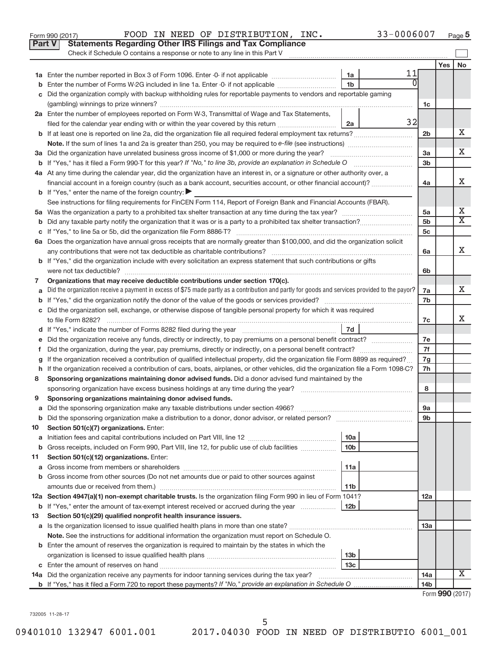|    | Part V<br><b>Statements Regarding Other IRS Filings and Tax Compliance</b><br>Check if Schedule O contains a response or note to any line in this Part V |                 |                 |                         |
|----|----------------------------------------------------------------------------------------------------------------------------------------------------------|-----------------|-----------------|-------------------------|
|    |                                                                                                                                                          |                 | Yes             | No                      |
|    | 11<br>1a                                                                                                                                                 |                 |                 |                         |
|    | 1 <sub>b</sub><br>Enter the number of Forms W-2G included in line 1a. Enter -0- if not applicable                                                        |                 |                 |                         |
|    | Did the organization comply with backup withholding rules for reportable payments to vendors and reportable gaming                                       |                 |                 |                         |
|    |                                                                                                                                                          | 1c              |                 |                         |
|    | 2a Enter the number of employees reported on Form W-3, Transmittal of Wage and Tax Statements,                                                           |                 |                 |                         |
|    | 32<br>filed for the calendar year ending with or within the year covered by this return <i>manumumumum</i><br>2a                                         |                 |                 |                         |
|    |                                                                                                                                                          | 2 <sub>b</sub>  |                 | х                       |
|    |                                                                                                                                                          |                 |                 |                         |
|    |                                                                                                                                                          | 3a              |                 | x                       |
|    |                                                                                                                                                          | 3 <sub>b</sub>  |                 |                         |
|    | 4a At any time during the calendar year, did the organization have an interest in, or a signature or other authority over, a                             |                 |                 |                         |
|    | financial account in a foreign country (such as a bank account, securities account, or other financial account)?                                         | 4a              |                 | х                       |
|    | <b>b</b> If "Yes," enter the name of the foreign country:                                                                                                |                 |                 |                         |
|    | See instructions for filing requirements for FinCEN Form 114, Report of Foreign Bank and Financial Accounts (FBAR).                                      |                 |                 |                         |
|    |                                                                                                                                                          | 5a              |                 | Х                       |
|    |                                                                                                                                                          | 5 <sub>b</sub>  |                 | $\overline{\mathbf{X}}$ |
|    |                                                                                                                                                          | 5c              |                 |                         |
|    | 6a Does the organization have annual gross receipts that are normally greater than \$100,000, and did the organization solicit                           |                 |                 |                         |
|    |                                                                                                                                                          | 6a              |                 | х                       |
|    | <b>b</b> If "Yes," did the organization include with every solicitation an express statement that such contributions or gifts                            |                 |                 |                         |
|    |                                                                                                                                                          | 6b              |                 |                         |
| 7  | Organizations that may receive deductible contributions under section 170(c).                                                                            |                 |                 |                         |
|    | Did the organization receive a payment in excess of \$75 made partly as a contribution and partly for goods and services provided to the payor?          | 7a              |                 | x                       |
|    |                                                                                                                                                          | 7b              |                 |                         |
|    | c Did the organization sell, exchange, or otherwise dispose of tangible personal property for which it was required                                      |                 |                 |                         |
|    |                                                                                                                                                          | 7c              |                 | х                       |
|    | 7d                                                                                                                                                       |                 |                 |                         |
| е  |                                                                                                                                                          | 7e              |                 |                         |
| f. |                                                                                                                                                          | 7f              |                 |                         |
|    | If the organization received a contribution of qualified intellectual property, did the organization file Form 8899 as required?                         | 7g              |                 |                         |
|    | h If the organization received a contribution of cars, boats, airplanes, or other vehicles, did the organization file a Form 1098-C?                     | 7h              |                 |                         |
| 8  | Sponsoring organizations maintaining donor advised funds. Did a donor advised fund maintained by the                                                     |                 |                 |                         |
|    |                                                                                                                                                          | 8               |                 |                         |
| 9  | Sponsoring organizations maintaining donor advised funds.                                                                                                |                 |                 |                         |
|    |                                                                                                                                                          | эа              |                 |                         |
|    |                                                                                                                                                          | 9b              |                 |                         |
| 10 | Section 501(c)(7) organizations. Enter:                                                                                                                  |                 |                 |                         |
| а  | 10a                                                                                                                                                      |                 |                 |                         |
| b  | Gross receipts, included on Form 990, Part VIII, line 12, for public use of club facilities<br>10 <sub>b</sub>                                           |                 |                 |                         |
| 11 | Section 501(c)(12) organizations. Enter:                                                                                                                 |                 |                 |                         |
| а  | 11a                                                                                                                                                      |                 |                 |                         |
|    | <b>b</b> Gross income from other sources (Do not net amounts due or paid to other sources against                                                        |                 |                 |                         |
|    | 11 <sub>b</sub>                                                                                                                                          |                 |                 |                         |
|    | 12a Section 4947(a)(1) non-exempt charitable trusts. Is the organization filing Form 990 in lieu of Form 1041?                                           | 12a             |                 |                         |
|    | <b>b</b> If "Yes," enter the amount of tax-exempt interest received or accrued during the year<br>12 <sub>b</sub>                                        |                 |                 |                         |
| 13 | Section 501(c)(29) qualified nonprofit health insurance issuers.                                                                                         |                 |                 |                         |
|    |                                                                                                                                                          | 13а             |                 |                         |
|    | Note. See the instructions for additional information the organization must report on Schedule O.                                                        |                 |                 |                         |
|    | <b>b</b> Enter the amount of reserves the organization is required to maintain by the states in which the                                                |                 |                 |                         |
|    | 13 <sub>b</sub>                                                                                                                                          |                 |                 |                         |
| С  | 13 <sub>c</sub>                                                                                                                                          |                 |                 | х                       |
|    | 14a Did the organization receive any payments for indoor tanning services during the tax year?                                                           | 14a             |                 |                         |
|    |                                                                                                                                                          | 14 <sub>b</sub> | Form 990 (2017) |                         |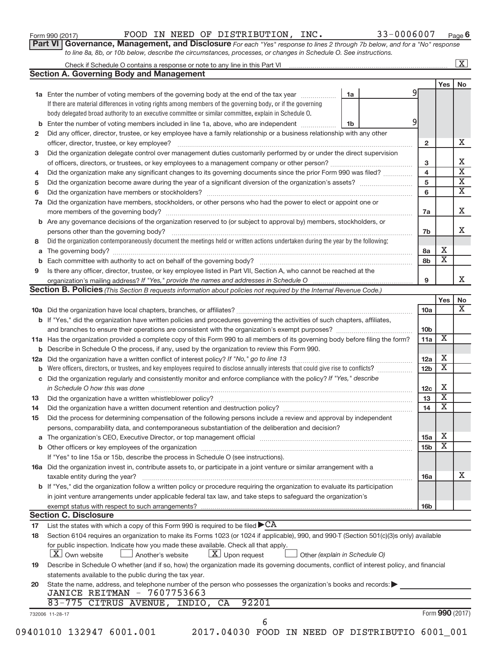| Form 990 (2017) |
|-----------------|
|-----------------|

Form 990 (2017)  $\rule{1em}{0.15mm}$  FOOD IN NEED OF DISTRIBUTION, INC.  $33-0006007$  Page

**Part VI** Governance, Management, and Disclosure For each "Yes" response to lines 2 through 7b below, and for a "No" response *to line 8a, 8b, or 10b below, describe the circumstances, processes, or changes in Schedule O. See instructions.*

|     |                                                                                                                                                                                                                                                           |                               |                         |                         | $\mathbf{X}$ |
|-----|-----------------------------------------------------------------------------------------------------------------------------------------------------------------------------------------------------------------------------------------------------------|-------------------------------|-------------------------|-------------------------|--------------|
|     | <b>Section A. Governing Body and Management</b>                                                                                                                                                                                                           |                               |                         |                         |              |
|     |                                                                                                                                                                                                                                                           |                               |                         | Yes                     | No           |
|     | 1a Enter the number of voting members of the governing body at the end of the tax year                                                                                                                                                                    | 1a                            | 9                       |                         |              |
|     | If there are material differences in voting rights among members of the governing body, or if the governing                                                                                                                                               |                               |                         |                         |              |
|     | body delegated broad authority to an executive committee or similar committee, explain in Schedule O.                                                                                                                                                     |                               |                         |                         |              |
| b   | Enter the number of voting members included in line 1a, above, who are independent <i>manumum</i>                                                                                                                                                         | 1b                            | 9                       |                         |              |
| 2   | Did any officer, director, trustee, or key employee have a family relationship or a business relationship with any other                                                                                                                                  |                               |                         |                         |              |
|     | officer, director, trustee, or key employee?                                                                                                                                                                                                              |                               | $\mathbf{2}$            |                         |              |
| 3   | Did the organization delegate control over management duties customarily performed by or under the direct supervision                                                                                                                                     |                               |                         |                         |              |
|     |                                                                                                                                                                                                                                                           |                               | 3                       |                         |              |
| 4   | Did the organization make any significant changes to its governing documents since the prior Form 990 was filed?                                                                                                                                          |                               | $\overline{\mathbf{4}}$ |                         |              |
| 5   |                                                                                                                                                                                                                                                           |                               | 5                       |                         |              |
| 6   |                                                                                                                                                                                                                                                           |                               | 6                       |                         |              |
| 7a  | Did the organization have members, stockholders, or other persons who had the power to elect or appoint one or                                                                                                                                            |                               |                         |                         |              |
|     |                                                                                                                                                                                                                                                           |                               | 7a                      |                         |              |
| b   | Are any governance decisions of the organization reserved to (or subject to approval by) members, stockholders, or                                                                                                                                        |                               |                         |                         |              |
|     |                                                                                                                                                                                                                                                           |                               | 7b                      |                         |              |
| 8   | Did the organization contemporaneously document the meetings held or written actions undertaken during the year by the following:                                                                                                                         |                               |                         |                         |              |
| a   |                                                                                                                                                                                                                                                           |                               | 8a                      | х                       |              |
| b   |                                                                                                                                                                                                                                                           |                               | 8b                      | $\overline{\mathbf{X}}$ |              |
| 9   | Is there any officer, director, trustee, or key employee listed in Part VII, Section A, who cannot be reached at the                                                                                                                                      |                               |                         |                         |              |
|     |                                                                                                                                                                                                                                                           |                               | 9                       |                         |              |
|     | <b>Section B. Policies</b> (This Section B requests information about policies not required by the Internal Revenue Code.)                                                                                                                                |                               |                         |                         |              |
|     |                                                                                                                                                                                                                                                           |                               |                         | Yes                     |              |
|     |                                                                                                                                                                                                                                                           |                               | 10a                     |                         |              |
|     | <b>b</b> If "Yes," did the organization have written policies and procedures governing the activities of such chapters, affiliates,                                                                                                                       |                               |                         |                         |              |
|     |                                                                                                                                                                                                                                                           |                               | 10 <sub>b</sub>         |                         |              |
|     | 11a Has the organization provided a complete copy of this Form 990 to all members of its governing body before filing the form?                                                                                                                           |                               | 11a                     | X                       |              |
|     |                                                                                                                                                                                                                                                           |                               |                         |                         |              |
| b   | Describe in Schedule O the process, if any, used by the organization to review this Form 990.                                                                                                                                                             |                               |                         | х                       |              |
| 12a | Did the organization have a written conflict of interest policy? If "No," go to line 13                                                                                                                                                                   |                               | 12a<br>12 <sub>b</sub>  | $\overline{\mathbf{X}}$ |              |
| b   | Were officers, directors, or trustees, and key employees required to disclose annually interests that could give rise to conflicts?<br>Did the organization regularly and consistently monitor and enforce compliance with the policy? If "Yes," describe |                               |                         |                         |              |
| С   |                                                                                                                                                                                                                                                           |                               |                         | Х                       |              |
|     |                                                                                                                                                                                                                                                           |                               | 12 <sub>c</sub>         | $\overline{\mathbf{X}}$ |              |
| 13  |                                                                                                                                                                                                                                                           |                               | 13                      | $\overline{\mathbf{X}}$ |              |
| 14  |                                                                                                                                                                                                                                                           |                               | 14                      |                         |              |
| 15  | Did the process for determining compensation of the following persons include a review and approval by independent                                                                                                                                        |                               |                         |                         |              |
|     | persons, comparability data, and contemporaneous substantiation of the deliberation and decision?                                                                                                                                                         |                               |                         |                         |              |
| а   | The organization's CEO, Executive Director, or top management official [111] [11] manument content of the organization's CEO, Executive Director, or top management official [11] manument content of the original manument of                            |                               | 15a                     | х                       |              |
|     |                                                                                                                                                                                                                                                           |                               | 15 <sub>b</sub>         | $\overline{\textbf{x}}$ |              |
|     | If "Yes" to line 15a or 15b, describe the process in Schedule O (see instructions).                                                                                                                                                                       |                               |                         |                         |              |
|     | 16a Did the organization invest in, contribute assets to, or participate in a joint venture or similar arrangement with a                                                                                                                                 |                               |                         |                         |              |
|     | taxable entity during the year?                                                                                                                                                                                                                           |                               | 16a                     |                         |              |
|     | b If "Yes," did the organization follow a written policy or procedure requiring the organization to evaluate its participation                                                                                                                            |                               |                         |                         |              |
|     | in joint venture arrangements under applicable federal tax law, and take steps to safeguard the organization's                                                                                                                                            |                               |                         |                         |              |
|     | exempt status with respect to such arrangements?                                                                                                                                                                                                          |                               | 16 <sub>b</sub>         |                         |              |
|     | <b>Section C. Disclosure</b>                                                                                                                                                                                                                              |                               |                         |                         |              |
| 17  | List the states with which a copy of this Form 990 is required to be filed $\blacktriangleright$ CA                                                                                                                                                       |                               |                         |                         |              |
| 18  | Section 6104 requires an organization to make its Forms 1023 (or 1024 if applicable), 990, and 990-T (Section 501(c)(3)s only) available                                                                                                                  |                               |                         |                         |              |
|     | for public inspection. Indicate how you made these available. Check all that apply.                                                                                                                                                                       |                               |                         |                         |              |
|     | $\lfloor x \rfloor$ Upon request<br>$ \mathbf{X} $ Own website<br>Another's website                                                                                                                                                                       | Other (explain in Schedule O) |                         |                         |              |
| 19  | Describe in Schedule O whether (and if so, how) the organization made its governing documents, conflict of interest policy, and financial                                                                                                                 |                               |                         |                         |              |
|     | statements available to the public during the tax year.                                                                                                                                                                                                   |                               |                         |                         |              |
| 20  | State the name, address, and telephone number of the person who possesses the organization's books and records:                                                                                                                                           |                               |                         |                         |              |
|     | JANICE REITMAN - 7607753663                                                                                                                                                                                                                               |                               |                         |                         |              |
|     | 92201<br>83-775 CITRUS AVENUE, INDIO, CA                                                                                                                                                                                                                  |                               |                         |                         |              |
|     | 732006 11-28-17                                                                                                                                                                                                                                           |                               |                         | Form 990 (2017)         |              |
|     | 6                                                                                                                                                                                                                                                         |                               |                         |                         |              |
|     | 09401010 132947 6001.001<br>2017.04030 FOOD IN NEED OF DISTRIBUTIO 6001 001                                                                                                                                                                               |                               |                         |                         |              |
|     |                                                                                                                                                                                                                                                           |                               |                         |                         |              |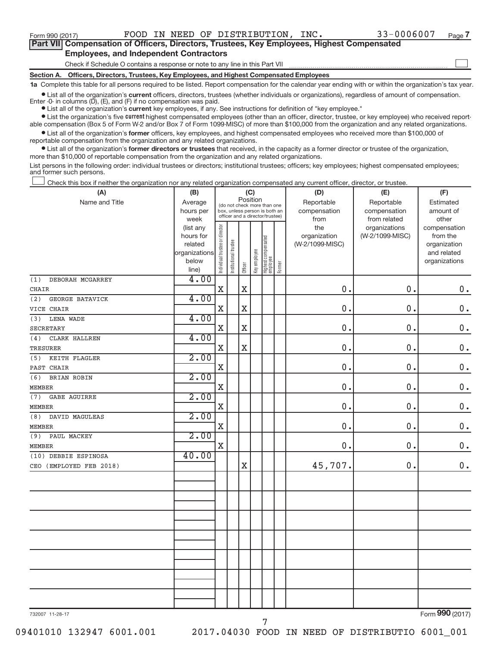Form 990 (2017)  $\rule{1em}{0.15mm}$  FOOD IN NEED OF DISTRIBUTION, INC.  $33-0006007$  Page

 $\begin{array}{c} \hline \end{array}$ 

| Part VII Compensation of Officers, Directors, Trustees, Key Employees, Highest Compensated |  |
|--------------------------------------------------------------------------------------------|--|
| <b>Employees, and Independent Contractors</b>                                              |  |

Check if Schedule O contains a response or note to any line in this Part VII

**Section A. Officers, Directors, Trustees, Key Employees, and Highest Compensated Employees**

**1a**  Complete this table for all persons required to be listed. Report compensation for the calendar year ending with or within the organization's tax year.

 $\bullet$  List all of the organization's current officers, directors, trustees (whether individuals or organizations), regardless of amount of compensation. Enter -0- in columns  $(D)$ ,  $(E)$ , and  $(F)$  if no compensation was paid.

**•** List all of the organization's **current** key employees, if any. See instructions for definition of "key employee."

**Examber 1** Current Lightest compensated employees (other than an officer, director, trustee, or key employee) who received reportable compensation (Box 5 of Form W-2 and/or Box 7 of Form 1099-MISC) of more than \$100,000 from the organization and any related organizations.

 $\bullet$  List all of the organization's former officers, key employees, and highest compensated employees who received more than \$100,000 of reportable compensation from the organization and any related organizations.

**•** List all of the organization's former directors or trustees that received, in the capacity as a former director or trustee of the organization, more than \$10,000 of reportable compensation from the organization and any related organizations.

List persons in the following order: individual trustees or directors; institutional trustees; officers; key employees; highest compensated employees; and former such persons.

Check this box if neither the organization nor any related organization compensated any current officer, director, or trustee.  $\overline{\phantom{a}}$ 

| (A)                         | (B)<br>(C)             |                                         |                                                                  |             |              |                                 |        | (D)                 | (E)                              | (F)                      |  |  |
|-----------------------------|------------------------|-----------------------------------------|------------------------------------------------------------------|-------------|--------------|---------------------------------|--------|---------------------|----------------------------------|--------------------------|--|--|
| Name and Title              | Average                | Position<br>(do not check more than one |                                                                  |             |              |                                 |        | Reportable          | Reportable                       | Estimated                |  |  |
|                             | hours per              |                                         | box, unless person is both an<br>officer and a director/trustee) |             |              |                                 |        | compensation        | compensation                     | amount of                |  |  |
|                             | week                   |                                         |                                                                  |             |              |                                 |        | from                | from related                     | other                    |  |  |
|                             | (list any<br>hours for |                                         |                                                                  |             |              |                                 |        | the<br>organization | organizations<br>(W-2/1099-MISC) | compensation<br>from the |  |  |
|                             | related                |                                         |                                                                  |             |              |                                 |        | (W-2/1099-MISC)     |                                  | organization             |  |  |
|                             | organizations          |                                         |                                                                  |             |              |                                 |        |                     |                                  | and related              |  |  |
|                             | below                  | Individual trustee or director          | Institutional trustee                                            |             | Key employee | Highest compensated<br>employee |        |                     |                                  | organizations            |  |  |
|                             | line)                  |                                         |                                                                  | Officer     |              |                                 | Former |                     |                                  |                          |  |  |
| DEBORAH MCGARREY<br>(1)     | 4.00                   |                                         |                                                                  |             |              |                                 |        |                     |                                  |                          |  |  |
| CHAIR                       |                        | X                                       |                                                                  | $\mathbf X$ |              |                                 |        | 0.                  | 0.                               | $0$ .                    |  |  |
| (2)<br>GEORGE BATAVICK      | 4.00                   |                                         |                                                                  |             |              |                                 |        |                     |                                  |                          |  |  |
| VICE CHAIR                  |                        | X                                       |                                                                  | $\mathbf X$ |              |                                 |        | $\mathbf 0$         | 0.                               | $\mathbf 0$ .            |  |  |
| LENA WADE<br>(3)            | 4.00                   |                                         |                                                                  |             |              |                                 |        |                     |                                  |                          |  |  |
| <b>SECRETARY</b>            |                        | $\mathbf X$                             |                                                                  | $\mathbf X$ |              |                                 |        | 0.                  | 0.                               | $\mathbf 0$ .            |  |  |
| (4)<br><b>CLARK HALLREN</b> | 4.00                   |                                         |                                                                  |             |              |                                 |        |                     |                                  |                          |  |  |
| TRESURER                    |                        | $\mathbf X$                             |                                                                  | $\mathbf X$ |              |                                 |        | 0.                  | 0.                               | $0$ .                    |  |  |
| KEITH FLAGLER<br>(5)        | 2.00                   |                                         |                                                                  |             |              |                                 |        |                     |                                  |                          |  |  |
| PAST CHAIR                  |                        | $\mathbf X$                             |                                                                  |             |              |                                 |        | 0.                  | 0.                               | $\mathbf 0$ .            |  |  |
| (6)<br><b>BRIAN ROBIN</b>   | 2.00                   |                                         |                                                                  |             |              |                                 |        |                     |                                  |                          |  |  |
| <b>MEMBER</b>               |                        | $\mathbf X$                             |                                                                  |             |              |                                 |        | 0.                  | 0.                               | $\mathbf 0$ .            |  |  |
| <b>GABE AGUIRRE</b><br>(7)  | 2.00                   |                                         |                                                                  |             |              |                                 |        |                     |                                  |                          |  |  |
| <b>MEMBER</b>               |                        | $\mathbf X$                             |                                                                  |             |              |                                 |        | 0.                  | 0.                               | $0$ .                    |  |  |
| (8)<br>DAVID MAGULEAS       | 2.00                   |                                         |                                                                  |             |              |                                 |        |                     |                                  |                          |  |  |
| <b>MEMBER</b>               |                        | $\mathbf X$                             |                                                                  |             |              |                                 |        | 0.                  | 0.                               | $\mathbf 0$ .            |  |  |
| PAUL MACKEY<br>(9)          | 2.00                   |                                         |                                                                  |             |              |                                 |        |                     |                                  |                          |  |  |
| <b>MEMBER</b>               |                        | $\mathbf X$                             |                                                                  |             |              |                                 |        | 0.                  | 0.                               | $\mathbf 0$ .            |  |  |
| (10) DEBBIE ESPINOSA        | 40.00                  |                                         |                                                                  |             |              |                                 |        |                     |                                  |                          |  |  |
| CEO (EMPLOYED FEB 2018)     |                        |                                         |                                                                  | $\mathbf X$ |              |                                 |        | 45,707.             | 0.                               | $\mathbf 0$ .            |  |  |
|                             |                        |                                         |                                                                  |             |              |                                 |        |                     |                                  |                          |  |  |
|                             |                        |                                         |                                                                  |             |              |                                 |        |                     |                                  |                          |  |  |
|                             |                        |                                         |                                                                  |             |              |                                 |        |                     |                                  |                          |  |  |
|                             |                        |                                         |                                                                  |             |              |                                 |        |                     |                                  |                          |  |  |
|                             |                        |                                         |                                                                  |             |              |                                 |        |                     |                                  |                          |  |  |
|                             |                        |                                         |                                                                  |             |              |                                 |        |                     |                                  |                          |  |  |
|                             |                        |                                         |                                                                  |             |              |                                 |        |                     |                                  |                          |  |  |
|                             |                        |                                         |                                                                  |             |              |                                 |        |                     |                                  |                          |  |  |
|                             |                        |                                         |                                                                  |             |              |                                 |        |                     |                                  |                          |  |  |
|                             |                        |                                         |                                                                  |             |              |                                 |        |                     |                                  |                          |  |  |
|                             |                        |                                         |                                                                  |             |              |                                 |        |                     |                                  |                          |  |  |
|                             |                        |                                         |                                                                  |             |              |                                 |        |                     |                                  |                          |  |  |
|                             |                        |                                         |                                                                  |             |              |                                 |        |                     |                                  |                          |  |  |
|                             |                        |                                         |                                                                  |             |              |                                 |        |                     |                                  |                          |  |  |

7

732007 11-28-17

Form (2017) **990**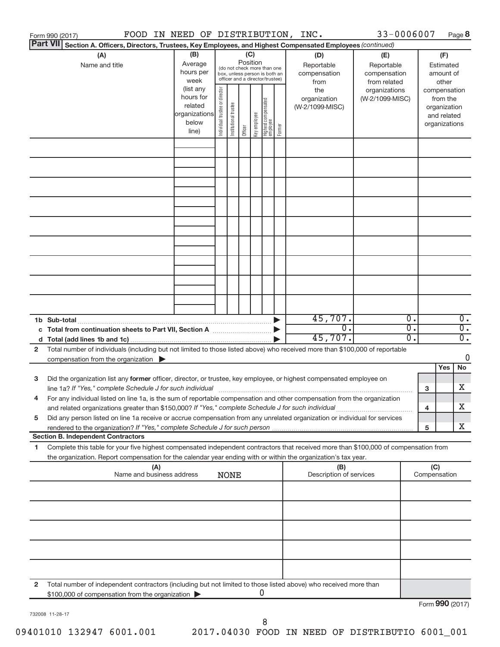|   | 33-0006007<br>FOOD IN NEED OF DISTRIBUTION, INC.<br>Form 990 (2017)                                                                                                                                                               |                        |                               |                       |          |              |                                   |            |                         |                 |                  | Page 8          |                             |                  |
|---|-----------------------------------------------------------------------------------------------------------------------------------------------------------------------------------------------------------------------------------|------------------------|-------------------------------|-----------------------|----------|--------------|-----------------------------------|------------|-------------------------|-----------------|------------------|-----------------|-----------------------------|------------------|
|   | <b>Part VII</b><br>Section A. Officers, Directors, Trustees, Key Employees, and Highest Compensated Employees (continued)                                                                                                         |                        |                               |                       |          |              |                                   |            |                         |                 |                  |                 |                             |                  |
|   | (A)                                                                                                                                                                                                                               | (B)                    | (C)                           |                       |          |              |                                   | (D)<br>(E) |                         |                 | (F)              |                 |                             |                  |
|   | Name and title                                                                                                                                                                                                                    | Average                |                               |                       | Position |              | (do not check more than one       |            | Reportable              | Reportable      |                  |                 | Estimated                   |                  |
|   |                                                                                                                                                                                                                                   | hours per              |                               |                       |          |              | box, unless person is both an     |            | compensation            | compensation    |                  |                 | amount of                   |                  |
|   |                                                                                                                                                                                                                                   | week                   |                               |                       |          |              | officer and a director/trustee)   |            | from                    | from related    |                  |                 | other                       |                  |
|   |                                                                                                                                                                                                                                   | (list any<br>hours for |                               |                       |          |              |                                   |            | the                     | organizations   |                  |                 | compensation                |                  |
|   |                                                                                                                                                                                                                                   | related                |                               |                       |          |              |                                   |            | organization            | (W-2/1099-MISC) |                  |                 | from the                    |                  |
|   |                                                                                                                                                                                                                                   | organizations          |                               |                       |          |              |                                   |            | (W-2/1099-MISC)         |                 |                  |                 | organization<br>and related |                  |
|   |                                                                                                                                                                                                                                   | below                  |                               |                       |          |              |                                   |            |                         |                 |                  |                 | organizations               |                  |
|   |                                                                                                                                                                                                                                   | line)                  | ndividual trustee or director | Institutional trustee | Officer  | Key employee | Highest compensated<br>  employee | Former     |                         |                 |                  |                 |                             |                  |
|   |                                                                                                                                                                                                                                   |                        |                               |                       |          |              |                                   |            |                         |                 |                  |                 |                             |                  |
|   |                                                                                                                                                                                                                                   |                        |                               |                       |          |              |                                   |            |                         |                 |                  |                 |                             |                  |
|   |                                                                                                                                                                                                                                   |                        |                               |                       |          |              |                                   |            |                         |                 |                  |                 |                             |                  |
|   |                                                                                                                                                                                                                                   |                        |                               |                       |          |              |                                   |            |                         |                 |                  |                 |                             |                  |
|   |                                                                                                                                                                                                                                   |                        |                               |                       |          |              |                                   |            |                         |                 |                  |                 |                             |                  |
|   |                                                                                                                                                                                                                                   |                        |                               |                       |          |              |                                   |            |                         |                 |                  |                 |                             |                  |
|   |                                                                                                                                                                                                                                   |                        |                               |                       |          |              |                                   |            |                         |                 |                  |                 |                             |                  |
|   |                                                                                                                                                                                                                                   |                        |                               |                       |          |              |                                   |            |                         |                 |                  |                 |                             |                  |
|   |                                                                                                                                                                                                                                   |                        |                               |                       |          |              |                                   |            |                         |                 |                  |                 |                             |                  |
|   |                                                                                                                                                                                                                                   |                        |                               |                       |          |              |                                   |            |                         |                 |                  |                 |                             |                  |
|   |                                                                                                                                                                                                                                   |                        |                               |                       |          |              |                                   |            |                         |                 |                  |                 |                             |                  |
|   |                                                                                                                                                                                                                                   |                        |                               |                       |          |              |                                   |            |                         |                 |                  |                 |                             |                  |
|   |                                                                                                                                                                                                                                   |                        |                               |                       |          |              |                                   |            |                         |                 |                  |                 |                             |                  |
|   |                                                                                                                                                                                                                                   |                        |                               |                       |          |              |                                   |            |                         |                 |                  |                 |                             |                  |
|   |                                                                                                                                                                                                                                   |                        |                               |                       |          |              |                                   |            |                         |                 |                  |                 |                             |                  |
|   |                                                                                                                                                                                                                                   |                        |                               |                       |          |              |                                   |            |                         |                 |                  |                 |                             |                  |
|   | 1b Sub-total                                                                                                                                                                                                                      |                        |                               |                       |          |              |                                   |            | 45,707.                 |                 | $\overline{0}$ . |                 |                             | $0$ .            |
|   | c Total from continuation sheets to Part VII, Section A manufactured by                                                                                                                                                           |                        |                               |                       |          |              |                                   |            | $\overline{0}$ .        |                 | σ.               |                 |                             | $\overline{0}$ . |
|   |                                                                                                                                                                                                                                   |                        |                               |                       |          |              |                                   |            | 45,707.                 |                 | 0.               |                 |                             | $\overline{0}$ . |
| 2 | Total number of individuals (including but not limited to those listed above) who received more than \$100,000 of reportable                                                                                                      |                        |                               |                       |          |              |                                   |            |                         |                 |                  |                 |                             |                  |
|   | compensation from the organization $\blacktriangleright$                                                                                                                                                                          |                        |                               |                       |          |              |                                   |            |                         |                 |                  |                 |                             | 0                |
|   |                                                                                                                                                                                                                                   |                        |                               |                       |          |              |                                   |            |                         |                 |                  |                 | Yes                         | No               |
| 3 | Did the organization list any former officer, director, or trustee, key employee, or highest compensated employee on                                                                                                              |                        |                               |                       |          |              |                                   |            |                         |                 |                  |                 |                             |                  |
|   | line 1a? If "Yes," complete Schedule J for such individual [11] manufacture manufacture 1a? If "Yes," complete Schedule J for such individual                                                                                     |                        |                               |                       |          |              |                                   |            |                         |                 |                  | 3               |                             | x                |
|   | For any individual listed on line 1a, is the sum of reportable compensation and other compensation from the organization                                                                                                          |                        |                               |                       |          |              |                                   |            |                         |                 |                  |                 |                             | х                |
| 5 | and related organizations greater than \$150,000? If "Yes," complete Schedule J for such individual<br>Did any person listed on line 1a receive or accrue compensation from any unrelated organization or individual for services |                        |                               |                       |          |              |                                   |            |                         |                 |                  | 4               |                             |                  |
|   |                                                                                                                                                                                                                                   |                        |                               |                       |          |              |                                   |            |                         |                 |                  | 5               |                             | X                |
|   | <b>Section B. Independent Contractors</b>                                                                                                                                                                                         |                        |                               |                       |          |              |                                   |            |                         |                 |                  |                 |                             |                  |
| 1 | Complete this table for your five highest compensated independent contractors that received more than \$100,000 of compensation from                                                                                              |                        |                               |                       |          |              |                                   |            |                         |                 |                  |                 |                             |                  |
|   | the organization. Report compensation for the calendar year ending with or within the organization's tax year.                                                                                                                    |                        |                               |                       |          |              |                                   |            |                         |                 |                  |                 |                             |                  |
|   | (A)                                                                                                                                                                                                                               |                        |                               |                       |          |              |                                   |            | (B)                     |                 |                  | (C)             |                             |                  |
|   | Name and business address                                                                                                                                                                                                         |                        |                               | <b>NONE</b>           |          |              |                                   |            | Description of services |                 |                  | Compensation    |                             |                  |
|   |                                                                                                                                                                                                                                   |                        |                               |                       |          |              |                                   |            |                         |                 |                  |                 |                             |                  |
|   |                                                                                                                                                                                                                                   |                        |                               |                       |          |              |                                   |            |                         |                 |                  |                 |                             |                  |
|   |                                                                                                                                                                                                                                   |                        |                               |                       |          |              |                                   |            |                         |                 |                  |                 |                             |                  |
|   |                                                                                                                                                                                                                                   |                        |                               |                       |          |              |                                   |            |                         |                 |                  |                 |                             |                  |
|   |                                                                                                                                                                                                                                   |                        |                               |                       |          |              |                                   |            |                         |                 |                  |                 |                             |                  |
|   |                                                                                                                                                                                                                                   |                        |                               |                       |          |              |                                   |            |                         |                 |                  |                 |                             |                  |
|   |                                                                                                                                                                                                                                   |                        |                               |                       |          |              |                                   |            |                         |                 |                  |                 |                             |                  |
|   |                                                                                                                                                                                                                                   |                        |                               |                       |          |              |                                   |            |                         |                 |                  |                 |                             |                  |
| 2 | Total number of independent contractors (including but not limited to those listed above) who received more than                                                                                                                  |                        |                               |                       |          |              |                                   |            |                         |                 |                  |                 |                             |                  |
|   | \$100,000 of compensation from the organization                                                                                                                                                                                   |                        |                               |                       |          |              | U                                 |            |                         |                 |                  |                 |                             |                  |
|   |                                                                                                                                                                                                                                   |                        |                               |                       |          |              |                                   |            |                         |                 |                  | Form 990 (2017) |                             |                  |

732008 11-28-17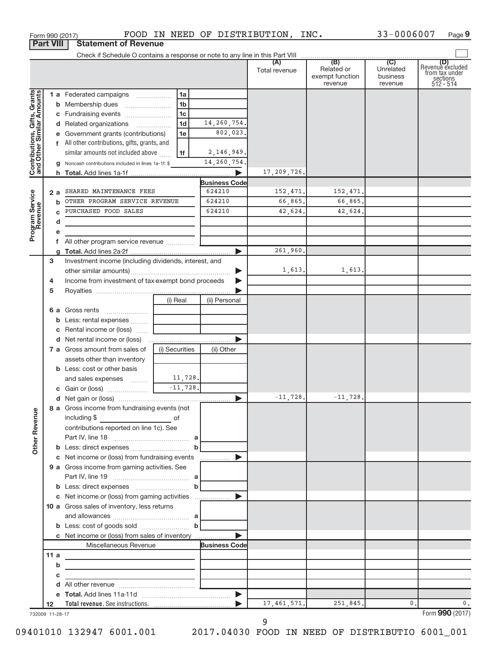|                                                           |                 |                                                                                                                      |                |                |                       | Total revenue | (B)<br>Related or<br>exempt function<br>revenue | (C)<br>Unrelated<br>business<br>revenue | (D)<br>Revenue excluded<br>from tax under<br>sections<br>512 - 514 |
|-----------------------------------------------------------|-----------------|----------------------------------------------------------------------------------------------------------------------|----------------|----------------|-----------------------|---------------|-------------------------------------------------|-----------------------------------------|--------------------------------------------------------------------|
|                                                           |                 | 1 a Federated campaigns                                                                                              |                | 1a             |                       |               |                                                 |                                         |                                                                    |
|                                                           |                 | <b>b</b> Membership dues                                                                                             |                | 1 <sub>b</sub> |                       |               |                                                 |                                         |                                                                    |
| Contributions, Gifts, Grants<br>and Other Similar Amounts |                 | c Fundraising events                                                                                                 |                | 1 <sub>c</sub> |                       |               |                                                 |                                         |                                                                    |
|                                                           |                 | d Related organizations                                                                                              |                | 1 <sub>d</sub> | 14, 260, 754.         |               |                                                 |                                         |                                                                    |
|                                                           |                 | e Government grants (contributions)                                                                                  |                | 1e             | 802,023.              |               |                                                 |                                         |                                                                    |
|                                                           |                 | f All other contributions, gifts, grants, and                                                                        |                |                |                       |               |                                                 |                                         |                                                                    |
|                                                           |                 | similar amounts not included above                                                                                   |                | 1f             | 2,146,949.            |               |                                                 |                                         |                                                                    |
|                                                           |                 | g Noncash contributions included in lines 1a-1f: \$                                                                  |                |                | 14, 260, 754.         |               |                                                 |                                         |                                                                    |
|                                                           |                 |                                                                                                                      |                |                | $\blacktriangleright$ | 17,209,726.   |                                                 |                                         |                                                                    |
|                                                           |                 |                                                                                                                      |                |                | <b>Business Code</b>  |               |                                                 |                                         |                                                                    |
|                                                           | 2 a             | SHARED MAINTENANCE FEES                                                                                              |                |                | 624210                | 152,471.      | 152,471.                                        |                                         |                                                                    |
|                                                           | b.              | OTHER PROGRAM SERVICE REVENUE                                                                                        |                |                | 624210                | 66,865.       | 66,865.                                         |                                         |                                                                    |
| Program Service                                           |                 | PURCHASED FOOD SALES                                                                                                 |                |                | 624210                | 42,624.       | 42,624.                                         |                                         |                                                                    |
|                                                           |                 |                                                                                                                      |                |                |                       |               |                                                 |                                         |                                                                    |
|                                                           | d               |                                                                                                                      |                |                |                       |               |                                                 |                                         |                                                                    |
|                                                           | е               |                                                                                                                      |                |                |                       |               |                                                 |                                         |                                                                    |
|                                                           |                 | f All other program service revenue                                                                                  |                |                |                       | 261,960.      |                                                 |                                         |                                                                    |
|                                                           |                 |                                                                                                                      |                |                |                       |               |                                                 |                                         |                                                                    |
|                                                           | 3               | Investment income (including dividends, interest, and                                                                |                |                |                       |               |                                                 |                                         |                                                                    |
|                                                           |                 |                                                                                                                      |                |                |                       | 1,613.        | 1,613.                                          |                                         |                                                                    |
|                                                           | 4               | Income from investment of tax-exempt bond proceeds                                                                   |                |                |                       |               |                                                 |                                         |                                                                    |
|                                                           | 5               |                                                                                                                      |                |                |                       |               |                                                 |                                         |                                                                    |
|                                                           |                 |                                                                                                                      | (i) Real       |                | (ii) Personal         |               |                                                 |                                         |                                                                    |
|                                                           |                 | 6 a Gross rents                                                                                                      |                |                |                       |               |                                                 |                                         |                                                                    |
|                                                           |                 | <b>b</b> Less: rental expenses                                                                                       |                |                |                       |               |                                                 |                                         |                                                                    |
|                                                           |                 | c Rental income or (loss)                                                                                            |                |                |                       |               |                                                 |                                         |                                                                    |
|                                                           |                 |                                                                                                                      |                |                |                       |               |                                                 |                                         |                                                                    |
|                                                           |                 | 7 a Gross amount from sales of                                                                                       | (i) Securities |                | (ii) Other            |               |                                                 |                                         |                                                                    |
|                                                           |                 | assets other than inventory                                                                                          |                |                |                       |               |                                                 |                                         |                                                                    |
|                                                           |                 | <b>b</b> Less: cost or other basis                                                                                   |                |                |                       |               |                                                 |                                         |                                                                    |
|                                                           |                 | and sales expenses                                                                                                   |                | 11,728.        |                       |               |                                                 |                                         |                                                                    |
|                                                           |                 |                                                                                                                      |                | $-11, 728.$    |                       |               |                                                 |                                         |                                                                    |
|                                                           |                 |                                                                                                                      |                |                | ▶                     | $-11,728.$    | $-11,728.$                                      |                                         |                                                                    |
| nue                                                       |                 | 8 a Gross income from fundraising events (not                                                                        |                |                |                       |               |                                                 |                                         |                                                                    |
|                                                           |                 | including \$                                                                                                         |                |                |                       |               |                                                 |                                         |                                                                    |
|                                                           |                 | contributions reported on line 1c). See                                                                              |                |                |                       |               |                                                 |                                         |                                                                    |
|                                                           |                 |                                                                                                                      |                |                |                       |               |                                                 |                                         |                                                                    |
| Other Rever                                               |                 |                                                                                                                      |                |                |                       |               |                                                 |                                         |                                                                    |
|                                                           |                 | c Net income or (loss) from fundraising events                                                                       |                |                | $\blacksquare$        |               |                                                 |                                         |                                                                    |
|                                                           |                 | 9 a Gross income from gaming activities. See                                                                         |                |                |                       |               |                                                 |                                         |                                                                    |
|                                                           |                 |                                                                                                                      |                |                |                       |               |                                                 |                                         |                                                                    |
|                                                           |                 |                                                                                                                      |                |                |                       |               |                                                 |                                         |                                                                    |
|                                                           |                 |                                                                                                                      |                |                |                       |               |                                                 |                                         |                                                                    |
|                                                           |                 | 10 a Gross sales of inventory, less returns                                                                          |                |                |                       |               |                                                 |                                         |                                                                    |
|                                                           |                 |                                                                                                                      |                |                |                       |               |                                                 |                                         |                                                                    |
|                                                           |                 |                                                                                                                      |                |                |                       |               |                                                 |                                         |                                                                    |
|                                                           |                 | c Net income or (loss) from sales of inventory                                                                       |                |                | $\blacktriangleright$ |               |                                                 |                                         |                                                                    |
|                                                           |                 | Miscellaneous Revenue                                                                                                |                |                | <b>Business Code</b>  |               |                                                 |                                         |                                                                    |
|                                                           | 11a             | the control of the control of the control of the control of the control of                                           |                |                |                       |               |                                                 |                                         |                                                                    |
|                                                           | b               | <u> 1989 - Johann John Stein, markin fan it ferstjer fan it ferstjer fan it ferstjer fan it ferstjer fan it fers</u> |                |                |                       |               |                                                 |                                         |                                                                    |
|                                                           | c               | the control of the control of the control of the control of the control of                                           |                |                |                       |               |                                                 |                                         |                                                                    |
|                                                           |                 |                                                                                                                      |                |                |                       |               |                                                 |                                         |                                                                    |
|                                                           |                 |                                                                                                                      |                |                | $\blacktriangleright$ |               |                                                 |                                         |                                                                    |
|                                                           | $12 \,$         |                                                                                                                      |                |                | $\blacktriangleright$ | 17, 461, 571. | 251,845.                                        |                                         | 0.<br>0.                                                           |
|                                                           | 732009 11-28-17 |                                                                                                                      |                |                |                       |               |                                                 |                                         | Form 990 (2017)                                                    |

Form 990 (2017)  $FOOD$  IN NEED OF DISTRIBUTION, INC.  $33-0006007$  Page

**9**

**Part VIII Statement of Revenue**

9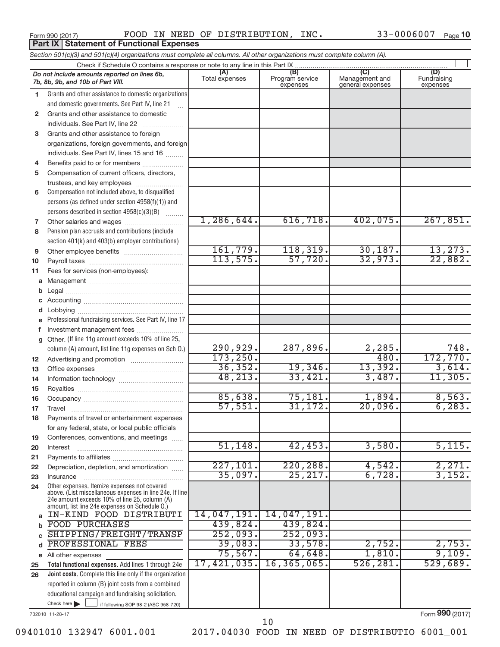**Part IX Statement of Functional Expenses** 

Form 990 (2017)  $\qquad \qquad$  FOOD IN NEED OF DISTRIBUTION, INC.  $\qquad \qquad 33-0006007$   $_{\text{Page}}$ 

|              | Section 501(c)(3) and 501(c)(4) organizations must complete all columns. All other organizations must complete column (A).                                  |                |                                    |                                    |                         |  |  |  |  |  |
|--------------|-------------------------------------------------------------------------------------------------------------------------------------------------------------|----------------|------------------------------------|------------------------------------|-------------------------|--|--|--|--|--|
|              | Check if Schedule O contains a response or note to any line in this Part IX<br>(A)<br>(C)<br>(D)                                                            |                |                                    |                                    |                         |  |  |  |  |  |
|              | Do not include amounts reported on lines 6b,<br>7b, 8b, 9b, and 10b of Part VIII.                                                                           | Total expenses | (B)<br>Program service<br>expenses | Management and<br>general expenses | Fundraising<br>expenses |  |  |  |  |  |
| 1.           | Grants and other assistance to domestic organizations                                                                                                       |                |                                    |                                    |                         |  |  |  |  |  |
|              | and domestic governments. See Part IV, line 21                                                                                                              |                |                                    |                                    |                         |  |  |  |  |  |
| $\mathbf{2}$ | Grants and other assistance to domestic                                                                                                                     |                |                                    |                                    |                         |  |  |  |  |  |
|              | individuals. See Part IV, line 22                                                                                                                           |                |                                    |                                    |                         |  |  |  |  |  |
| 3            | Grants and other assistance to foreign                                                                                                                      |                |                                    |                                    |                         |  |  |  |  |  |
|              | organizations, foreign governments, and foreign                                                                                                             |                |                                    |                                    |                         |  |  |  |  |  |
|              | individuals. See Part IV, lines 15 and 16                                                                                                                   |                |                                    |                                    |                         |  |  |  |  |  |
| 4            | Benefits paid to or for members                                                                                                                             |                |                                    |                                    |                         |  |  |  |  |  |
| 5            | Compensation of current officers, directors,                                                                                                                |                |                                    |                                    |                         |  |  |  |  |  |
|              | trustees, and key employees                                                                                                                                 |                |                                    |                                    |                         |  |  |  |  |  |
| 6            | Compensation not included above, to disqualified                                                                                                            |                |                                    |                                    |                         |  |  |  |  |  |
|              | persons (as defined under section 4958(f)(1)) and                                                                                                           |                |                                    |                                    |                         |  |  |  |  |  |
|              | persons described in section $4958(c)(3)(B)$<br><b>Bassician</b>                                                                                            | 1,286,644.     | 616, 718.                          | 402,075.                           | 267,851.                |  |  |  |  |  |
| 7<br>8       | Pension plan accruals and contributions (include                                                                                                            |                |                                    |                                    |                         |  |  |  |  |  |
|              | section 401(k) and 403(b) employer contributions)                                                                                                           |                |                                    |                                    |                         |  |  |  |  |  |
| 9            |                                                                                                                                                             | 161,779.       | 118, 319.                          | 30, 187.                           | 13, 273.                |  |  |  |  |  |
| 10           |                                                                                                                                                             | 113,575.       | 57,720.                            | 32,973.                            | 22,882.                 |  |  |  |  |  |
| 11           | Fees for services (non-employees):                                                                                                                          |                |                                    |                                    |                         |  |  |  |  |  |
|              |                                                                                                                                                             |                |                                    |                                    |                         |  |  |  |  |  |
| b            |                                                                                                                                                             |                |                                    |                                    |                         |  |  |  |  |  |
| c            |                                                                                                                                                             |                |                                    |                                    |                         |  |  |  |  |  |
| d            |                                                                                                                                                             |                |                                    |                                    |                         |  |  |  |  |  |
|              | Professional fundraising services. See Part IV, line 17                                                                                                     |                |                                    |                                    |                         |  |  |  |  |  |
| f            | Investment management fees                                                                                                                                  |                |                                    |                                    |                         |  |  |  |  |  |
| g            | Other. (If line 11g amount exceeds 10% of line 25,                                                                                                          |                |                                    |                                    |                         |  |  |  |  |  |
|              | column (A) amount, list line 11g expenses on Sch O.)                                                                                                        | 290,929.       | 287,896.                           | 2,285.                             | 748.                    |  |  |  |  |  |
| 12           |                                                                                                                                                             | 173, 250.      |                                    | 480.                               | 172,770.                |  |  |  |  |  |
| 13           |                                                                                                                                                             | 36, 352.       | 19,346.                            | 13,392.                            | 3,614.                  |  |  |  |  |  |
| 14           |                                                                                                                                                             | 48, 213.       | 33,421.                            | 3,487.                             | 11,305.                 |  |  |  |  |  |
| 15           |                                                                                                                                                             |                |                                    |                                    |                         |  |  |  |  |  |
| 16           |                                                                                                                                                             | 85,638.        | 75,181.                            | 1,894.                             | 8,563.                  |  |  |  |  |  |
| 17           |                                                                                                                                                             | 57,551.        | 31,172.                            | 20,096.                            | 6, 283.                 |  |  |  |  |  |
| 18           | Payments of travel or entertainment expenses                                                                                                                |                |                                    |                                    |                         |  |  |  |  |  |
|              | for any federal, state, or local public officials                                                                                                           |                |                                    |                                    |                         |  |  |  |  |  |
| 19           | Conferences, conventions, and meetings                                                                                                                      | 51,148.        | 42, 453.                           | 3,580.                             |                         |  |  |  |  |  |
| 20           | Interest                                                                                                                                                    |                |                                    |                                    | 5,115.                  |  |  |  |  |  |
| 21           |                                                                                                                                                             | 227,101.       | 220, 288.                          | 4,542.                             | 2,271.                  |  |  |  |  |  |
| 22           | Depreciation, depletion, and amortization                                                                                                                   | 35,097.        | 25, 217.                           | 6,728.                             | 3,152.                  |  |  |  |  |  |
| 23<br>24     | Insurance<br>Other expenses. Itemize expenses not covered                                                                                                   |                |                                    |                                    |                         |  |  |  |  |  |
|              | above. (List miscellaneous expenses in line 24e. If line<br>24e amount exceeds 10% of line 25, column (A)<br>amount, list line 24e expenses on Schedule O.) |                |                                    |                                    |                         |  |  |  |  |  |
| a            | IN-KIND FOOD DISTRIBUTI                                                                                                                                     | 14,047,191.    | 14,047,191.                        |                                    |                         |  |  |  |  |  |
| b            | <b>FOOD PURCHASES</b>                                                                                                                                       | 439,824.       | 439,824.                           |                                    |                         |  |  |  |  |  |
|              | SHIPPING/FREIGHT/TRANSP                                                                                                                                     | 252,093.       | 252,093.                           |                                    |                         |  |  |  |  |  |
| d            | PROFESSIONAL FEES                                                                                                                                           | 39,083.        | 33,578.                            | 2,752.                             | 2,753.                  |  |  |  |  |  |
|              | e All other expenses                                                                                                                                        | 75,567.        | 64,648.                            | 1,810.                             | 9,109.                  |  |  |  |  |  |
| 25           | Total functional expenses. Add lines 1 through 24e                                                                                                          | 17,421,035.    | 16, 365, 065.                      | 526, 281.                          | 529,689.                |  |  |  |  |  |
| 26           | Joint costs. Complete this line only if the organization                                                                                                    |                |                                    |                                    |                         |  |  |  |  |  |
|              | reported in column (B) joint costs from a combined                                                                                                          |                |                                    |                                    |                         |  |  |  |  |  |
|              | educational campaign and fundraising solicitation.                                                                                                          |                |                                    |                                    |                         |  |  |  |  |  |
|              | Check here $\blacktriangleright$<br>if following SOP 98-2 (ASC 958-720)                                                                                     |                |                                    |                                    |                         |  |  |  |  |  |

732010 11-28-17

Form (2017) **990**

09401010 132947 6001.001 2017.04030 FOOD IN NEED OF DISTRIBUTIO 6001\_001

10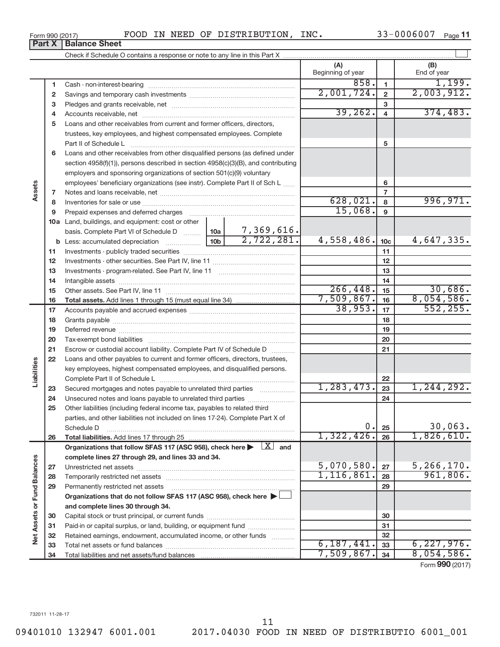Check if Schedule O contains a response or note to any line in this Part X **Part X** | Balance Sheet

**Assets**

**Liabilities**

**Net Assets or Fund Balances**

Net Assets or Fund Balances

|              |                                                                                                                                                                    | (A)<br>Beginning of year |                 | (B)<br>End of year |
|--------------|--------------------------------------------------------------------------------------------------------------------------------------------------------------------|--------------------------|-----------------|--------------------|
|              | 1                                                                                                                                                                  | 858.                     | 1               | 1,199.             |
| $\mathbf{2}$ |                                                                                                                                                                    | 2,001,724.               | $\overline{2}$  | 2,003,912.         |
| з            |                                                                                                                                                                    |                          | 3               |                    |
|              |                                                                                                                                                                    | 39, 262.                 | 4               | 374, 483.          |
| 4            |                                                                                                                                                                    |                          |                 |                    |
| 5            | Loans and other receivables from current and former officers, directors,                                                                                           |                          |                 |                    |
|              | trustees, key employees, and highest compensated employees. Complete                                                                                               |                          | 5               |                    |
|              | Part II of Schedule L                                                                                                                                              |                          |                 |                    |
| 6            | Loans and other receivables from other disqualified persons (as defined under<br>section 4958(f)(1)), persons described in section 4958(c)(3)(B), and contributing |                          |                 |                    |
|              | employers and sponsoring organizations of section 501(c)(9) voluntary                                                                                              |                          |                 |                    |
|              | employees' beneficiary organizations (see instr). Complete Part II of Sch L                                                                                        |                          | 6               |                    |
| 7            |                                                                                                                                                                    |                          | 7               |                    |
| 8            |                                                                                                                                                                    | 628,021.                 | 8               | 996,971.           |
| 9            | Prepaid expenses and deferred charges                                                                                                                              | 15,068.                  | 9               |                    |
|              | 10a Land, buildings, and equipment: cost or other                                                                                                                  |                          |                 |                    |
|              | 7,369,616.<br>basis. Complete Part VI of Schedule D  10a                                                                                                           |                          |                 |                    |
|              | 2,722,281.                                                                                                                                                         | 4,558,486.               | 10 <sub>c</sub> | 4,647,335.         |
| 11           |                                                                                                                                                                    |                          | 11              |                    |
| 12           |                                                                                                                                                                    |                          | 12              |                    |
| 13           |                                                                                                                                                                    |                          | 13              |                    |
| 14           |                                                                                                                                                                    |                          | 14              |                    |
| 15           |                                                                                                                                                                    | 266, 448.                | 15              | 30,686.            |
| 16           |                                                                                                                                                                    | 7,509,867.               | 16              | 8,054,586.         |
| 17           |                                                                                                                                                                    | 38,953.                  | 17              | 552, 255.          |
| 18           |                                                                                                                                                                    |                          | 18              |                    |
| 19           |                                                                                                                                                                    |                          | 19              |                    |
| 20           |                                                                                                                                                                    |                          | 20              |                    |
| 21           | Escrow or custodial account liability. Complete Part IV of Schedule D                                                                                              |                          | 21              |                    |
| 22           | Loans and other payables to current and former officers, directors, trustees,                                                                                      |                          |                 |                    |
|              | key employees, highest compensated employees, and disqualified persons.                                                                                            |                          |                 |                    |
|              |                                                                                                                                                                    |                          | 22              |                    |
| 23           | Secured mortgages and notes payable to unrelated third parties                                                                                                     | 1, 283, 473.             | 23              | 1,244,292.         |
| 24           | Unsecured notes and loans payable to unrelated third parties                                                                                                       |                          | 24              |                    |
| 25           | Other liabilities (including federal income tax, payables to related third                                                                                         |                          |                 |                    |
|              | parties, and other liabilities not included on lines 17-24). Complete Part X of                                                                                    |                          |                 |                    |
|              | Schedule D                                                                                                                                                         | 0.1                      | 25              | 30,063.            |
| 26           |                                                                                                                                                                    | 1,322,426.               | 26              | 1,826,610.         |
|              | Organizations that follow SFAS 117 (ASC 958), check here $\blacktriangleright \begin{array}{c} \boxed{X} \\ \end{array}$ and                                       |                          |                 |                    |
|              | complete lines 27 through 29, and lines 33 and 34.                                                                                                                 |                          |                 |                    |
| 27           |                                                                                                                                                                    | 5,070,580.               | 27              | 5, 266, 170.       |
| 28           |                                                                                                                                                                    | 1,116,861.               | 28              | 961,806.           |
| 29           | Permanently restricted net assets                                                                                                                                  |                          | 29              |                    |
|              | Organizations that do not follow SFAS 117 (ASC 958), check here $\blacktriangleright$                                                                              |                          |                 |                    |
|              | and complete lines 30 through 34.                                                                                                                                  |                          |                 |                    |
| 30           |                                                                                                                                                                    |                          | 30              |                    |
| 31           | Paid-in or capital surplus, or land, building, or equipment fund                                                                                                   |                          | 31              |                    |
| 32           | Retained earnings, endowment, accumulated income, or other funds                                                                                                   |                          | 32              |                    |
| 33           |                                                                                                                                                                    | 6, 187, 441.             | 33              | 6, 227, 976.       |
| 34           |                                                                                                                                                                    | 7,509,867.               | 34              | 8,054,586.         |

 $\Box$ 

Form **990** (2017)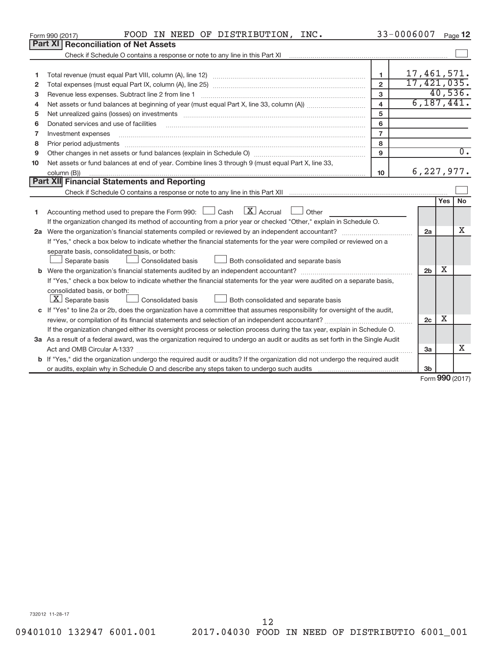|    | FOOD IN NEED OF DISTRIBUTION, INC.<br>Form 990 (2017)                                                                                                                                                                                                                                                                                                                                                                                                                    |                         | 33-0006007     |                   | Page 12          |  |  |  |  |  |
|----|--------------------------------------------------------------------------------------------------------------------------------------------------------------------------------------------------------------------------------------------------------------------------------------------------------------------------------------------------------------------------------------------------------------------------------------------------------------------------|-------------------------|----------------|-------------------|------------------|--|--|--|--|--|
|    | <b>Part XI   Reconciliation of Net Assets</b>                                                                                                                                                                                                                                                                                                                                                                                                                            |                         |                |                   |                  |  |  |  |  |  |
|    |                                                                                                                                                                                                                                                                                                                                                                                                                                                                          |                         |                |                   |                  |  |  |  |  |  |
|    |                                                                                                                                                                                                                                                                                                                                                                                                                                                                          |                         |                |                   |                  |  |  |  |  |  |
| 1  |                                                                                                                                                                                                                                                                                                                                                                                                                                                                          | 1                       | 17,461,571.    |                   |                  |  |  |  |  |  |
| 2  |                                                                                                                                                                                                                                                                                                                                                                                                                                                                          | $\overline{2}$          | 17,421,035.    |                   |                  |  |  |  |  |  |
| з  | Revenue less expenses. Subtract line 2 from line 1                                                                                                                                                                                                                                                                                                                                                                                                                       | 3                       |                |                   | 40,536.          |  |  |  |  |  |
| 4  |                                                                                                                                                                                                                                                                                                                                                                                                                                                                          | $\overline{\mathbf{4}}$ | 6, 187, 441.   |                   |                  |  |  |  |  |  |
| 5  | Net unrealized gains (losses) on investments [11] non-manufactured manufactured manufactured manufactured manu                                                                                                                                                                                                                                                                                                                                                           | 5                       |                |                   |                  |  |  |  |  |  |
| 6  | Donated services and use of facilities                                                                                                                                                                                                                                                                                                                                                                                                                                   | 6                       |                |                   |                  |  |  |  |  |  |
| 7  | Investment expenses                                                                                                                                                                                                                                                                                                                                                                                                                                                      | $\overline{7}$          |                |                   |                  |  |  |  |  |  |
| 8  | Prior period adjustments<br>$\begin{minipage}{0.5\textwidth} \begin{tabular}{ l l l } \hline \multicolumn{1}{ l l l } \hline \multicolumn{1}{ l l } \hline \multicolumn{1}{ l } \multicolumn{1}{ l } \hline \multicolumn{1}{ l } \multicolumn{1}{ l } \multicolumn{1}{ l } \multicolumn{1}{ l } \hline \multicolumn{1}{ l } \multicolumn{1}{ l } \multicolumn{1}{ l } \multicolumn{1}{ l } \hline \multicolumn{1}{ l } \multicolumn{1}{ l } \multicolumn{1}{ l } \hline$ | 8                       |                |                   |                  |  |  |  |  |  |
| 9  |                                                                                                                                                                                                                                                                                                                                                                                                                                                                          | 9                       |                |                   | $\overline{0}$ . |  |  |  |  |  |
| 10 | Net assets or fund balances at end of year. Combine lines 3 through 9 (must equal Part X, line 33,                                                                                                                                                                                                                                                                                                                                                                       |                         |                |                   |                  |  |  |  |  |  |
|    | column (B))                                                                                                                                                                                                                                                                                                                                                                                                                                                              | 10                      | 6, 227, 977.   |                   |                  |  |  |  |  |  |
|    | Part XII Financial Statements and Reporting                                                                                                                                                                                                                                                                                                                                                                                                                              |                         |                |                   |                  |  |  |  |  |  |
|    |                                                                                                                                                                                                                                                                                                                                                                                                                                                                          |                         |                |                   |                  |  |  |  |  |  |
|    |                                                                                                                                                                                                                                                                                                                                                                                                                                                                          |                         |                | Yes               | <b>No</b>        |  |  |  |  |  |
| 1  | $\lfloor x \rfloor$ Accrual<br>Accounting method used to prepare the Form 990: [130] Cash<br>Other                                                                                                                                                                                                                                                                                                                                                                       |                         |                |                   |                  |  |  |  |  |  |
|    | If the organization changed its method of accounting from a prior year or checked "Other," explain in Schedule O.                                                                                                                                                                                                                                                                                                                                                        |                         |                |                   |                  |  |  |  |  |  |
|    |                                                                                                                                                                                                                                                                                                                                                                                                                                                                          |                         | 2a             |                   | x                |  |  |  |  |  |
|    | If "Yes," check a box below to indicate whether the financial statements for the year were compiled or reviewed on a                                                                                                                                                                                                                                                                                                                                                     |                         |                |                   |                  |  |  |  |  |  |
|    | separate basis, consolidated basis, or both:                                                                                                                                                                                                                                                                                                                                                                                                                             |                         |                |                   |                  |  |  |  |  |  |
|    | Both consolidated and separate basis<br>Separate basis<br>Consolidated basis                                                                                                                                                                                                                                                                                                                                                                                             |                         |                |                   |                  |  |  |  |  |  |
|    |                                                                                                                                                                                                                                                                                                                                                                                                                                                                          |                         | 2 <sub>b</sub> | x                 |                  |  |  |  |  |  |
|    | If "Yes," check a box below to indicate whether the financial statements for the year were audited on a separate basis,                                                                                                                                                                                                                                                                                                                                                  |                         |                |                   |                  |  |  |  |  |  |
|    | consolidated basis, or both:                                                                                                                                                                                                                                                                                                                                                                                                                                             |                         |                |                   |                  |  |  |  |  |  |
|    | $\lfloor \underline{X} \rfloor$ Separate basis<br>Consolidated basis<br>Both consolidated and separate basis                                                                                                                                                                                                                                                                                                                                                             |                         |                |                   |                  |  |  |  |  |  |
|    | c If "Yes" to line 2a or 2b, does the organization have a committee that assumes responsibility for oversight of the audit,                                                                                                                                                                                                                                                                                                                                              |                         |                |                   |                  |  |  |  |  |  |
|    |                                                                                                                                                                                                                                                                                                                                                                                                                                                                          |                         | 2c             | х                 |                  |  |  |  |  |  |
|    | If the organization changed either its oversight process or selection process during the tax year, explain in Schedule O.                                                                                                                                                                                                                                                                                                                                                |                         |                |                   |                  |  |  |  |  |  |
|    | 3a As a result of a federal award, was the organization required to undergo an audit or audits as set forth in the Single Audit                                                                                                                                                                                                                                                                                                                                          |                         |                |                   |                  |  |  |  |  |  |
|    |                                                                                                                                                                                                                                                                                                                                                                                                                                                                          |                         | 3a             |                   | x                |  |  |  |  |  |
|    | <b>b</b> If "Yes," did the organization undergo the required audit or audits? If the organization did not undergo the required audit                                                                                                                                                                                                                                                                                                                                     |                         |                |                   |                  |  |  |  |  |  |
|    |                                                                                                                                                                                                                                                                                                                                                                                                                                                                          |                         | 3b             | $000 \text{ rad}$ |                  |  |  |  |  |  |
|    |                                                                                                                                                                                                                                                                                                                                                                                                                                                                          |                         |                |                   |                  |  |  |  |  |  |

Form **990** (2017)

732012 11-28-17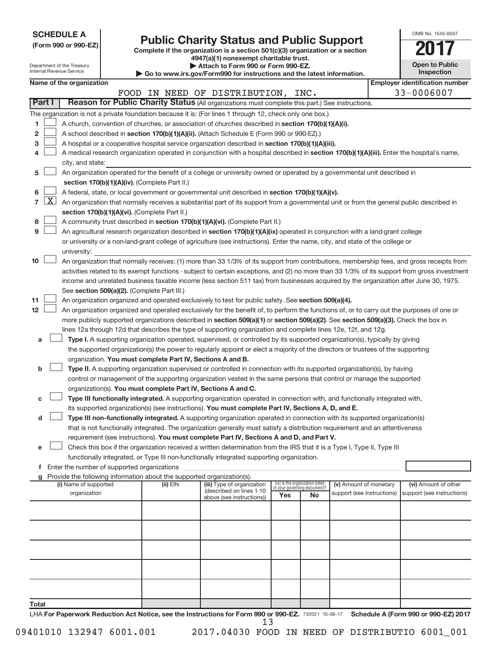| <b>SCHEDULE A</b> |  |
|-------------------|--|
|-------------------|--|

Department of the Treasury

# Form 990 or 990-EZ)<br>
Complete if the organization is a section 501(c)(3) organization or a section<br> **2017**

**4947(a)(1) nonexempt charitable trust.**

**| Attach to Form 990 or Form 990-EZ.** 

| OMB No 1545-0047                    |
|-------------------------------------|
|                                     |
| <b>Open to Public</b><br>Inspection |

|                   | Internal Revenue Service<br>Inspection<br>Go to www.irs.gov/Form990 for instructions and the latest information. |                                                                                                                                                                                                                                               |  |                                                                        |                                                                                                                                                                                                                                                                 |                                 |    |                                                      |  |                                                     |  |
|-------------------|------------------------------------------------------------------------------------------------------------------|-----------------------------------------------------------------------------------------------------------------------------------------------------------------------------------------------------------------------------------------------|--|------------------------------------------------------------------------|-----------------------------------------------------------------------------------------------------------------------------------------------------------------------------------------------------------------------------------------------------------------|---------------------------------|----|------------------------------------------------------|--|-----------------------------------------------------|--|
|                   |                                                                                                                  | Name of the organization                                                                                                                                                                                                                      |  |                                                                        |                                                                                                                                                                                                                                                                 |                                 |    |                                                      |  | <b>Employer identification number</b><br>33-0006007 |  |
|                   | Part I                                                                                                           |                                                                                                                                                                                                                                               |  |                                                                        | FOOD IN NEED OF DISTRIBUTION, INC.<br>Reason for Public Charity Status (All organizations must complete this part.) See instructions.                                                                                                                           |                                 |    |                                                      |  |                                                     |  |
|                   |                                                                                                                  |                                                                                                                                                                                                                                               |  |                                                                        |                                                                                                                                                                                                                                                                 |                                 |    |                                                      |  |                                                     |  |
|                   |                                                                                                                  |                                                                                                                                                                                                                                               |  |                                                                        | The organization is not a private foundation because it is: (For lines 1 through 12, check only one box.)                                                                                                                                                       |                                 |    |                                                      |  |                                                     |  |
| 1                 |                                                                                                                  |                                                                                                                                                                                                                                               |  |                                                                        | A church, convention of churches, or association of churches described in section 170(b)(1)(A)(i).                                                                                                                                                              |                                 |    |                                                      |  |                                                     |  |
| 2                 |                                                                                                                  |                                                                                                                                                                                                                                               |  |                                                                        | A school described in section 170(b)(1)(A)(ii). (Attach Schedule E (Form 990 or 990-EZ).)                                                                                                                                                                       |                                 |    |                                                      |  |                                                     |  |
| З                 |                                                                                                                  |                                                                                                                                                                                                                                               |  |                                                                        | A hospital or a cooperative hospital service organization described in section 170(b)(1)(A)(iii).                                                                                                                                                               |                                 |    |                                                      |  |                                                     |  |
|                   |                                                                                                                  |                                                                                                                                                                                                                                               |  |                                                                        | A medical research organization operated in conjunction with a hospital described in section 170(b)(1)(A)(iii). Enter the hospital's name,                                                                                                                      |                                 |    |                                                      |  |                                                     |  |
|                   |                                                                                                                  | city, and state:                                                                                                                                                                                                                              |  |                                                                        | An organization operated for the benefit of a college or university owned or operated by a governmental unit described in                                                                                                                                       |                                 |    |                                                      |  |                                                     |  |
| 5                 |                                                                                                                  |                                                                                                                                                                                                                                               |  |                                                                        |                                                                                                                                                                                                                                                                 |                                 |    |                                                      |  |                                                     |  |
|                   |                                                                                                                  |                                                                                                                                                                                                                                               |  | section 170(b)(1)(A)(iv). (Complete Part II.)                          |                                                                                                                                                                                                                                                                 |                                 |    |                                                      |  |                                                     |  |
| 6<br>$\mathbf{7}$ | $\lfloor x \rfloor$                                                                                              | A federal, state, or local government or governmental unit described in section 170(b)(1)(A)(v).<br>An organization that normally receives a substantial part of its support from a governmental unit or from the general public described in |  |                                                                        |                                                                                                                                                                                                                                                                 |                                 |    |                                                      |  |                                                     |  |
|                   |                                                                                                                  |                                                                                                                                                                                                                                               |  |                                                                        |                                                                                                                                                                                                                                                                 |                                 |    |                                                      |  |                                                     |  |
| 8                 |                                                                                                                  |                                                                                                                                                                                                                                               |  | section 170(b)(1)(A)(vi). (Complete Part II.)                          | A community trust described in section 170(b)(1)(A)(vi). (Complete Part II.)                                                                                                                                                                                    |                                 |    |                                                      |  |                                                     |  |
| 9                 |                                                                                                                  |                                                                                                                                                                                                                                               |  |                                                                        |                                                                                                                                                                                                                                                                 |                                 |    |                                                      |  |                                                     |  |
|                   |                                                                                                                  |                                                                                                                                                                                                                                               |  |                                                                        | An agricultural research organization described in section 170(b)(1)(A)(ix) operated in conjunction with a land-grant college<br>or university or a non-land-grant college of agriculture (see instructions). Enter the name, city, and state of the college or |                                 |    |                                                      |  |                                                     |  |
|                   |                                                                                                                  | university:                                                                                                                                                                                                                                   |  |                                                                        |                                                                                                                                                                                                                                                                 |                                 |    |                                                      |  |                                                     |  |
| 10                |                                                                                                                  |                                                                                                                                                                                                                                               |  |                                                                        | An organization that normally receives: (1) more than 33 1/3% of its support from contributions, membership fees, and gross receipts from                                                                                                                       |                                 |    |                                                      |  |                                                     |  |
|                   |                                                                                                                  |                                                                                                                                                                                                                                               |  |                                                                        | activities related to its exempt functions - subject to certain exceptions, and (2) no more than 33 1/3% of its support from gross investment                                                                                                                   |                                 |    |                                                      |  |                                                     |  |
|                   |                                                                                                                  |                                                                                                                                                                                                                                               |  |                                                                        | income and unrelated business taxable income (less section 511 tax) from businesses acquired by the organization after June 30, 1975.                                                                                                                           |                                 |    |                                                      |  |                                                     |  |
|                   |                                                                                                                  |                                                                                                                                                                                                                                               |  | See section 509(a)(2). (Complete Part III.)                            |                                                                                                                                                                                                                                                                 |                                 |    |                                                      |  |                                                     |  |
| 11                |                                                                                                                  |                                                                                                                                                                                                                                               |  |                                                                        | An organization organized and operated exclusively to test for public safety. See section 509(a)(4).                                                                                                                                                            |                                 |    |                                                      |  |                                                     |  |
| 12                |                                                                                                                  |                                                                                                                                                                                                                                               |  |                                                                        | An organization organized and operated exclusively for the benefit of, to perform the functions of, or to carry out the purposes of one or                                                                                                                      |                                 |    |                                                      |  |                                                     |  |
|                   |                                                                                                                  |                                                                                                                                                                                                                                               |  |                                                                        | more publicly supported organizations described in section 509(a)(1) or section 509(a)(2). See section 509(a)(3). Check the box in                                                                                                                              |                                 |    |                                                      |  |                                                     |  |
|                   |                                                                                                                  |                                                                                                                                                                                                                                               |  |                                                                        | lines 12a through 12d that describes the type of supporting organization and complete lines 12e, 12f, and 12g.                                                                                                                                                  |                                 |    |                                                      |  |                                                     |  |
| а                 |                                                                                                                  |                                                                                                                                                                                                                                               |  |                                                                        | Type I. A supporting organization operated, supervised, or controlled by its supported organization(s), typically by giving                                                                                                                                     |                                 |    |                                                      |  |                                                     |  |
|                   |                                                                                                                  |                                                                                                                                                                                                                                               |  |                                                                        | the supported organization(s) the power to regularly appoint or elect a majority of the directors or trustees of the supporting                                                                                                                                 |                                 |    |                                                      |  |                                                     |  |
|                   |                                                                                                                  |                                                                                                                                                                                                                                               |  | organization. You must complete Part IV, Sections A and B.             |                                                                                                                                                                                                                                                                 |                                 |    |                                                      |  |                                                     |  |
| b                 |                                                                                                                  |                                                                                                                                                                                                                                               |  |                                                                        | Type II. A supporting organization supervised or controlled in connection with its supported organization(s), by having                                                                                                                                         |                                 |    |                                                      |  |                                                     |  |
|                   |                                                                                                                  |                                                                                                                                                                                                                                               |  |                                                                        | control or management of the supporting organization vested in the same persons that control or manage the supported                                                                                                                                            |                                 |    |                                                      |  |                                                     |  |
|                   |                                                                                                                  |                                                                                                                                                                                                                                               |  | organization(s). You must complete Part IV, Sections A and C.          |                                                                                                                                                                                                                                                                 |                                 |    |                                                      |  |                                                     |  |
| с                 |                                                                                                                  |                                                                                                                                                                                                                                               |  |                                                                        | Type III functionally integrated. A supporting organization operated in connection with, and functionally integrated with,                                                                                                                                      |                                 |    |                                                      |  |                                                     |  |
|                   |                                                                                                                  |                                                                                                                                                                                                                                               |  |                                                                        | its supported organization(s) (see instructions). You must complete Part IV, Sections A, D, and E.                                                                                                                                                              |                                 |    |                                                      |  |                                                     |  |
| d                 |                                                                                                                  |                                                                                                                                                                                                                                               |  |                                                                        | Type III non-functionally integrated. A supporting organization operated in connection with its supported organization(s)                                                                                                                                       |                                 |    |                                                      |  |                                                     |  |
|                   |                                                                                                                  |                                                                                                                                                                                                                                               |  |                                                                        | that is not functionally integrated. The organization generally must satisfy a distribution requirement and an attentiveness                                                                                                                                    |                                 |    |                                                      |  |                                                     |  |
|                   |                                                                                                                  |                                                                                                                                                                                                                                               |  |                                                                        | requirement (see instructions). You must complete Part IV, Sections A and D, and Part V.                                                                                                                                                                        |                                 |    |                                                      |  |                                                     |  |
| е                 |                                                                                                                  |                                                                                                                                                                                                                                               |  |                                                                        | Check this box if the organization received a written determination from the IRS that it is a Type I, Type II, Type III                                                                                                                                         |                                 |    |                                                      |  |                                                     |  |
|                   |                                                                                                                  |                                                                                                                                                                                                                                               |  |                                                                        | functionally integrated, or Type III non-functionally integrated supporting organization.                                                                                                                                                                       |                                 |    |                                                      |  |                                                     |  |
|                   |                                                                                                                  | Enter the number of supported organizations                                                                                                                                                                                                   |  |                                                                        |                                                                                                                                                                                                                                                                 |                                 |    |                                                      |  |                                                     |  |
|                   |                                                                                                                  |                                                                                                                                                                                                                                               |  | Provide the following information about the supported organization(s). |                                                                                                                                                                                                                                                                 | (iv) Is the organization listed |    |                                                      |  |                                                     |  |
|                   |                                                                                                                  | (i) Name of supported<br>organization                                                                                                                                                                                                         |  | (ii) EIN                                                               | (iii) Type of organization<br>(described on lines 1-10                                                                                                                                                                                                          | in your governing document?     |    | (v) Amount of monetary<br>support (see instructions) |  | (vi) Amount of other<br>support (see instructions)  |  |
|                   |                                                                                                                  |                                                                                                                                                                                                                                               |  |                                                                        | above (see instructions))                                                                                                                                                                                                                                       | Yes                             | No |                                                      |  |                                                     |  |
|                   |                                                                                                                  |                                                                                                                                                                                                                                               |  |                                                                        |                                                                                                                                                                                                                                                                 |                                 |    |                                                      |  |                                                     |  |
|                   |                                                                                                                  |                                                                                                                                                                                                                                               |  |                                                                        |                                                                                                                                                                                                                                                                 |                                 |    |                                                      |  |                                                     |  |
|                   |                                                                                                                  |                                                                                                                                                                                                                                               |  |                                                                        |                                                                                                                                                                                                                                                                 |                                 |    |                                                      |  |                                                     |  |
|                   |                                                                                                                  |                                                                                                                                                                                                                                               |  |                                                                        |                                                                                                                                                                                                                                                                 |                                 |    |                                                      |  |                                                     |  |
|                   |                                                                                                                  |                                                                                                                                                                                                                                               |  |                                                                        |                                                                                                                                                                                                                                                                 |                                 |    |                                                      |  |                                                     |  |
|                   |                                                                                                                  |                                                                                                                                                                                                                                               |  |                                                                        |                                                                                                                                                                                                                                                                 |                                 |    |                                                      |  |                                                     |  |
|                   |                                                                                                                  |                                                                                                                                                                                                                                               |  |                                                                        |                                                                                                                                                                                                                                                                 |                                 |    |                                                      |  |                                                     |  |
|                   |                                                                                                                  |                                                                                                                                                                                                                                               |  |                                                                        |                                                                                                                                                                                                                                                                 |                                 |    |                                                      |  |                                                     |  |
|                   |                                                                                                                  |                                                                                                                                                                                                                                               |  |                                                                        |                                                                                                                                                                                                                                                                 |                                 |    |                                                      |  |                                                     |  |
| Total             |                                                                                                                  |                                                                                                                                                                                                                                               |  |                                                                        |                                                                                                                                                                                                                                                                 |                                 |    |                                                      |  |                                                     |  |

LHA For Paperwork Reduction Act Notice, see the Instructions for Form 990 or 990-EZ. 732021 10-06-17 Schedule A (Form 990 or 990-EZ) 2017 13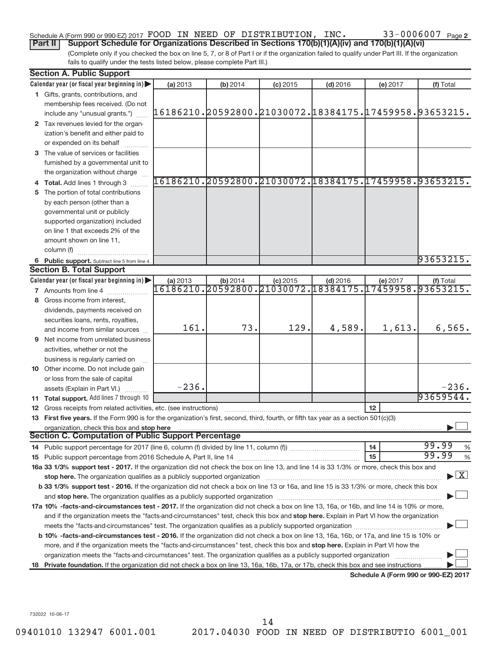## Schedule A (Form 990 or 990-EZ) 2017  ${\tt FOOD}$  IN NEED OF  ${\tt DISTRIBUTION}$ , INC.  $33\text{--}0006007$   ${\tt Page}$

(Complete only if you checked the box on line 5, 7, or 8 of Part I or if the organization failed to qualify under Part III. If the organization fails to qualify under the tests listed below, please complete Part III.) **Part II** | Support Schedule for Organizations Described in Sections 170(b)(1)(A)(iv) and 170(b)(1)(A)(vi)

|    | <b>Section A. Public Support</b>                                                                                                                                                                                               |                                                        |                                  |                                                       |            |                       |                                      |
|----|--------------------------------------------------------------------------------------------------------------------------------------------------------------------------------------------------------------------------------|--------------------------------------------------------|----------------------------------|-------------------------------------------------------|------------|-----------------------|--------------------------------------|
|    | Calendar year (or fiscal year beginning in)                                                                                                                                                                                    | (a) 2013                                               | (b) 2014                         | $(c)$ 2015                                            | $(d)$ 2016 | (e) 2017              | (f) Total                            |
|    | 1 Gifts, grants, contributions, and                                                                                                                                                                                            |                                                        |                                  |                                                       |            |                       |                                      |
|    | membership fees received. (Do not                                                                                                                                                                                              |                                                        |                                  |                                                       |            |                       |                                      |
|    | include any "unusual grants.")                                                                                                                                                                                                 | 16186210.20592800.21030072.18384175.17459958.93653215. |                                  |                                                       |            |                       |                                      |
|    | 2 Tax revenues levied for the organ-                                                                                                                                                                                           |                                                        |                                  |                                                       |            |                       |                                      |
|    | ization's benefit and either paid to                                                                                                                                                                                           |                                                        |                                  |                                                       |            |                       |                                      |
|    | or expended on its behalf                                                                                                                                                                                                      |                                                        |                                  |                                                       |            |                       |                                      |
|    | 3 The value of services or facilities                                                                                                                                                                                          |                                                        |                                  |                                                       |            |                       |                                      |
|    | furnished by a governmental unit to                                                                                                                                                                                            |                                                        |                                  |                                                       |            |                       |                                      |
|    | the organization without charge                                                                                                                                                                                                |                                                        |                                  |                                                       |            |                       |                                      |
|    | 4 Total. Add lines 1 through 3                                                                                                                                                                                                 |                                                        |                                  | 16186210.20592800.21030072.18384175.17459958.93653215 |            |                       |                                      |
| 5. | The portion of total contributions                                                                                                                                                                                             |                                                        |                                  |                                                       |            |                       |                                      |
|    | by each person (other than a                                                                                                                                                                                                   |                                                        |                                  |                                                       |            |                       |                                      |
|    | governmental unit or publicly                                                                                                                                                                                                  |                                                        |                                  |                                                       |            |                       |                                      |
|    | supported organization) included                                                                                                                                                                                               |                                                        |                                  |                                                       |            |                       |                                      |
|    | on line 1 that exceeds 2% of the                                                                                                                                                                                               |                                                        |                                  |                                                       |            |                       |                                      |
|    | amount shown on line 11,                                                                                                                                                                                                       |                                                        |                                  |                                                       |            |                       |                                      |
|    | column (f)                                                                                                                                                                                                                     |                                                        |                                  |                                                       |            |                       |                                      |
|    | 6 Public support. Subtract line 5 from line 4.                                                                                                                                                                                 |                                                        |                                  |                                                       |            |                       | 93653215                             |
|    | <b>Section B. Total Support</b>                                                                                                                                                                                                |                                                        |                                  |                                                       |            |                       |                                      |
|    | Calendar year (or fiscal year beginning in)                                                                                                                                                                                    | (a) 2013<br>16186210.                                  | (b) 2014<br>$\frac{1}{20592800}$ | $(c)$ 2015<br>21030072                                | $(d)$ 2016 | (e) 2017<br>17459958. | (f) Total<br>93653215.               |
|    | <b>7</b> Amounts from line 4                                                                                                                                                                                                   |                                                        |                                  |                                                       | 18384175.  |                       |                                      |
| 8  | Gross income from interest,                                                                                                                                                                                                    |                                                        |                                  |                                                       |            |                       |                                      |
|    | dividends, payments received on                                                                                                                                                                                                |                                                        |                                  |                                                       |            |                       |                                      |
|    | securities loans, rents, royalties,                                                                                                                                                                                            |                                                        | 73.                              |                                                       |            |                       |                                      |
|    | and income from similar sources                                                                                                                                                                                                | 161.                                                   |                                  | 129.                                                  | 4,589.     | 1,613.                | 6, 565.                              |
| 9  | Net income from unrelated business                                                                                                                                                                                             |                                                        |                                  |                                                       |            |                       |                                      |
|    | activities, whether or not the                                                                                                                                                                                                 |                                                        |                                  |                                                       |            |                       |                                      |
|    | business is regularly carried on                                                                                                                                                                                               |                                                        |                                  |                                                       |            |                       |                                      |
|    | 10 Other income. Do not include gain                                                                                                                                                                                           |                                                        |                                  |                                                       |            |                       |                                      |
|    | or loss from the sale of capital                                                                                                                                                                                               | $-236.$                                                |                                  |                                                       |            |                       | $-236.$                              |
|    | assets (Explain in Part VI.)                                                                                                                                                                                                   |                                                        |                                  |                                                       |            |                       | 93659544                             |
|    | 11 Total support. Add lines 7 through 10                                                                                                                                                                                       |                                                        |                                  |                                                       |            | 12                    |                                      |
|    | 12 Gross receipts from related activities, etc. (see instructions)<br>13 First five years. If the Form 990 is for the organization's first, second, third, fourth, or fifth tax year as a section 501(c)(3)                    |                                                        |                                  |                                                       |            |                       |                                      |
|    | organization, check this box and stop here                                                                                                                                                                                     |                                                        |                                  |                                                       |            |                       |                                      |
|    | <b>Section C. Computation of Public Support Percentage</b>                                                                                                                                                                     |                                                        |                                  |                                                       |            |                       |                                      |
|    |                                                                                                                                                                                                                                |                                                        |                                  |                                                       |            | 14                    | 99.99<br>%                           |
|    |                                                                                                                                                                                                                                |                                                        |                                  |                                                       |            | 15                    | 99.99<br>%                           |
|    | 16a 33 1/3% support test - 2017. If the organization did not check the box on line 13, and line 14 is 33 1/3% or more, check this box and                                                                                      |                                                        |                                  |                                                       |            |                       |                                      |
|    | stop here. The organization qualifies as a publicly supported organization manufactured content and the content of the state of the state of the state of the state of the state of the state of the state of the state of the |                                                        |                                  |                                                       |            |                       | $\mathbf{X}$                         |
|    | b 33 1/3% support test - 2016. If the organization did not check a box on line 13 or 16a, and line 15 is 33 1/3% or more, check this box                                                                                       |                                                        |                                  |                                                       |            |                       |                                      |
|    |                                                                                                                                                                                                                                |                                                        |                                  |                                                       |            |                       |                                      |
|    | 17a 10% -facts-and-circumstances test - 2017. If the organization did not check a box on line 13, 16a, or 16b, and line 14 is 10% or more,                                                                                     |                                                        |                                  |                                                       |            |                       |                                      |
|    | and if the organization meets the "facts-and-circumstances" test, check this box and stop here. Explain in Part VI how the organization                                                                                        |                                                        |                                  |                                                       |            |                       |                                      |
|    |                                                                                                                                                                                                                                |                                                        |                                  |                                                       |            |                       |                                      |
|    | b 10% -facts-and-circumstances test - 2016. If the organization did not check a box on line 13, 16a, 16b, or 17a, and line 15 is 10% or                                                                                        |                                                        |                                  |                                                       |            |                       |                                      |
|    | more, and if the organization meets the "facts-and-circumstances" test, check this box and stop here. Explain in Part VI how the                                                                                               |                                                        |                                  |                                                       |            |                       |                                      |
|    | organization meets the "facts-and-circumstances" test. The organization qualifies as a publicly supported organization                                                                                                         |                                                        |                                  |                                                       |            |                       |                                      |
| 18 | Private foundation. If the organization did not check a box on line 13, 16a, 16b, 17a, or 17b, check this box and see instructions                                                                                             |                                                        |                                  |                                                       |            |                       |                                      |
|    |                                                                                                                                                                                                                                |                                                        |                                  |                                                       |            |                       | Schedule A (Form 990 or 990-EZ) 2017 |

732022 10-06-17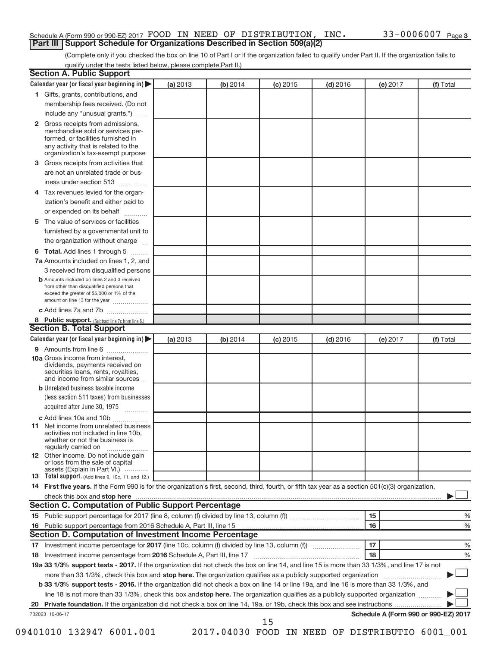#### Schedule A (Form 990 or 990-EZ) 2017  ${\tt FOOD}$  IN NEED OF  ${\tt DISTRIBUTION}$ , INC.  $33\text{--}0006007$   ${\tt Page}$ **Part III | Support Schedule for Organizations Described in Section 509(a)(2)**

(Complete only if you checked the box on line 10 of Part I or if the organization failed to qualify under Part II. If the organization fails to qualify under the tests listed below, please complete Part II.)

| <b>Section A. Public Support</b>                                                                                                                                                         |          |          |          |            |          |                                      |
|------------------------------------------------------------------------------------------------------------------------------------------------------------------------------------------|----------|----------|----------|------------|----------|--------------------------------------|
| Calendar year (or fiscal year beginning in)                                                                                                                                              | (a) 2013 | (b) 2014 | (c) 2015 | $(d)$ 2016 | (e) 2017 | (f) Total                            |
| 1 Gifts, grants, contributions, and                                                                                                                                                      |          |          |          |            |          |                                      |
| membership fees received. (Do not                                                                                                                                                        |          |          |          |            |          |                                      |
| include any "unusual grants.")                                                                                                                                                           |          |          |          |            |          |                                      |
| 2 Gross receipts from admissions,<br>merchandise sold or services per-<br>formed, or facilities furnished in<br>any activity that is related to the<br>organization's tax-exempt purpose |          |          |          |            |          |                                      |
| 3 Gross receipts from activities that                                                                                                                                                    |          |          |          |            |          |                                      |
| are not an unrelated trade or bus-<br>iness under section 513                                                                                                                            |          |          |          |            |          |                                      |
| 4 Tax revenues levied for the organ-                                                                                                                                                     |          |          |          |            |          |                                      |
| ization's benefit and either paid to<br>or expended on its behalf<br>and a state of                                                                                                      |          |          |          |            |          |                                      |
| 5 The value of services or facilities                                                                                                                                                    |          |          |          |            |          |                                      |
| furnished by a governmental unit to                                                                                                                                                      |          |          |          |            |          |                                      |
| the organization without charge                                                                                                                                                          |          |          |          |            |          |                                      |
| 6 Total. Add lines 1 through 5                                                                                                                                                           |          |          |          |            |          |                                      |
| 7a Amounts included on lines 1, 2, and                                                                                                                                                   |          |          |          |            |          |                                      |
| 3 received from disqualified persons                                                                                                                                                     |          |          |          |            |          |                                      |
| <b>b</b> Amounts included on lines 2 and 3 received<br>from other than disqualified persons that<br>exceed the greater of \$5,000 or 1% of the<br>amount on line 13 for the year         |          |          |          |            |          |                                      |
| c Add lines 7a and 7b                                                                                                                                                                    |          |          |          |            |          |                                      |
| 8 Public support. (Subtract line 7c from line 6.)                                                                                                                                        |          |          |          |            |          |                                      |
| <b>Section B. Total Support</b>                                                                                                                                                          |          |          |          |            |          |                                      |
| Calendar year (or fiscal year beginning in)                                                                                                                                              | (a) 2013 | (b) 2014 | (c) 2015 | $(d)$ 2016 | (e) 2017 | (f) Total                            |
| 9 Amounts from line 6                                                                                                                                                                    |          |          |          |            |          |                                      |
| <b>10a</b> Gross income from interest,<br>dividends, payments received on<br>securities loans, rents, royalties,<br>and income from similar sources                                      |          |          |          |            |          |                                      |
| <b>b</b> Unrelated business taxable income<br>(less section 511 taxes) from businesses                                                                                                   |          |          |          |            |          |                                      |
| acquired after June 30, 1975                                                                                                                                                             |          |          |          |            |          |                                      |
| c Add lines 10a and 10b<br><b>11</b> Net income from unrelated business<br>activities not included in line 10b,<br>whether or not the business is<br>regularly carried on                |          |          |          |            |          |                                      |
| 12 Other income. Do not include gain<br>or loss from the sale of capital<br>assets (Explain in Part VI.)                                                                                 |          |          |          |            |          |                                      |
| <b>13</b> Total support. (Add lines 9, 10c, 11, and 12.)                                                                                                                                 |          |          |          |            |          |                                      |
| 14 First five years. If the Form 990 is for the organization's first, second, third, fourth, or fifth tax year as a section 501(c)(3) organization,                                      |          |          |          |            |          |                                      |
|                                                                                                                                                                                          |          |          |          |            |          |                                      |
| Section C. Computation of Public Support Percentage                                                                                                                                      |          |          |          |            |          |                                      |
|                                                                                                                                                                                          |          |          |          |            | 15       | %                                    |
|                                                                                                                                                                                          |          |          |          |            | 16       | %                                    |
| <b>Section D. Computation of Investment Income Percentage</b>                                                                                                                            |          |          |          |            |          |                                      |
|                                                                                                                                                                                          |          |          |          |            | 17       | %                                    |
| 18 Investment income percentage from 2016 Schedule A, Part III, line 17                                                                                                                  |          |          |          |            | 18       | %                                    |
| 19a 33 1/3% support tests - 2017. If the organization did not check the box on line 14, and line 15 is more than 33 1/3%, and line 17 is not                                             |          |          |          |            |          |                                      |
| more than 33 1/3%, check this box and stop here. The organization qualifies as a publicly supported organization                                                                         |          |          |          |            |          |                                      |
| <b>b 33 1/3% support tests - 2016.</b> If the organization did not check a box on line 14 or line 19a, and line 16 is more than 33 1/3%, and                                             |          |          |          |            |          |                                      |
| line 18 is not more than 33 1/3%, check this box and stop here. The organization qualifies as a publicly supported organization                                                          |          |          |          |            |          |                                      |
|                                                                                                                                                                                          |          |          |          |            |          | Schedule A (Form 990 or 990-EZ) 2017 |
| 732023 10-06-17                                                                                                                                                                          |          |          | 15       |            |          |                                      |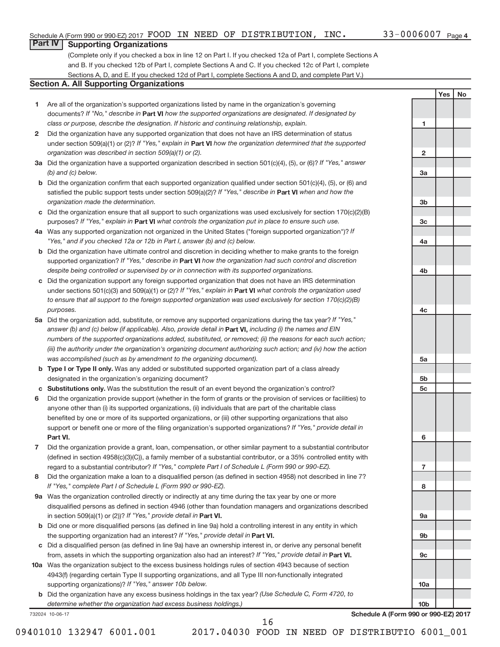**1**

**2**

**3a**

**3b**

**3c**

**4a**

**4b**

**4c**

**5a**

**5b 5c**

**6**

**7**

**8**

**9a**

**9b**

**9c**

**10a**

**10b**

**Yes No**

### **Part IV Supporting Organizations**

(Complete only if you checked a box in line 12 on Part I. If you checked 12a of Part I, complete Sections A and B. If you checked 12b of Part I, complete Sections A and C. If you checked 12c of Part I, complete Sections A, D, and E. If you checked 12d of Part I, complete Sections A and D, and complete Part V.)

#### **Section A. All Supporting Organizations**

- **1** Are all of the organization's supported organizations listed by name in the organization's governing documents? If "No," describe in Part VI how the supported organizations are designated. If designated by *class or purpose, describe the designation. If historic and continuing relationship, explain.*
- **2** Did the organization have any supported organization that does not have an IRS determination of status under section 509(a)(1) or (2)? If "Yes," explain in Part VI how the organization determined that the supported *organization was described in section 509(a)(1) or (2).*
- **3a** Did the organization have a supported organization described in section 501(c)(4), (5), or (6)? If "Yes," answer *(b) and (c) below.*
- **b** Did the organization confirm that each supported organization qualified under section 501(c)(4), (5), or (6) and satisfied the public support tests under section 509(a)(2)? If "Yes," describe in Part VI when and how the *organization made the determination.*
- **c** Did the organization ensure that all support to such organizations was used exclusively for section 170(c)(2)(B) purposes? If "Yes," explain in Part VI what controls the organization put in place to ensure such use.
- **4 a** *If* Was any supported organization not organized in the United States ("foreign supported organization")? *"Yes," and if you checked 12a or 12b in Part I, answer (b) and (c) below.*
- **b** Did the organization have ultimate control and discretion in deciding whether to make grants to the foreign supported organization? If "Yes," describe in Part VI how the organization had such control and discretion *despite being controlled or supervised by or in connection with its supported organizations.*
- **c** Did the organization support any foreign supported organization that does not have an IRS determination under sections 501(c)(3) and 509(a)(1) or (2)? If "Yes," explain in Part VI what controls the organization used *to ensure that all support to the foreign supported organization was used exclusively for section 170(c)(2)(B) purposes.*
- **5a** Did the organization add, substitute, or remove any supported organizations during the tax year? If "Yes," answer (b) and (c) below (if applicable). Also, provide detail in **Part VI,** including (i) the names and EIN *numbers of the supported organizations added, substituted, or removed; (ii) the reasons for each such action; (iii) the authority under the organization's organizing document authorizing such action; and (iv) how the action was accomplished (such as by amendment to the organizing document).*
- **b** Type I or Type II only. Was any added or substituted supported organization part of a class already designated in the organization's organizing document?
- **c Substitutions only.**  Was the substitution the result of an event beyond the organization's control?
- **6** Did the organization provide support (whether in the form of grants or the provision of services or facilities) to **Part VI.** support or benefit one or more of the filing organization's supported organizations? If "Yes," provide detail in anyone other than (i) its supported organizations, (ii) individuals that are part of the charitable class benefited by one or more of its supported organizations, or (iii) other supporting organizations that also
- **7** Did the organization provide a grant, loan, compensation, or other similar payment to a substantial contributor regard to a substantial contributor? If "Yes," complete Part I of Schedule L (Form 990 or 990-EZ). (defined in section 4958(c)(3)(C)), a family member of a substantial contributor, or a 35% controlled entity with
- **8** Did the organization make a loan to a disqualified person (as defined in section 4958) not described in line 7? *If "Yes," complete Part I of Schedule L (Form 990 or 990-EZ).*
- **9 a** Was the organization controlled directly or indirectly at any time during the tax year by one or more in section 509(a)(1) or (2))? If "Yes," provide detail in **Part VI.** disqualified persons as defined in section 4946 (other than foundation managers and organizations described
- **b** Did one or more disqualified persons (as defined in line 9a) hold a controlling interest in any entity in which the supporting organization had an interest? If "Yes," provide detail in Part VI.
- **c** Did a disqualified person (as defined in line 9a) have an ownership interest in, or derive any personal benefit from, assets in which the supporting organization also had an interest? If "Yes," provide detail in Part VI.
- **10 a** Was the organization subject to the excess business holdings rules of section 4943 because of section supporting organizations)? If "Yes," answer 10b below. 4943(f) (regarding certain Type II supporting organizations, and all Type III non-functionally integrated
	- **b** Did the organization have any excess business holdings in the tax year? (Use Schedule C, Form 4720, to *determine whether the organization had excess business holdings.)*

732024 10-06-17

**Schedule A (Form 990 or 990-EZ) 2017**

16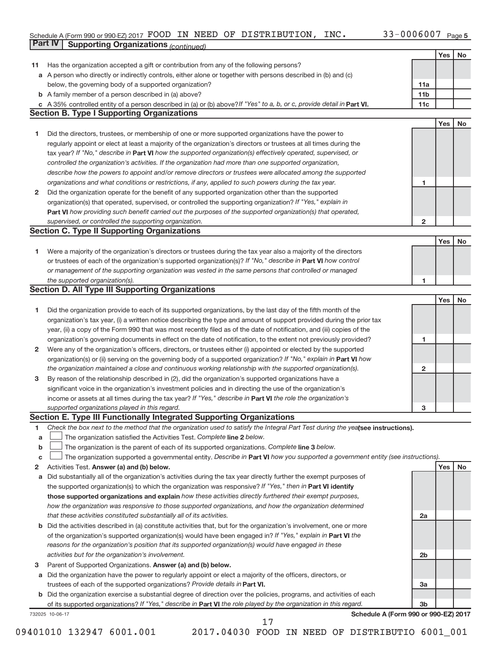#### Schedule A (Form 990 or 990-EZ) 2017 POUD IN NEED OF DISTRIBUTION, INC.  $33-0000000$  Page FOOD IN NEED OF DISTRIBUTION, INC. 33-0006007

|    | Part IV<br><b>Supporting Organizations (continued)</b>                                                                          |                 |     |    |
|----|---------------------------------------------------------------------------------------------------------------------------------|-----------------|-----|----|
|    |                                                                                                                                 |                 | Yes | No |
| 11 | Has the organization accepted a gift or contribution from any of the following persons?                                         |                 |     |    |
|    | a A person who directly or indirectly controls, either alone or together with persons described in (b) and (c)                  |                 |     |    |
|    | below, the governing body of a supported organization?                                                                          | 11a             |     |    |
|    | <b>b</b> A family member of a person described in (a) above?                                                                    | 11 <sub>b</sub> |     |    |
|    | c A 35% controlled entity of a person described in (a) or (b) above? If "Yes" to a, b, or c, provide detail in Part VI.         | 11c             |     |    |
|    | <b>Section B. Type I Supporting Organizations</b>                                                                               |                 |     |    |
|    |                                                                                                                                 |                 | Yes | No |
| 1  | Did the directors, trustees, or membership of one or more supported organizations have the power to                             |                 |     |    |
|    |                                                                                                                                 |                 |     |    |
|    | regularly appoint or elect at least a majority of the organization's directors or trustees at all times during the              |                 |     |    |
|    | tax year? If "No," describe in Part VI how the supported organization(s) effectively operated, supervised, or                   |                 |     |    |
|    | controlled the organization's activities. If the organization had more than one supported organization,                         |                 |     |    |
|    | describe how the powers to appoint and/or remove directors or trustees were allocated among the supported                       |                 |     |    |
|    | organizations and what conditions or restrictions, if any, applied to such powers during the tax year.                          | 1               |     |    |
| 2  | Did the organization operate for the benefit of any supported organization other than the supported                             |                 |     |    |
|    | organization(s) that operated, supervised, or controlled the supporting organization? If "Yes," explain in                      |                 |     |    |
|    | Part VI how providing such benefit carried out the purposes of the supported organization(s) that operated,                     |                 |     |    |
|    | supervised, or controlled the supporting organization.                                                                          | $\mathbf{2}$    |     |    |
|    | <b>Section C. Type II Supporting Organizations</b>                                                                              |                 |     |    |
|    |                                                                                                                                 |                 | Yes | No |
| 1. | Were a majority of the organization's directors or trustees during the tax year also a majority of the directors                |                 |     |    |
|    | or trustees of each of the organization's supported organization(s)? If "No," describe in Part VI how control                   |                 |     |    |
|    | or management of the supporting organization was vested in the same persons that controlled or managed                          |                 |     |    |
|    | the supported organization(s).                                                                                                  | 1               |     |    |
|    | <b>Section D. All Type III Supporting Organizations</b>                                                                         |                 |     |    |
|    |                                                                                                                                 |                 | Yes | No |
| 1  | Did the organization provide to each of its supported organizations, by the last day of the fifth month of the                  |                 |     |    |
|    | organization's tax year, (i) a written notice describing the type and amount of support provided during the prior tax           |                 |     |    |
|    | year, (ii) a copy of the Form 990 that was most recently filed as of the date of notification, and (iii) copies of the          |                 |     |    |
|    | organization's governing documents in effect on the date of notification, to the extent not previously provided?                | 1               |     |    |
| 2  | Were any of the organization's officers, directors, or trustees either (i) appointed or elected by the supported                |                 |     |    |
|    | organization(s) or (ii) serving on the governing body of a supported organization? If "No," explain in Part VI how              |                 |     |    |
|    | the organization maintained a close and continuous working relationship with the supported organization(s).                     | $\mathbf{2}$    |     |    |
| 3  | By reason of the relationship described in (2), did the organization's supported organizations have a                           |                 |     |    |
|    | significant voice in the organization's investment policies and in directing the use of the organization's                      |                 |     |    |
|    | income or assets at all times during the tax year? If "Yes," describe in Part VI the role the organization's                    |                 |     |    |
|    | supported organizations played in this regard.                                                                                  | з               |     |    |
|    | Section E. Type III Functionally Integrated Supporting Organizations                                                            |                 |     |    |
| 1  | Check the box next to the method that the organization used to satisfy the Integral Part Test during the yealsee instructions). |                 |     |    |
| a  | The organization satisfied the Activities Test. Complete line 2 below.                                                          |                 |     |    |
| b  | The organization is the parent of each of its supported organizations. Complete line 3 below.                                   |                 |     |    |
| с  | The organization supported a governmental entity. Describe in Part VI how you supported a government entity (see instructions). |                 |     |    |
| 2  | Activities Test. Answer (a) and (b) below.                                                                                      |                 | Yes | No |
| а  | Did substantially all of the organization's activities during the tax year directly further the exempt purposes of              |                 |     |    |
|    | the supported organization(s) to which the organization was responsive? If "Yes," then in Part VI identify                      |                 |     |    |
|    | those supported organizations and explain how these activities directly furthered their exempt purposes,                        |                 |     |    |
|    |                                                                                                                                 |                 |     |    |
|    | how the organization was responsive to those supported organizations, and how the organization determined                       |                 |     |    |
|    | that these activities constituted substantially all of its activities.                                                          | 2a              |     |    |
|    | b Did the activities described in (a) constitute activities that, but for the organization's involvement, one or more           |                 |     |    |
|    | of the organization's supported organization(s) would have been engaged in? If "Yes," explain in Part VI the                    |                 |     |    |
|    | reasons for the organization's position that its supported organization(s) would have engaged in these                          |                 |     |    |
|    | activities but for the organization's involvement.                                                                              | 2b              |     |    |
| з  | Parent of Supported Organizations. Answer (a) and (b) below.                                                                    |                 |     |    |
| а  | Did the organization have the power to regularly appoint or elect a majority of the officers, directors, or                     |                 |     |    |
|    | trustees of each of the supported organizations? Provide details in Part VI.                                                    | За              |     |    |
|    | <b>b</b> Did the organization exercise a substantial degree of direction over the policies, programs, and activities of each    |                 |     |    |
|    | of its supported organizations? If "Yes," describe in Part VI the role played by the organization in this regard.               | 3b              |     |    |
|    | Schedule A (Form 990 or 990-EZ) 2017<br>732025 10-06-17                                                                         |                 |     |    |
|    | 17                                                                                                                              |                 |     |    |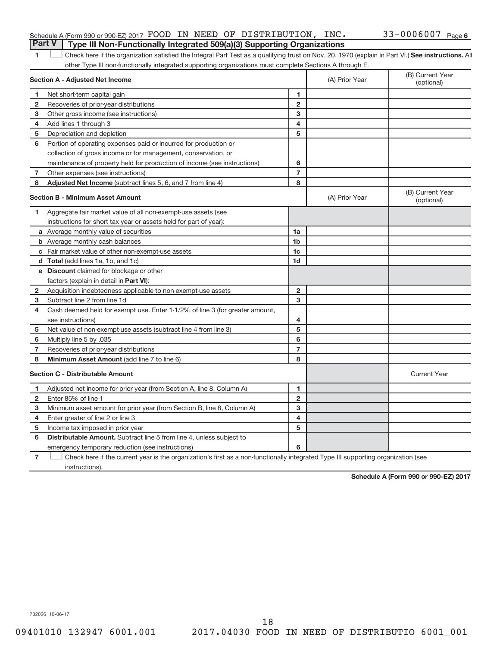### Schedule A (Form 990 or 990-EZ) 2017  ${\tt FOOD}$  IN NEED OF  ${\tt DISTRIBUTION}$ , INC.  $33\text{--}0006007$   ${\tt Page}$ **Part V Type III Non-Functionally Integrated 509(a)(3) Supporting Organizations**

1 **Letter See instructions.** All Check here if the organization satisfied the Integral Part Test as a qualifying trust on Nov. 20, 1970 (explain in Part VI.) See instructions. All other Type III non-functionally integrated supporting organizations must complete Sections A through E.

|                | Section A - Adjusted Net Income                                              |                | (A) Prior Year | (B) Current Year<br>(optional) |
|----------------|------------------------------------------------------------------------------|----------------|----------------|--------------------------------|
| 1              | Net short-term capital gain                                                  | 1              |                |                                |
| 2              | Recoveries of prior-year distributions                                       | $\overline{2}$ |                |                                |
| 3              | Other gross income (see instructions)                                        | 3              |                |                                |
| 4              | Add lines 1 through 3                                                        | 4              |                |                                |
| 5              | Depreciation and depletion                                                   | 5              |                |                                |
| 6              | Portion of operating expenses paid or incurred for production or             |                |                |                                |
|                | collection of gross income or for management, conservation, or               |                |                |                                |
|                | maintenance of property held for production of income (see instructions)     | 6              |                |                                |
| 7              | Other expenses (see instructions)                                            | $\overline{7}$ |                |                                |
| 8              | Adjusted Net Income (subtract lines 5, 6, and 7 from line 4)                 | 8              |                |                                |
|                | <b>Section B - Minimum Asset Amount</b>                                      |                | (A) Prior Year | (B) Current Year<br>(optional) |
| 1              | Aggregate fair market value of all non-exempt-use assets (see                |                |                |                                |
|                | instructions for short tax year or assets held for part of year):            |                |                |                                |
|                | a Average monthly value of securities                                        | 1a             |                |                                |
|                | <b>b</b> Average monthly cash balances                                       | 1 <sub>b</sub> |                |                                |
|                | c Fair market value of other non-exempt-use assets                           | 1 <sub>c</sub> |                |                                |
|                | d Total (add lines 1a, 1b, and 1c)                                           | 1 <sub>d</sub> |                |                                |
|                | <b>e Discount</b> claimed for blockage or other                              |                |                |                                |
|                | factors (explain in detail in Part VI):                                      |                |                |                                |
| 2              | Acquisition indebtedness applicable to non-exempt-use assets                 | $\overline{2}$ |                |                                |
| 3              | Subtract line 2 from line 1d                                                 | 3              |                |                                |
| 4              | Cash deemed held for exempt use. Enter 1-1/2% of line 3 (for greater amount, |                |                |                                |
|                | see instructions)                                                            | 4              |                |                                |
| 5              | Net value of non-exempt-use assets (subtract line 4 from line 3)             | 5              |                |                                |
| 6              | Multiply line 5 by .035                                                      | 6              |                |                                |
| 7              | Recoveries of prior-year distributions                                       | $\overline{7}$ |                |                                |
| 8              | Minimum Asset Amount (add line 7 to line 6)                                  | 8              |                |                                |
|                | <b>Section C - Distributable Amount</b>                                      |                |                | <b>Current Year</b>            |
| 1              | Adjusted net income for prior year (from Section A, line 8, Column A)        | 1              |                |                                |
| $\overline{2}$ | Enter 85% of line 1                                                          | $\mathbf{2}$   |                |                                |
| з              | Minimum asset amount for prior year (from Section B, line 8, Column A)       | 3              |                |                                |
| 4              | Enter greater of line 2 or line 3                                            | 4              |                |                                |
| 5              | Income tax imposed in prior year                                             | 5              |                |                                |
| 6              | <b>Distributable Amount.</b> Subtract line 5 from line 4, unless subject to  |                |                |                                |
|                | emergency temporary reduction (see instructions)                             | 6              |                |                                |
|                |                                                                              |                |                |                                |

**7** Check here if the current year is the organization's first as a non-functionally integrated Type III supporting organization (see instructions).

**Schedule A (Form 990 or 990-EZ) 2017**

732026 10-06-17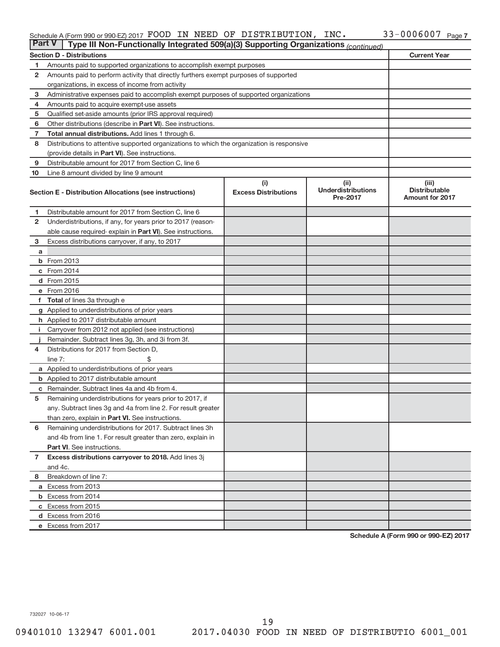#### Schedule A (Form 990 or 990-EZ) 2017 POUD IN NEED OF DISTRIBUTION, INC.  $33-0000000$  Page FOOD IN NEED OF DISTRIBUTION, INC. 33-0006007

| <b>Part V</b>  | Type III Non-Functionally Integrated 509(a)(3) Supporting Organizations (continued)        |                             |                                       |                                                |
|----------------|--------------------------------------------------------------------------------------------|-----------------------------|---------------------------------------|------------------------------------------------|
|                | <b>Section D - Distributions</b>                                                           |                             |                                       | <b>Current Year</b>                            |
| 1              | Amounts paid to supported organizations to accomplish exempt purposes                      |                             |                                       |                                                |
| $\mathbf{2}$   | Amounts paid to perform activity that directly furthers exempt purposes of supported       |                             |                                       |                                                |
|                | organizations, in excess of income from activity                                           |                             |                                       |                                                |
| 3              | Administrative expenses paid to accomplish exempt purposes of supported organizations      |                             |                                       |                                                |
| 4              | Amounts paid to acquire exempt-use assets                                                  |                             |                                       |                                                |
| 5              | Qualified set-aside amounts (prior IRS approval required)                                  |                             |                                       |                                                |
| 6              | Other distributions (describe in <b>Part VI</b> ). See instructions.                       |                             |                                       |                                                |
| 7              | <b>Total annual distributions.</b> Add lines 1 through 6.                                  |                             |                                       |                                                |
| 8              | Distributions to attentive supported organizations to which the organization is responsive |                             |                                       |                                                |
|                | (provide details in Part VI). See instructions.                                            |                             |                                       |                                                |
| 9              | Distributable amount for 2017 from Section C, line 6                                       |                             |                                       |                                                |
| 10             | Line 8 amount divided by line 9 amount                                                     |                             |                                       |                                                |
|                |                                                                                            | (i)                         | (ii)                                  | (iii)                                          |
|                | Section E - Distribution Allocations (see instructions)                                    | <b>Excess Distributions</b> | <b>Underdistributions</b><br>Pre-2017 | <b>Distributable</b><br><b>Amount for 2017</b> |
| 1              | Distributable amount for 2017 from Section C, line 6                                       |                             |                                       |                                                |
| $\mathbf{2}$   | Underdistributions, if any, for years prior to 2017 (reason-                               |                             |                                       |                                                |
|                | able cause required- explain in Part VI). See instructions.                                |                             |                                       |                                                |
| 3              | Excess distributions carryover, if any, to 2017                                            |                             |                                       |                                                |
| a              |                                                                                            |                             |                                       |                                                |
|                | <b>b</b> From 2013                                                                         |                             |                                       |                                                |
|                | c From 2014                                                                                |                             |                                       |                                                |
|                | d From 2015                                                                                |                             |                                       |                                                |
|                | e From 2016                                                                                |                             |                                       |                                                |
|                | f Total of lines 3a through e                                                              |                             |                                       |                                                |
|                | g Applied to underdistributions of prior years                                             |                             |                                       |                                                |
|                | h Applied to 2017 distributable amount                                                     |                             |                                       |                                                |
| Ť.             | Carryover from 2012 not applied (see instructions)                                         |                             |                                       |                                                |
|                | Remainder. Subtract lines 3g, 3h, and 3i from 3f.                                          |                             |                                       |                                                |
| 4              | Distributions for 2017 from Section D,                                                     |                             |                                       |                                                |
|                | line $7:$                                                                                  |                             |                                       |                                                |
|                | a Applied to underdistributions of prior years                                             |                             |                                       |                                                |
|                | <b>b</b> Applied to 2017 distributable amount                                              |                             |                                       |                                                |
| c              | Remainder. Subtract lines 4a and 4b from 4.                                                |                             |                                       |                                                |
| 5              | Remaining underdistributions for years prior to 2017, if                                   |                             |                                       |                                                |
|                | any. Subtract lines 3g and 4a from line 2. For result greater                              |                             |                                       |                                                |
|                | than zero, explain in Part VI. See instructions.                                           |                             |                                       |                                                |
| 6              | Remaining underdistributions for 2017. Subtract lines 3h                                   |                             |                                       |                                                |
|                | and 4b from line 1. For result greater than zero, explain in                               |                             |                                       |                                                |
|                | <b>Part VI.</b> See instructions.                                                          |                             |                                       |                                                |
| $\overline{7}$ | Excess distributions carryover to 2018. Add lines 3j                                       |                             |                                       |                                                |
|                | and 4c.                                                                                    |                             |                                       |                                                |
| 8              | Breakdown of line 7:                                                                       |                             |                                       |                                                |
|                | a Excess from 2013                                                                         |                             |                                       |                                                |
|                | <b>b</b> Excess from 2014                                                                  |                             |                                       |                                                |
|                | c Excess from 2015                                                                         |                             |                                       |                                                |
|                | d Excess from 2016                                                                         |                             |                                       |                                                |
|                | e Excess from 2017                                                                         |                             |                                       |                                                |

**Schedule A (Form 990 or 990-EZ) 2017**

732027 10-06-17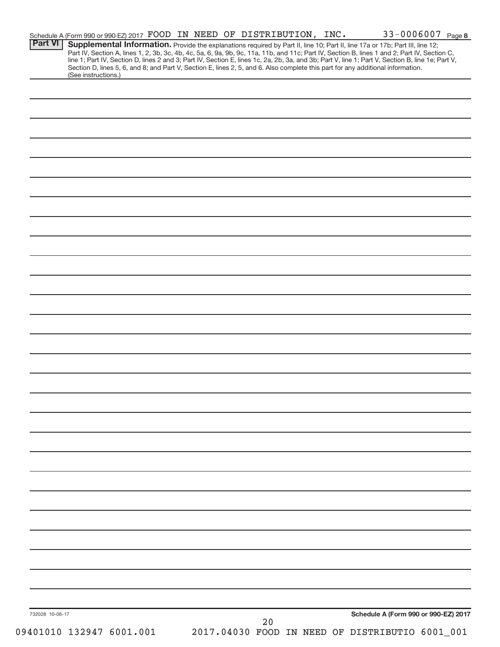| <b>Part VI</b>  | Schedule A (Form 990 or 990-EZ) 2017 FOOD IN NEED OF DISTRIBUTION, INC. |  |    |  | $33 - 0006007$ Page 8<br>Supplemental Information. Provide the explanations required by Part II, line 10; Part II, line 17a or 17b; Part III, line 12;                                                                                                                                                                                                           |  |
|-----------------|-------------------------------------------------------------------------|--|----|--|------------------------------------------------------------------------------------------------------------------------------------------------------------------------------------------------------------------------------------------------------------------------------------------------------------------------------------------------------------------|--|
|                 |                                                                         |  |    |  | Part IV, Section A, lines 1, 2, 3b, 3c, 4b, 4c, 5a, 6, 9a, 9b, 9c, 11a, 11b, and 11c; Part IV, Section B, lines 1 and 2; Part IV, Section C, line 1; Part IV, Section D, lines 2 and 3; Part IV, Section E, lines 1c, 2a, 2b,<br>Section D, lines 5, 6, and 8; and Part V, Section E, lines 2, 5, and 6. Also complete this part for any additional information. |  |
|                 | (See instructions.)                                                     |  |    |  |                                                                                                                                                                                                                                                                                                                                                                  |  |
|                 |                                                                         |  |    |  |                                                                                                                                                                                                                                                                                                                                                                  |  |
|                 |                                                                         |  |    |  |                                                                                                                                                                                                                                                                                                                                                                  |  |
|                 |                                                                         |  |    |  |                                                                                                                                                                                                                                                                                                                                                                  |  |
|                 |                                                                         |  |    |  |                                                                                                                                                                                                                                                                                                                                                                  |  |
|                 |                                                                         |  |    |  |                                                                                                                                                                                                                                                                                                                                                                  |  |
|                 |                                                                         |  |    |  |                                                                                                                                                                                                                                                                                                                                                                  |  |
|                 |                                                                         |  |    |  |                                                                                                                                                                                                                                                                                                                                                                  |  |
|                 |                                                                         |  |    |  |                                                                                                                                                                                                                                                                                                                                                                  |  |
|                 |                                                                         |  |    |  |                                                                                                                                                                                                                                                                                                                                                                  |  |
|                 |                                                                         |  |    |  |                                                                                                                                                                                                                                                                                                                                                                  |  |
|                 |                                                                         |  |    |  |                                                                                                                                                                                                                                                                                                                                                                  |  |
|                 |                                                                         |  |    |  |                                                                                                                                                                                                                                                                                                                                                                  |  |
|                 |                                                                         |  |    |  |                                                                                                                                                                                                                                                                                                                                                                  |  |
|                 |                                                                         |  |    |  |                                                                                                                                                                                                                                                                                                                                                                  |  |
|                 |                                                                         |  |    |  |                                                                                                                                                                                                                                                                                                                                                                  |  |
|                 |                                                                         |  |    |  |                                                                                                                                                                                                                                                                                                                                                                  |  |
|                 |                                                                         |  |    |  |                                                                                                                                                                                                                                                                                                                                                                  |  |
|                 |                                                                         |  |    |  |                                                                                                                                                                                                                                                                                                                                                                  |  |
|                 |                                                                         |  |    |  |                                                                                                                                                                                                                                                                                                                                                                  |  |
|                 |                                                                         |  |    |  |                                                                                                                                                                                                                                                                                                                                                                  |  |
|                 |                                                                         |  |    |  |                                                                                                                                                                                                                                                                                                                                                                  |  |
|                 |                                                                         |  |    |  |                                                                                                                                                                                                                                                                                                                                                                  |  |
|                 |                                                                         |  |    |  |                                                                                                                                                                                                                                                                                                                                                                  |  |
|                 |                                                                         |  |    |  |                                                                                                                                                                                                                                                                                                                                                                  |  |
|                 |                                                                         |  |    |  |                                                                                                                                                                                                                                                                                                                                                                  |  |
|                 |                                                                         |  |    |  |                                                                                                                                                                                                                                                                                                                                                                  |  |
|                 |                                                                         |  |    |  |                                                                                                                                                                                                                                                                                                                                                                  |  |
|                 |                                                                         |  |    |  |                                                                                                                                                                                                                                                                                                                                                                  |  |
|                 |                                                                         |  |    |  |                                                                                                                                                                                                                                                                                                                                                                  |  |
|                 |                                                                         |  |    |  |                                                                                                                                                                                                                                                                                                                                                                  |  |
|                 |                                                                         |  |    |  |                                                                                                                                                                                                                                                                                                                                                                  |  |
|                 |                                                                         |  |    |  |                                                                                                                                                                                                                                                                                                                                                                  |  |
|                 |                                                                         |  |    |  |                                                                                                                                                                                                                                                                                                                                                                  |  |
|                 |                                                                         |  |    |  |                                                                                                                                                                                                                                                                                                                                                                  |  |
|                 |                                                                         |  |    |  |                                                                                                                                                                                                                                                                                                                                                                  |  |
|                 |                                                                         |  |    |  |                                                                                                                                                                                                                                                                                                                                                                  |  |
| 732028 10-06-17 |                                                                         |  |    |  | Schedule A (Form 990 or 990-EZ) 2017                                                                                                                                                                                                                                                                                                                             |  |
|                 | 09401010 132947 6001.001                                                |  | 20 |  | 2017.04030 FOOD IN NEED OF DISTRIBUTIO 6001_001                                                                                                                                                                                                                                                                                                                  |  |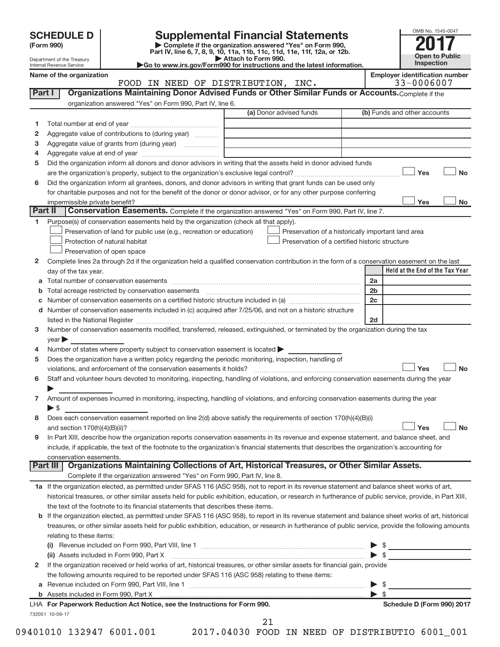| <b>SCHEDULE D</b> |  |
|-------------------|--|
|-------------------|--|

Department of the Treasury Internal Revenue Service

| (Form 990) |  |
|------------|--|
|------------|--|

# **SCHEDULE D Supplemental Financial Statements**<br> **Form 990 2017**<br> **Part IV** line 6.7.8.9.10, 11a, 11b, 11c, 11d, 11e, 11f, 12a, or 12b

**(Form 990) | Complete if the organization answered "Yes" on Form 990, Part IV, line 6, 7, 8, 9, 10, 11a, 11b, 11c, 11d, 11e, 11f, 12a, or 12b.**

**| Attach to Form 990. |Go to www.irs.gov/Form990 for instructions and the latest information.**



Name of the organization<br> **EMPLO EMPLO EDGES END STRIBUTION, INC.**<br> **EMPLO EMPLOYED EMPLOYED ARE DISTRIBUTION, INC.**<br>
33-0006007 FOOD IN NEED OF DISTRIBUTION, INC.

| Part I       | Organizations Maintaining Donor Advised Funds or Other Similar Funds or Accounts. Complete if the                                                                                                                              |                                                    |                    |                                 |
|--------------|--------------------------------------------------------------------------------------------------------------------------------------------------------------------------------------------------------------------------------|----------------------------------------------------|--------------------|---------------------------------|
|              | organization answered "Yes" on Form 990, Part IV, line 6.                                                                                                                                                                      | (a) Donor advised funds                            |                    | (b) Funds and other accounts    |
| 1.           |                                                                                                                                                                                                                                |                                                    |                    |                                 |
| 2            | Aggregate value of contributions to (during year)                                                                                                                                                                              |                                                    |                    |                                 |
| з            | Aggregate value of grants from (during year)                                                                                                                                                                                   |                                                    |                    |                                 |
| 4            |                                                                                                                                                                                                                                |                                                    |                    |                                 |
| 5            | Did the organization inform all donors and donor advisors in writing that the assets held in donor advised funds                                                                                                               |                                                    |                    |                                 |
|              |                                                                                                                                                                                                                                |                                                    |                    | Yes<br><b>No</b>                |
| 6            | Did the organization inform all grantees, donors, and donor advisors in writing that grant funds can be used only                                                                                                              |                                                    |                    |                                 |
|              | for charitable purposes and not for the benefit of the donor or donor advisor, or for any other purpose conferring                                                                                                             |                                                    |                    |                                 |
|              |                                                                                                                                                                                                                                |                                                    |                    | Yes<br>No                       |
| Part II      | Conservation Easements. Complete if the organization answered "Yes" on Form 990, Part IV, line 7.                                                                                                                              |                                                    |                    |                                 |
|              | Purpose(s) of conservation easements held by the organization (check all that apply).                                                                                                                                          |                                                    |                    |                                 |
|              | Preservation of land for public use (e.g., recreation or education)                                                                                                                                                            | Preservation of a historically important land area |                    |                                 |
|              | Protection of natural habitat                                                                                                                                                                                                  | Preservation of a certified historic structure     |                    |                                 |
|              | Preservation of open space                                                                                                                                                                                                     |                                                    |                    |                                 |
| 2            | Complete lines 2a through 2d if the organization held a qualified conservation contribution in the form of a conservation easement on the last                                                                                 |                                                    |                    |                                 |
|              | day of the tax year.                                                                                                                                                                                                           |                                                    |                    | Held at the End of the Tax Year |
| а            |                                                                                                                                                                                                                                |                                                    | 2a                 |                                 |
|              | Total acreage restricted by conservation easements [11] matter continuum matter account to a set of the conservation of the conservation of the conservation of the conservation of the conservation of the conservation of th |                                                    | 2 <sub>b</sub>     |                                 |
|              |                                                                                                                                                                                                                                |                                                    | 2c                 |                                 |
| d            | Number of conservation easements included in (c) acquired after 7/25/06, and not on a historic structure                                                                                                                       |                                                    |                    |                                 |
|              | listed in the National Register [111] March 1999 States and Times and Times and Times and Times and Times and T                                                                                                                |                                                    | 2d                 |                                 |
| 3            | Number of conservation easements modified, transferred, released, extinguished, or terminated by the organization during the tax                                                                                               |                                                    |                    |                                 |
|              | year                                                                                                                                                                                                                           |                                                    |                    |                                 |
| 4            | Number of states where property subject to conservation easement is located >                                                                                                                                                  |                                                    |                    |                                 |
| 5            | Does the organization have a written policy regarding the periodic monitoring, inspection, handling of                                                                                                                         |                                                    |                    |                                 |
|              | violations, and enforcement of the conservation easements it holds?                                                                                                                                                            |                                                    |                    | Yes<br><b>No</b>                |
| 6            | Staff and volunteer hours devoted to monitoring, inspecting, handling of violations, and enforcing conservation easements during the year                                                                                      |                                                    |                    |                                 |
|              |                                                                                                                                                                                                                                |                                                    |                    |                                 |
| 7            | Amount of expenses incurred in monitoring, inspecting, handling of violations, and enforcing conservation easements during the year                                                                                            |                                                    |                    |                                 |
|              | $\blacktriangleright$ \$                                                                                                                                                                                                       |                                                    |                    |                                 |
| 8            | Does each conservation easement reported on line 2(d) above satisfy the requirements of section 170(h)(4)(B)(i)                                                                                                                |                                                    |                    |                                 |
|              |                                                                                                                                                                                                                                |                                                    |                    | <b>No</b><br>Yes                |
| 9            | In Part XIII, describe how the organization reports conservation easements in its revenue and expense statement, and balance sheet, and                                                                                        |                                                    |                    |                                 |
|              | include, if applicable, the text of the footnote to the organization's financial statements that describes the organization's accounting for                                                                                   |                                                    |                    |                                 |
|              | conservation easements.<br>Organizations Maintaining Collections of Art, Historical Treasures, or Other Similar Assets.<br>Part III                                                                                            |                                                    |                    |                                 |
|              | Complete if the organization answered "Yes" on Form 990, Part IV, line 8.                                                                                                                                                      |                                                    |                    |                                 |
|              | 1a If the organization elected, as permitted under SFAS 116 (ASC 958), not to report in its revenue statement and balance sheet works of art,                                                                                  |                                                    |                    |                                 |
|              | historical treasures, or other similar assets held for public exhibition, education, or research in furtherance of public service, provide, in Part XIII,                                                                      |                                                    |                    |                                 |
|              | the text of the footnote to its financial statements that describes these items.                                                                                                                                               |                                                    |                    |                                 |
| b            | If the organization elected, as permitted under SFAS 116 (ASC 958), to report in its revenue statement and balance sheet works of art, historical                                                                              |                                                    |                    |                                 |
|              | treasures, or other similar assets held for public exhibition, education, or research in furtherance of public service, provide the following amounts                                                                          |                                                    |                    |                                 |
|              | relating to these items:                                                                                                                                                                                                       |                                                    |                    |                                 |
|              |                                                                                                                                                                                                                                |                                                    |                    | $\triangleright$ \$             |
|              | (ii) Assets included in Form 990, Part X                                                                                                                                                                                       |                                                    |                    | $\blacktriangleright$ \$        |
| $\mathbf{2}$ | If the organization received or held works of art, historical treasures, or other similar assets for financial gain, provide                                                                                                   |                                                    |                    |                                 |
|              | the following amounts required to be reported under SFAS 116 (ASC 958) relating to these items:                                                                                                                                |                                                    |                    |                                 |
| а            |                                                                                                                                                                                                                                |                                                    | ▶                  | - \$                            |
|              | b Assets included in Form 990, Part X [11, 120] Marten and March 2016 March 2016 March 2016 March 2016 March 20                                                                                                                |                                                    | $\triangleright$ s |                                 |
|              | LHA For Paperwork Reduction Act Notice, see the Instructions for Form 990.                                                                                                                                                     |                                                    |                    | Schedule D (Form 990) 2017      |
|              | 732051 10-09-17                                                                                                                                                                                                                |                                                    |                    |                                 |
|              |                                                                                                                                                                                                                                | 21                                                 |                    |                                 |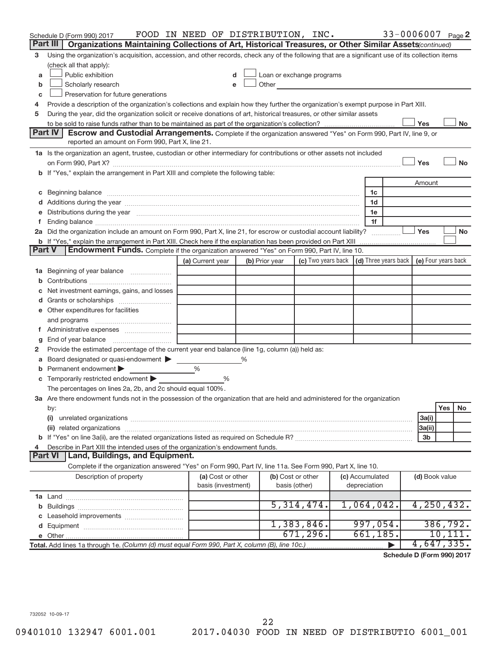|               | Schedule D (Form 990) 2017                                                                                                                                                                                                           | FOOD IN NEED OF DISTRIBUTION, INC.      |   |                |                                                                                                                                                                                                                               |                                 | 33-0006007 Page 2 |                |           |           |
|---------------|--------------------------------------------------------------------------------------------------------------------------------------------------------------------------------------------------------------------------------------|-----------------------------------------|---|----------------|-------------------------------------------------------------------------------------------------------------------------------------------------------------------------------------------------------------------------------|---------------------------------|-------------------|----------------|-----------|-----------|
|               | Part III  <br>Organizations Maintaining Collections of Art, Historical Treasures, or Other Similar Assets (continued)                                                                                                                |                                         |   |                |                                                                                                                                                                                                                               |                                 |                   |                |           |           |
| 3             | Using the organization's acquisition, accession, and other records, check any of the following that are a significant use of its collection items                                                                                    |                                         |   |                |                                                                                                                                                                                                                               |                                 |                   |                |           |           |
|               | (check all that apply):                                                                                                                                                                                                              |                                         |   |                |                                                                                                                                                                                                                               |                                 |                   |                |           |           |
| a             | Public exhibition                                                                                                                                                                                                                    |                                         |   |                | Loan or exchange programs                                                                                                                                                                                                     |                                 |                   |                |           |           |
| b             | Scholarly research                                                                                                                                                                                                                   |                                         |   |                | Other and the contract of the contract of the contract of the contract of the contract of the contract of the contract of the contract of the contract of the contract of the contract of the contract of the contract of the |                                 |                   |                |           |           |
| c             | Preservation for future generations                                                                                                                                                                                                  |                                         |   |                |                                                                                                                                                                                                                               |                                 |                   |                |           |           |
| 4             | Provide a description of the organization's collections and explain how they further the organization's exempt purpose in Part XIII.                                                                                                 |                                         |   |                |                                                                                                                                                                                                                               |                                 |                   |                |           |           |
| 5             | During the year, did the organization solicit or receive donations of art, historical treasures, or other similar assets                                                                                                             |                                         |   |                |                                                                                                                                                                                                                               |                                 |                   |                |           |           |
|               | Part IV                                                                                                                                                                                                                              |                                         |   |                |                                                                                                                                                                                                                               |                                 |                   | Yes            |           | No        |
|               | <b>Escrow and Custodial Arrangements.</b> Complete if the organization answered "Yes" on Form 990, Part IV, line 9, or<br>reported an amount on Form 990, Part X, line 21.                                                           |                                         |   |                |                                                                                                                                                                                                                               |                                 |                   |                |           |           |
|               | 1a Is the organization an agent, trustee, custodian or other intermediary for contributions or other assets not included                                                                                                             |                                         |   |                |                                                                                                                                                                                                                               |                                 |                   |                |           |           |
|               |                                                                                                                                                                                                                                      |                                         |   |                |                                                                                                                                                                                                                               |                                 |                   | Yes            |           | <b>No</b> |
|               | on Form 990, Part X? [[[[[[[[[[[[[[[[[[]]]]]]]]]]]] on Form 990, Part X?<br>b If "Yes," explain the arrangement in Part XIII and complete the following table:                                                                       |                                         |   |                |                                                                                                                                                                                                                               |                                 |                   |                |           |           |
|               |                                                                                                                                                                                                                                      |                                         |   |                |                                                                                                                                                                                                                               |                                 |                   | Amount         |           |           |
|               | c Beginning balance <b>contract to the contract of the contract of the contract of the contract of the contract of the contract of the contract of the contract of the contract of the contract of the contract of the contract </b> |                                         |   |                |                                                                                                                                                                                                                               | 1c                              |                   |                |           |           |
|               |                                                                                                                                                                                                                                      |                                         |   |                |                                                                                                                                                                                                                               | 1d                              |                   |                |           |           |
|               | e Distributions during the year manufactured and continuum control of the control of the control of the state of the control of the control of the control of the control of the control of the control of the control of the        |                                         |   |                |                                                                                                                                                                                                                               | 1e                              |                   |                |           |           |
| f.            |                                                                                                                                                                                                                                      |                                         |   |                |                                                                                                                                                                                                                               | 1f                              |                   |                |           |           |
|               | 2a Did the organization include an amount on Form 990, Part X, line 21, for escrow or custodial account liability?                                                                                                                   |                                         |   |                |                                                                                                                                                                                                                               |                                 |                   | Yes            |           | <b>No</b> |
|               |                                                                                                                                                                                                                                      |                                         |   |                |                                                                                                                                                                                                                               |                                 |                   |                |           |           |
| <b>Part V</b> | <b>Endowment Funds.</b> Complete if the organization answered "Yes" on Form 990, Part IV, line 10.                                                                                                                                   |                                         |   |                |                                                                                                                                                                                                                               |                                 |                   |                |           |           |
|               |                                                                                                                                                                                                                                      | (a) Current year                        |   | (b) Prior year | (c) Two years back $\vert$ (d) Three years back $\vert$ (e) Four years back                                                                                                                                                   |                                 |                   |                |           |           |
|               | 1a Beginning of year balance                                                                                                                                                                                                         |                                         |   |                |                                                                                                                                                                                                                               |                                 |                   |                |           |           |
| b             |                                                                                                                                                                                                                                      |                                         |   |                |                                                                                                                                                                                                                               |                                 |                   |                |           |           |
|               | Net investment earnings, gains, and losses                                                                                                                                                                                           |                                         |   |                |                                                                                                                                                                                                                               |                                 |                   |                |           |           |
| d             | Grants or scholarships                                                                                                                                                                                                               |                                         |   |                |                                                                                                                                                                                                                               |                                 |                   |                |           |           |
|               | e Other expenditures for facilities                                                                                                                                                                                                  |                                         |   |                |                                                                                                                                                                                                                               |                                 |                   |                |           |           |
|               | and programs                                                                                                                                                                                                                         |                                         |   |                |                                                                                                                                                                                                                               |                                 |                   |                |           |           |
| t.            |                                                                                                                                                                                                                                      |                                         |   |                |                                                                                                                                                                                                                               |                                 |                   |                |           |           |
| g             |                                                                                                                                                                                                                                      |                                         |   |                |                                                                                                                                                                                                                               |                                 |                   |                |           |           |
| 2             | Provide the estimated percentage of the current year end balance (line 1g, column (a)) held as:                                                                                                                                      |                                         |   |                |                                                                                                                                                                                                                               |                                 |                   |                |           |           |
| а             | Board designated or quasi-endowment >                                                                                                                                                                                                |                                         | % |                |                                                                                                                                                                                                                               |                                 |                   |                |           |           |
| b             | Permanent endowment                                                                                                                                                                                                                  | $\%$                                    |   |                |                                                                                                                                                                                                                               |                                 |                   |                |           |           |
|               | <b>c</b> Temporarily restricted endowment $\blacktriangleright$                                                                                                                                                                      | %                                       |   |                |                                                                                                                                                                                                                               |                                 |                   |                |           |           |
|               | The percentages on lines 2a, 2b, and 2c should equal 100%.                                                                                                                                                                           |                                         |   |                |                                                                                                                                                                                                                               |                                 |                   |                |           |           |
|               | 3a Are there endowment funds not in the possession of the organization that are held and administered for the organization<br>by:                                                                                                    |                                         |   |                |                                                                                                                                                                                                                               |                                 |                   |                | Yes       | No        |
|               | (i)                                                                                                                                                                                                                                  |                                         |   |                |                                                                                                                                                                                                                               |                                 |                   | 3a(i)          |           |           |
|               |                                                                                                                                                                                                                                      |                                         |   |                |                                                                                                                                                                                                                               |                                 |                   | 3a(ii)         |           |           |
|               |                                                                                                                                                                                                                                      |                                         |   |                |                                                                                                                                                                                                                               |                                 |                   | 3 <sub>b</sub> |           |           |
| 4             | Describe in Part XIII the intended uses of the organization's endowment funds.                                                                                                                                                       |                                         |   |                |                                                                                                                                                                                                                               |                                 |                   |                |           |           |
|               | <b>Land, Buildings, and Equipment.</b><br><b>Part VI</b>                                                                                                                                                                             |                                         |   |                |                                                                                                                                                                                                                               |                                 |                   |                |           |           |
|               | Complete if the organization answered "Yes" on Form 990, Part IV, line 11a. See Form 990, Part X, line 10.                                                                                                                           |                                         |   |                |                                                                                                                                                                                                                               |                                 |                   |                |           |           |
|               | Description of property                                                                                                                                                                                                              | (a) Cost or other<br>basis (investment) |   |                | (b) Cost or other<br>basis (other)                                                                                                                                                                                            | (c) Accumulated<br>depreciation |                   | (d) Book value |           |           |
|               |                                                                                                                                                                                                                                      |                                         |   |                |                                                                                                                                                                                                                               |                                 |                   |                |           |           |
|               |                                                                                                                                                                                                                                      |                                         |   |                | 5,314,474.                                                                                                                                                                                                                    | 1,064,042.                      |                   | 4,250,432.     |           |           |
|               |                                                                                                                                                                                                                                      |                                         |   |                |                                                                                                                                                                                                                               |                                 |                   |                |           |           |
|               |                                                                                                                                                                                                                                      |                                         |   |                | 1,383,846.                                                                                                                                                                                                                    | 997,054.                        |                   |                | 386, 792. |           |
|               |                                                                                                                                                                                                                                      |                                         |   |                | 671, 296.                                                                                                                                                                                                                     | 661, 185.                       |                   |                | 10, 111.  |           |
|               | Total. Add lines 1a through 1e. (Column (d) must equal Form 990, Part X, column (B), line 10c.)                                                                                                                                      |                                         |   |                |                                                                                                                                                                                                                               |                                 |                   | 4,647,335.     |           |           |
|               |                                                                                                                                                                                                                                      |                                         |   |                |                                                                                                                                                                                                                               |                                 |                   |                |           |           |

**Schedule D (Form 990) 2017**

732052 10-09-17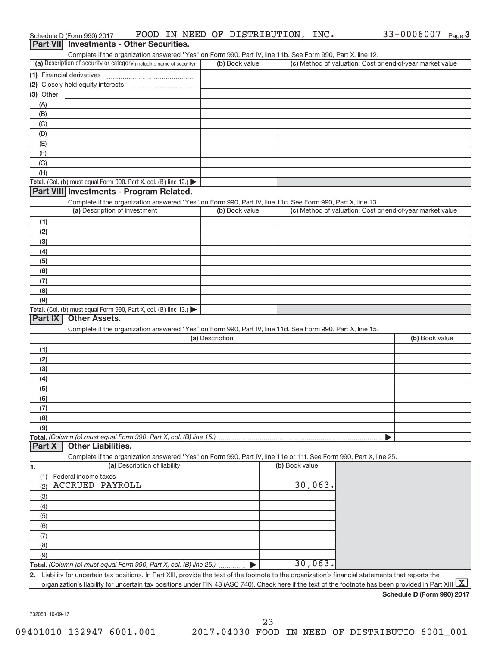|                  | Schedule D (Form 990) 2017                                                                                                                           |                              |                 | FOOD IN NEED OF DISTRIBUTION, INC. |                |         |  | 33-0006007 Page 3                                         |   |
|------------------|------------------------------------------------------------------------------------------------------------------------------------------------------|------------------------------|-----------------|------------------------------------|----------------|---------|--|-----------------------------------------------------------|---|
| <b>Part VIII</b> | <b>Investments - Other Securities.</b>                                                                                                               |                              |                 |                                    |                |         |  |                                                           |   |
|                  | Complete if the organization answered "Yes" on Form 990, Part IV, line 11b. See Form 990, Part X, line 12.                                           |                              |                 |                                    |                |         |  |                                                           |   |
|                  | (a) Description of security or category (including name of security)                                                                                 |                              |                 | (b) Book value                     |                |         |  | (c) Method of valuation: Cost or end-of-year market value |   |
|                  |                                                                                                                                                      |                              |                 |                                    |                |         |  |                                                           |   |
|                  | (2) Closely-held equity interests                                                                                                                    |                              |                 |                                    |                |         |  |                                                           |   |
| (3) Other        |                                                                                                                                                      |                              |                 |                                    |                |         |  |                                                           |   |
| (A)<br>(B)       |                                                                                                                                                      |                              |                 |                                    |                |         |  |                                                           |   |
| (C)              |                                                                                                                                                      |                              |                 |                                    |                |         |  |                                                           |   |
| (D)              |                                                                                                                                                      |                              |                 |                                    |                |         |  |                                                           |   |
| (E)              |                                                                                                                                                      |                              |                 |                                    |                |         |  |                                                           |   |
| (F)              |                                                                                                                                                      |                              |                 |                                    |                |         |  |                                                           |   |
| (G)              |                                                                                                                                                      |                              |                 |                                    |                |         |  |                                                           |   |
| (H)              |                                                                                                                                                      |                              |                 |                                    |                |         |  |                                                           |   |
|                  | Total. (Col. (b) must equal Form 990, Part X, col. (B) line 12.) $\blacktriangleright$                                                               |                              |                 |                                    |                |         |  |                                                           |   |
|                  | Part VIII Investments - Program Related.                                                                                                             |                              |                 |                                    |                |         |  |                                                           |   |
|                  | Complete if the organization answered "Yes" on Form 990, Part IV, line 11c. See Form 990, Part X, line 13.                                           |                              |                 |                                    |                |         |  |                                                           |   |
|                  | (a) Description of investment                                                                                                                        |                              |                 | (b) Book value                     |                |         |  | (c) Method of valuation: Cost or end-of-year market value |   |
| (1)              |                                                                                                                                                      |                              |                 |                                    |                |         |  |                                                           |   |
| (2)              |                                                                                                                                                      |                              |                 |                                    |                |         |  |                                                           |   |
| (3)              |                                                                                                                                                      |                              |                 |                                    |                |         |  |                                                           |   |
| (4)              |                                                                                                                                                      |                              |                 |                                    |                |         |  |                                                           |   |
| (5)              |                                                                                                                                                      |                              |                 |                                    |                |         |  |                                                           |   |
| (6)              |                                                                                                                                                      |                              |                 |                                    |                |         |  |                                                           |   |
| (7)              |                                                                                                                                                      |                              |                 |                                    |                |         |  |                                                           |   |
| (8)              |                                                                                                                                                      |                              |                 |                                    |                |         |  |                                                           |   |
| (9)              | Total. (Col. (b) must equal Form 990, Part X, col. (B) line $13.$ )                                                                                  |                              |                 |                                    |                |         |  |                                                           |   |
| <b>Part IX</b>   | <b>Other Assets.</b>                                                                                                                                 |                              |                 |                                    |                |         |  |                                                           |   |
|                  | Complete if the organization answered "Yes" on Form 990, Part IV, line 11d. See Form 990, Part X, line 15.                                           |                              |                 |                                    |                |         |  |                                                           |   |
|                  |                                                                                                                                                      |                              | (a) Description |                                    |                |         |  | (b) Book value                                            |   |
| (1)              |                                                                                                                                                      |                              |                 |                                    |                |         |  |                                                           |   |
| (2)              |                                                                                                                                                      |                              |                 |                                    |                |         |  |                                                           |   |
| (3)              |                                                                                                                                                      |                              |                 |                                    |                |         |  |                                                           |   |
| (4)              |                                                                                                                                                      |                              |                 |                                    |                |         |  |                                                           |   |
| (5)              |                                                                                                                                                      |                              |                 |                                    |                |         |  |                                                           |   |
| (6)              |                                                                                                                                                      |                              |                 |                                    |                |         |  |                                                           |   |
| (7)              |                                                                                                                                                      |                              |                 |                                    |                |         |  |                                                           |   |
| (8)              |                                                                                                                                                      |                              |                 |                                    |                |         |  |                                                           |   |
| (9)              |                                                                                                                                                      |                              |                 |                                    |                |         |  |                                                           |   |
| <b>Part X</b>    | Total. (Column (b) must equal Form 990, Part X, col. (B) line 15.)<br><b>Other Liabilities.</b>                                                      |                              |                 |                                    |                |         |  |                                                           |   |
|                  |                                                                                                                                                      |                              |                 |                                    |                |         |  |                                                           |   |
|                  | Complete if the organization answered "Yes" on Form 990, Part IV, line 11e or 11f. See Form 990, Part X, line 25.                                    | (a) Description of liability |                 |                                    | (b) Book value |         |  |                                                           |   |
| 1.               | Federal income taxes                                                                                                                                 |                              |                 |                                    |                |         |  |                                                           |   |
| (1)<br>(2)       | <b>ACCRUED PAYROLL</b>                                                                                                                               |                              |                 |                                    |                | 30,063. |  |                                                           |   |
| (3)              |                                                                                                                                                      |                              |                 |                                    |                |         |  |                                                           |   |
| (4)              |                                                                                                                                                      |                              |                 |                                    |                |         |  |                                                           |   |
| (5)              |                                                                                                                                                      |                              |                 |                                    |                |         |  |                                                           |   |
| (6)              |                                                                                                                                                      |                              |                 |                                    |                |         |  |                                                           |   |
| (7)              |                                                                                                                                                      |                              |                 |                                    |                |         |  |                                                           |   |
| (8)              |                                                                                                                                                      |                              |                 |                                    |                |         |  |                                                           |   |
| (9)              |                                                                                                                                                      |                              |                 |                                    |                |         |  |                                                           |   |
|                  | Total. (Column (b) must equal Form 990, Part X, col. (B) line 25.)                                                                                   |                              |                 |                                    |                | 30,063. |  |                                                           |   |
|                  | 2. Liability for uncertain tax positions. In Part XIII, provide the text of the footnote to the organization's financial statements that reports the |                              |                 |                                    |                |         |  |                                                           |   |
|                  | organization's liability for uncertain tax positions under FIN 48 (ASC 740). Check here if the text of the footnote has been provided in Part XIII   |                              |                 |                                    |                |         |  |                                                           | X |
|                  |                                                                                                                                                      |                              |                 |                                    |                |         |  | Schedule D (Form 990) 2017                                |   |

732053 10-09-17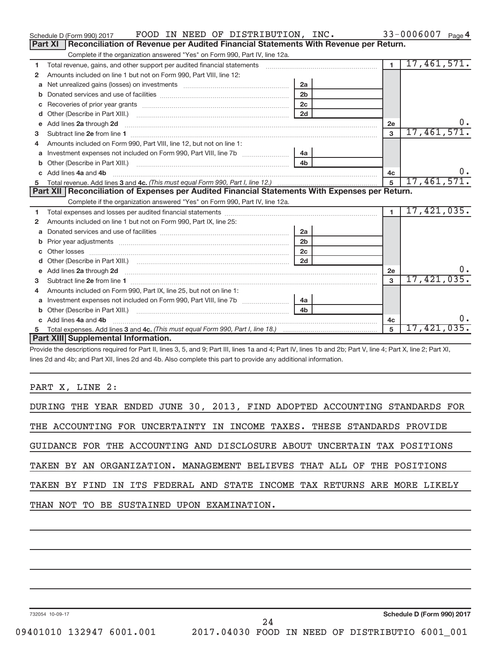|    | FOOD IN NEED OF DISTRIBUTION, INC.<br>Schedule D (Form 990) 2017                                                                                                                                                                    |                |                | 33-0006007 $_{Page 4}$ |
|----|-------------------------------------------------------------------------------------------------------------------------------------------------------------------------------------------------------------------------------------|----------------|----------------|------------------------|
|    | Reconciliation of Revenue per Audited Financial Statements With Revenue per Return.<br>Part XI                                                                                                                                      |                |                |                        |
|    | Complete if the organization answered "Yes" on Form 990, Part IV, line 12a.                                                                                                                                                         |                |                |                        |
| 1  | Total revenue, gains, and other support per audited financial statements [111] [11] Total revenue, gains, and other support per audited financial statements                                                                        |                | $\overline{1}$ | 17,461,571.            |
| 2  | Amounts included on line 1 but not on Form 990, Part VIII, line 12:                                                                                                                                                                 |                |                |                        |
| a  |                                                                                                                                                                                                                                     | 2a             |                |                        |
|    |                                                                                                                                                                                                                                     | 2 <sub>b</sub> |                |                        |
| С  |                                                                                                                                                                                                                                     | 2c             |                |                        |
| d  |                                                                                                                                                                                                                                     | 2d             |                |                        |
| е  | Add lines 2a through 2d                                                                                                                                                                                                             |                | 2e             | $0$ .                  |
| 3  |                                                                                                                                                                                                                                     |                | 3              | 17,461,571.            |
| 4  | Amounts included on Form 990, Part VIII, line 12, but not on line 1:                                                                                                                                                                |                |                |                        |
| a  |                                                                                                                                                                                                                                     | 4a             |                |                        |
|    |                                                                                                                                                                                                                                     | 4 <sub>h</sub> |                |                        |
| c. | Add lines 4a and 4b                                                                                                                                                                                                                 |                | 4c             | $0$ .                  |
|    |                                                                                                                                                                                                                                     |                |                | 17,461,571.            |
|    |                                                                                                                                                                                                                                     |                |                |                        |
|    | Part XII   Reconciliation of Expenses per Audited Financial Statements With Expenses per Return.                                                                                                                                    |                |                |                        |
|    | Complete if the organization answered "Yes" on Form 990, Part IV, line 12a.                                                                                                                                                         |                |                |                        |
| 1  |                                                                                                                                                                                                                                     |                | $\blacksquare$ | 17,421,035.            |
| 2  | Amounts included on line 1 but not on Form 990, Part IX, line 25:                                                                                                                                                                   |                |                |                        |
| a  |                                                                                                                                                                                                                                     | 2a             |                |                        |
| b  | Prior year adjustments [11,111] Prior year adjustments [11,111] Prior year adjustments [11,111] Prior year adjustments [11,111] Prior (11,111] Prior (11,111] Prior (11,111] Prior (11,111) Prior (11,111) Prior (11,111) Prio      | 2 <sub>b</sub> |                |                        |
|    |                                                                                                                                                                                                                                     | 2c             |                |                        |
| d  |                                                                                                                                                                                                                                     | 2d             |                |                        |
| e  | Add lines 2a through 2d <b>contained a contained a contained a contained a</b> contained a contact the set of the set of the set of the set of the set of the set of the set of the set of the set of the set of the set of the set |                | 2e             | $0 \cdot$              |
| 3  |                                                                                                                                                                                                                                     |                | 3              | 17,421,035.            |
| 4  | Amounts included on Form 990, Part IX, line 25, but not on line 1:                                                                                                                                                                  |                |                |                        |
| a  |                                                                                                                                                                                                                                     | 4a l           |                |                        |
| b  |                                                                                                                                                                                                                                     | 4 <sub>b</sub> |                |                        |
| C  | Add lines 4a and 4b                                                                                                                                                                                                                 |                | 4с             | υ.                     |
|    | Part XIII Supplemental Information.                                                                                                                                                                                                 |                | 5              | 17,421,035.            |

Provide the descriptions required for Part II, lines 3, 5, and 9; Part III, lines 1a and 4; Part IV, lines 1b and 2b; Part V, line 4; Part X, line 2; Part XI, lines 2d and 4b; and Part XII, lines 2d and 4b. Also complete this part to provide any additional information.

PART X, LINE 2:

|                                                                          |  |  |  |  |  |  |  | DURING THE YEAR ENDED JUNE 30, 2013, FIND ADOPTED ACCOUNTING STANDARDS FOR |
|--------------------------------------------------------------------------|--|--|--|--|--|--|--|----------------------------------------------------------------------------|
| THE ACCOUNTING FOR UNCERTAINTY IN INCOME TAXES. THESE STANDARDS PROVIDE  |  |  |  |  |  |  |  |                                                                            |
| GUIDANCE FOR THE ACCOUNTING AND DISCLOSURE ABOUT UNCERTAIN TAX POSITIONS |  |  |  |  |  |  |  |                                                                            |
| TAKEN BY AN ORGANIZATION. MANAGEMENT BELIEVES THAT ALL OF THE POSITIONS  |  |  |  |  |  |  |  |                                                                            |
|                                                                          |  |  |  |  |  |  |  | TAKEN BY FIND IN ITS FEDERAL AND STATE INCOME TAX RETURNS ARE MORE LIKELY  |
| THAN NOT TO BE SUSTAINED UPON EXAMINATION.                               |  |  |  |  |  |  |  |                                                                            |
|                                                                          |  |  |  |  |  |  |  |                                                                            |

24

732054 10-09-17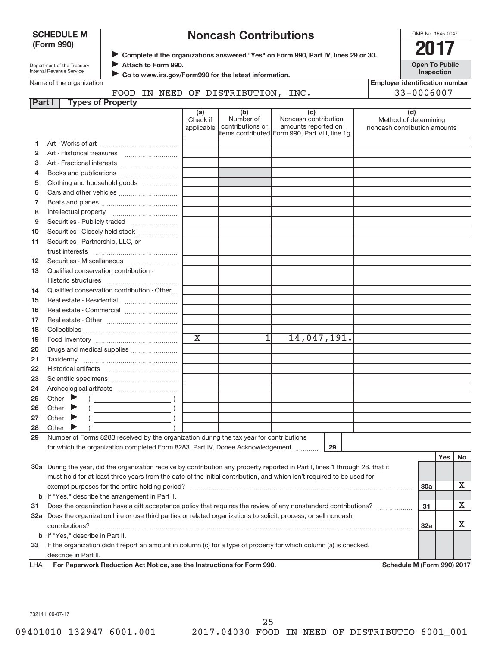|        | <b>SCHEDULE M</b><br>(Form 990)                        |                                                                                         |                             | <b>Noncash Contributions</b>  |                                                                                                                                | OMB No. 1545-0047                                     |           |
|--------|--------------------------------------------------------|-----------------------------------------------------------------------------------------|-----------------------------|-------------------------------|--------------------------------------------------------------------------------------------------------------------------------|-------------------------------------------------------|-----------|
|        |                                                        |                                                                                         |                             |                               | ▶ Complete if the organizations answered "Yes" on Form 990, Part IV, lines 29 or 30.                                           |                                                       |           |
|        | Department of the Treasury<br>Internal Revenue Service | Attach to Form 990.                                                                     |                             |                               |                                                                                                                                | <b>Open To Public</b><br>Inspection                   |           |
|        | Name of the organization                               | Go to www.irs.gov/Form990 for the latest information.                                   |                             |                               |                                                                                                                                | <b>Employer identification number</b>                 |           |
|        |                                                        | FOOD IN NEED OF DISTRIBUTION, INC.                                                      |                             |                               |                                                                                                                                | 33-0006007                                            |           |
| Part I | <b>Types of Property</b>                               |                                                                                         |                             |                               |                                                                                                                                |                                                       |           |
|        |                                                        |                                                                                         | (a)                         | (b)                           | (c)                                                                                                                            | (d)                                                   |           |
|        |                                                        |                                                                                         | Check if<br>applicable      | Number of<br>contributions or | Noncash contribution<br>amounts reported on<br>items contributed Form 990, Part VIII, line 1g                                  | Method of determining<br>noncash contribution amounts |           |
| 1      |                                                        |                                                                                         |                             |                               |                                                                                                                                |                                                       |           |
| 2      |                                                        |                                                                                         |                             |                               |                                                                                                                                |                                                       |           |
| з      |                                                        | Art - Fractional interests                                                              |                             |                               |                                                                                                                                |                                                       |           |
| 4      |                                                        |                                                                                         |                             |                               |                                                                                                                                |                                                       |           |
| 5      |                                                        | Clothing and household goods                                                            |                             |                               |                                                                                                                                |                                                       |           |
| 6      |                                                        |                                                                                         |                             |                               |                                                                                                                                |                                                       |           |
| 7      |                                                        |                                                                                         |                             |                               |                                                                                                                                |                                                       |           |
| 8      |                                                        |                                                                                         |                             |                               |                                                                                                                                |                                                       |           |
| 9      |                                                        |                                                                                         |                             |                               |                                                                                                                                |                                                       |           |
| 10     |                                                        | Securities - Closely held stock                                                         |                             |                               |                                                                                                                                |                                                       |           |
| 11     | Securities - Partnership, LLC, or<br>trust interests   |                                                                                         |                             |                               |                                                                                                                                |                                                       |           |
| 12     |                                                        |                                                                                         |                             |                               |                                                                                                                                |                                                       |           |
| 13     | Qualified conservation contribution -                  |                                                                                         |                             |                               |                                                                                                                                |                                                       |           |
|        |                                                        |                                                                                         |                             |                               |                                                                                                                                |                                                       |           |
| 14     |                                                        | Qualified conservation contribution - Other                                             |                             |                               |                                                                                                                                |                                                       |           |
| 15     |                                                        | Real estate - Residential                                                               |                             |                               |                                                                                                                                |                                                       |           |
| 16     |                                                        | Real estate - Commercial                                                                |                             |                               |                                                                                                                                |                                                       |           |
| 17     |                                                        |                                                                                         |                             |                               |                                                                                                                                |                                                       |           |
| 18     |                                                        |                                                                                         |                             |                               |                                                                                                                                |                                                       |           |
| 19     |                                                        |                                                                                         | $\overline{\textnormal{x}}$ | 1                             | 14,047,191.                                                                                                                    |                                                       |           |
| 20     |                                                        | Drugs and medical supplies                                                              |                             |                               |                                                                                                                                |                                                       |           |
| 21     |                                                        |                                                                                         |                             |                               |                                                                                                                                |                                                       |           |
| 22     |                                                        |                                                                                         |                             |                               |                                                                                                                                |                                                       |           |
| 23     |                                                        |                                                                                         |                             |                               |                                                                                                                                |                                                       |           |
| 24     | Archeological artifacts                                |                                                                                         |                             |                               |                                                                                                                                |                                                       |           |
| 25     | Other                                                  |                                                                                         |                             |                               |                                                                                                                                |                                                       |           |
| 26     | Other                                                  |                                                                                         |                             |                               |                                                                                                                                |                                                       |           |
| 27     | Other                                                  |                                                                                         |                             |                               |                                                                                                                                |                                                       |           |
| 28     | Other                                                  |                                                                                         |                             |                               |                                                                                                                                |                                                       |           |
| 29     |                                                        | Number of Forms 8283 received by the organization during the tax year for contributions |                             |                               |                                                                                                                                |                                                       |           |
|        |                                                        | for which the organization completed Form 8283, Part IV, Donee Acknowledgement          |                             |                               | 29                                                                                                                             |                                                       |           |
|        |                                                        |                                                                                         |                             |                               |                                                                                                                                |                                                       | Yes<br>No |
|        |                                                        |                                                                                         |                             |                               | 30a During the year, did the organization receive by contribution any property reported in Part I, lines 1 through 28, that it |                                                       |           |
|        |                                                        |                                                                                         |                             |                               | must hold for at least three years from the date of the initial contribution, and which isn't required to be used for          |                                                       |           |
|        |                                                        |                                                                                         |                             |                               |                                                                                                                                | 30a                                                   | Х         |
|        |                                                        | <b>b</b> If "Yes," describe the arrangement in Part II.                                 |                             |                               |                                                                                                                                |                                                       |           |
| 31     |                                                        |                                                                                         |                             |                               | Does the organization have a gift acceptance policy that requires the review of any nonstandard contributions?                 | 31                                                    | X         |
|        |                                                        |                                                                                         |                             |                               | 32a Does the organization hire or use third parties or related organizations to solicit, process, or sell noncash              |                                                       |           |
|        | contributions?                                         |                                                                                         |                             |                               |                                                                                                                                | 32a                                                   | х         |
|        | <b>b</b> If "Yes," describe in Part II.                |                                                                                         |                             |                               |                                                                                                                                |                                                       |           |
| 33     |                                                        |                                                                                         |                             |                               | If the organization didn't report an amount in column (c) for a type of property for which column (a) is checked,              |                                                       |           |
|        | describe in Part II.                                   |                                                                                         |                             |                               |                                                                                                                                |                                                       |           |
| LHA    |                                                        | For Paperwork Reduction Act Notice, see the Instructions for Form 990.                  |                             |                               |                                                                                                                                | Schedule M (Form 990) 2017                            |           |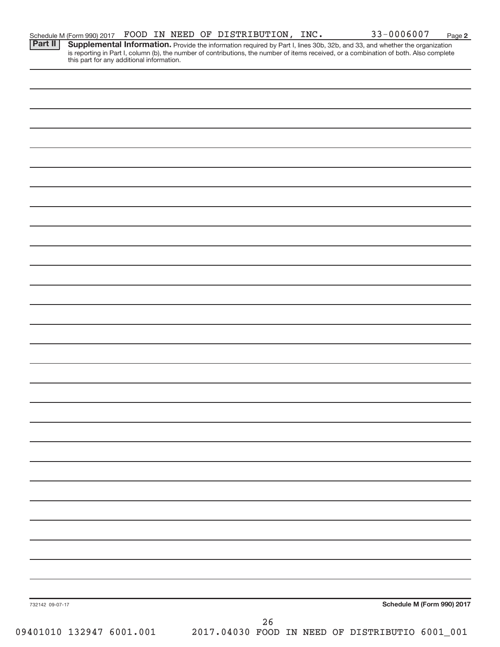| 33-0006007<br>INC.<br>FOOD IN NEED OF DISTRIBUTION,<br>Schedule M (Form 990) 2017 | Page |
|-----------------------------------------------------------------------------------|------|
|-----------------------------------------------------------------------------------|------|

Provide the information required by Part I, lines 30b, 32b, and 33, and whether the organization is reporting in Part I, column (b), the number of contributions, the number of items received, or a combination of both. Also complete this part for any additional information. **Part II Supplemental Information.** 

| 09401010 132947 6001.001 | $26$<br>2017.04030 FOOD IN NEED OF DISTRIBUTIO 6001_001 |
|--------------------------|---------------------------------------------------------|
| 732142 09-07-17          | Schedule M (Form 990) 2017                              |
|                          |                                                         |
|                          |                                                         |
|                          |                                                         |
|                          |                                                         |
|                          |                                                         |
|                          |                                                         |
|                          |                                                         |
|                          |                                                         |
|                          |                                                         |
|                          |                                                         |
|                          |                                                         |
|                          |                                                         |
|                          |                                                         |
|                          |                                                         |
|                          |                                                         |
|                          |                                                         |
|                          |                                                         |
|                          |                                                         |
|                          |                                                         |
|                          |                                                         |
|                          |                                                         |
|                          |                                                         |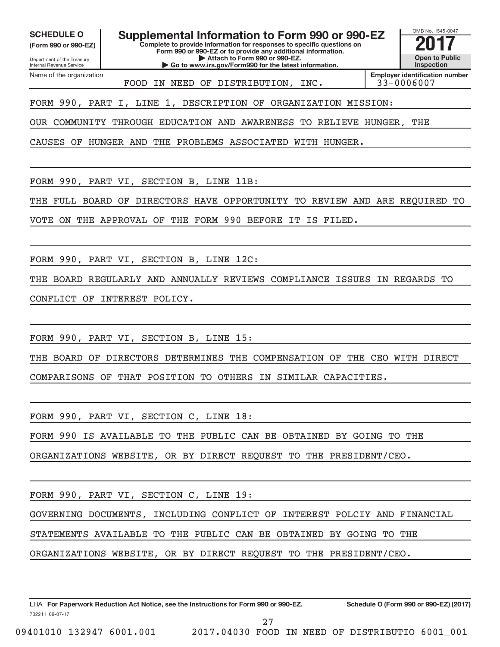Department of the Treasury **(Form 990 or 990-EZ)**

Name of the organization

Internal Revenue Service

**SCHEDULE O Supplemental Information to Form 990 or 990-EZ** <br> **Complete to provide information for responses to specific questions on** 

**Complete to provide information for responses to specific questions on Form 990 or 990-EZ or to provide any additional information.**

**| Attach to Form 990 or 990-EZ. | Go to www.irs.gov/Form990 for the latest information.**



FOOD IN NEED OF DISTRIBUTION, INC. | 33-0006007

**Employer identification number**

FORM 990, PART I, LINE 1, DESCRIPTION OF ORGANIZATION MISSION:

OUR COMMUNITY THROUGH EDUCATION AND AWARENESS TO RELIEVE HUNGER, THE

CAUSES OF HUNGER AND THE PROBLEMS ASSOCIATED WITH HUNGER.

FORM 990, PART VI, SECTION B, LINE 11B:

THE FULL BOARD OF DIRECTORS HAVE OPPORTUNITY TO REVIEW AND ARE REQUIRED TO

VOTE ON THE APPROVAL OF THE FORM 990 BEFORE IT IS FILED.

FORM 990, PART VI, SECTION B, LINE 12C:

THE BOARD REGULARLY AND ANNUALLY REVIEWS COMPLIANCE ISSUES IN REGARDS TO

CONFLICT OF INTEREST POLICY.

FORM 990, PART VI, SECTION B, LINE 15:

THE BOARD OF DIRECTORS DETERMINES THE COMPENSATION OF THE CEO WITH DIRECT

COMPARISONS OF THAT POSITION TO OTHERS IN SIMILAR CAPACITIES.

FORM 990, PART VI, SECTION C, LINE 18:

FORM 990 IS AVAILABLE TO THE PUBLIC CAN BE OBTAINED BY GOING TO THE

ORGANIZATIONS WEBSITE, OR BY DIRECT REQUEST TO THE PRESIDENT/CEO.

FORM 990, PART VI, SECTION C, LINE 19:

GOVERNING DOCUMENTS, INCLUDING CONFLICT OF INTEREST POLCIY AND FINANCIAL

STATEMENTS AVAILABLE TO THE PUBLIC CAN BE OBTAINED BY GOING TO THE

ORGANIZATIONS WEBSITE, OR BY DIRECT REQUEST TO THE PRESIDENT/CEO.

732211 09-07-17 **For Paperwork Reduction Act Notice, see the Instructions for Form 990 or 990-EZ. Schedule O (Form 990 or 990-EZ) (2017)** LHA

27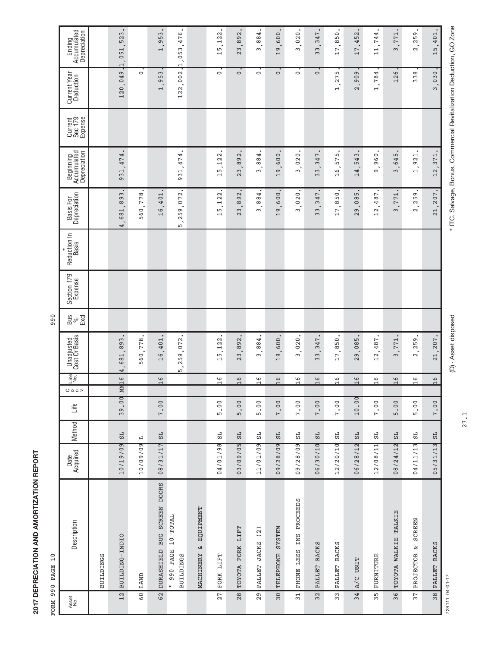| ו<br>ו                                                                                      |
|---------------------------------------------------------------------------------------------|
|                                                                                             |
|                                                                                             |
|                                                                                             |
|                                                                                             |
|                                                                                             |
|                                                                                             |
|                                                                                             |
|                                                                                             |
|                                                                                             |
|                                                                                             |
|                                                                                             |
|                                                                                             |
|                                                                                             |
|                                                                                             |
| ֧֧֧֧֧ׅ֧֧ׅ֧֧ׅ֧ׅ֧֧ׅ֧֧ׅ֧֧ׅ֧֧֧֛֪֧֛֪֧֛֪֧֛֚֚֚֚֚֚֚֚֚֚֚֚֚֚֚֚֚֚֚֚֚֚֚֚֚֚֚֚֚֚֚֚֝֝֓֝֓֜֝֓֜֓֝֬֜֜֝֬֜֝֬֜֝֬֜ |
|                                                                                             |
| ĺ                                                                                           |
|                                                                                             |
|                                                                                             |
|                                                                                             |

|                | 10<br>ORM 990 PAGE                  |                  |        |       |                               |                                         | 990                   |                        |                              |                                                               |                                                  |                               |                                                                     |                                                       |
|----------------|-------------------------------------|------------------|--------|-------|-------------------------------|-----------------------------------------|-----------------------|------------------------|------------------------------|---------------------------------------------------------------|--------------------------------------------------|-------------------------------|---------------------------------------------------------------------|-------------------------------------------------------|
| Asset<br>No.   | Description                         | Date<br>Acquired | Method | Life  | $\frac{1}{2}$<br>O O E        | <b>Unadjusted</b><br>Cost Or Basis      | $\frac{8}{3}$<br>Excl | Section 179<br>Expense | Reduction In<br><b>Basis</b> | Depreciation<br>Basis For                                     | Beginning<br>Accumulated<br>Depreciation         | Expense<br>Current<br>Sec 179 | Current Year<br>Deduction                                           | Ending<br>Accumulated<br>Depreciation                 |
|                | <b>BUILDINGS</b>                    |                  |        |       |                               |                                         |                       |                        |                              |                                                               |                                                  |                               |                                                                     |                                                       |
| 12             | BUILDING-INDIO                      | 10/19/09         | 55     | 39.00 | 6<br>MM <sub>1</sub>          | 893<br>681<br>4                         |                       |                        |                              | , 893<br>,681<br>4                                            | ,474.<br>931                                     |                               | 120,049                                                             | $\bullet$<br>523.<br>,051<br>$\overline{\phantom{0}}$ |
| 60             | LAND                                | 10/09/09         | д      |       |                               | 778<br>560                              |                       |                        |                              | 778.<br>560                                                   |                                                  |                               | $\circ$                                                             |                                                       |
| 62             | DURASHIELD BUG SCREEN DOORS         | 08/31/17         | 55     | 7.00  | 6                             | 401<br>$\frac{16}{1}$                   |                       |                        |                              | 16,401                                                        |                                                  |                               | 53<br>$\sigma$<br>$\overline{1}$                                    | $\bullet$<br>953.<br>$\overline{\phantom{0}}$         |
|                | 10 TOTAL<br>* 990 PAGE<br>BUILDINGS |                  |        |       |                               | 259,072<br>Б,                           |                       |                        |                              | , 259, 072<br>5                                               | 931, 474                                         |                               | - ه<br>122,002                                                      | 1,053,476.                                            |
|                | EQUIPMENT<br>$\infty$<br>MACHINERY  |                  |        |       |                               |                                         |                       |                        |                              |                                                               |                                                  |                               |                                                                     |                                                       |
| 27             | FORK LIFT                           | 04/01/98         | 55     | 5.00  | 6                             | , 122.<br>Г<br>$\overline{\phantom{0}}$ |                       |                        |                              | .5, 122.<br>$\overline{ }$                                    | .5, 122.<br>$\overline{\phantom{0}}$             |                               | $\circ$                                                             | .122.<br>Г<br>$\overline{ }$                          |
| 28             | FORK LIFT<br>TOYOTA                 | 03/09/05         | 55     | 5.00  | 6<br>$\overline{\phantom{0}}$ | 892<br>23                               |                       |                        |                              | 892<br>23                                                     | ,892<br>23                                       |                               | $\circ$                                                             | 892.<br>23                                            |
| 29             | (2)<br>PALLET JACKS                 | 11/01/09         | ದ      | 5.00  | 6<br>$\overline{\phantom{0}}$ | 884<br>ω                                |                       |                        |                              | 3,884.                                                        | 3,884.                                           |                               | $\circ$                                                             | , 884.<br>ω                                           |
| 30             | <b><i>LETERHONE SYSTEM</i></b>      | 09/28/09         | 55     | 7.00  | 6<br>1                        | 600<br>19                               |                       |                        |                              | .600,<br>$\sigma$<br>$\overline{ }$                           | , 600<br>$\frac{9}{1}$                           |                               | $\circ$                                                             | 19,600.                                               |
| 31             | PHONE-LESS INS PROCEEDS             | 09/28/09         | 55     | 7.00  | 6                             | , 020,<br>ω                             |                       |                        |                              | 3,020,                                                        | 3,020                                            |                               | $\circ$                                                             | 3,020.                                                |
| 32             | PALLET RACKS                        | 06/30/10         | 55     | 7.00  | 6                             | 347<br>33                               |                       |                        |                              | ,347<br>33                                                    | ,347<br>33                                       |                               | $\circ$                                                             | 347.<br>33                                            |
| 33             | PALLET RACKS                        | 12/20/10         | 55     | 7.00  | 6<br>$\overline{\phantom{0}}$ | 850<br>17                               |                       |                        |                              | ,850,<br>$\overline{\phantom{a}}$<br>$\overline{\phantom{0}}$ | ۱<br>, 57<br>$\circ$<br>$\overline{\phantom{0}}$ |                               | LŊ<br>27<br>$\overline{\phantom{0}}$                                | $\bullet$<br>50<br>$\infty$<br>17                     |
| 34             | A/C UNIT                            | 06/28/12         | 55     | 10.00 | 6                             | 085<br>29                               |                       |                        |                              | Б<br>.80 <sub>1</sub><br>29                                   | , 543<br>14                                      |                               | ,909,<br>$\mathbf{\Omega}$                                          | 17,452                                                |
| $\frac{5}{3}$  | FURNITURE                           | 12/08/11         | 55     | 7.00  | 6                             | 487<br>12                               |                       |                        |                              | 12,487                                                        | ,960<br>Ō                                        |                               | 1,784.                                                              | 11,744.                                               |
| 36             | TOYOTA WALKIE TALKIE                | 08/24/12         | 55     | 5.00  | 6<br>$\overline{\phantom{0}}$ | 771<br>$\frac{1}{2}$                    |                       |                        |                              | ,771<br>$\omega$                                              | ,645<br>$\omega$                                 |                               | 126                                                                 | 3,771.                                                |
| 37             | SCREEN<br>ىغ<br>PROJECTOR           | 04/11/13         | 55     | 5.00  | 6                             | 259<br>$\sim$                           |                       |                        |                              | , 259<br>$\mathbf{\Omega}$                                    | ,921<br>$\overline{\phantom{0}}$                 |                               | ${}^{\infty}$<br>ω<br>ω                                             | 59<br>$\sim$<br>$\sim$                                |
| $\frac{1}{38}$ | PALLET RACKS                        | 05/31/13         | 55     | 7.00  | $\frac{9}{16}$                | 207<br>21                               |                       |                        |                              | 207<br>21                                                     | 371<br>12 <sub>1</sub>                           |                               | 030<br>$\infty$                                                     | 401.<br>LŊ<br>$\overline{ }$                          |
| 71-10-40 11182 |                                     |                  |        |       |                               | (D) - Asset disposed                    |                       |                        |                              |                                                               |                                                  |                               | * ITC, Salvage, Bonus, Commercial Revitalization Deduction, GO Zone |                                                       |

27.1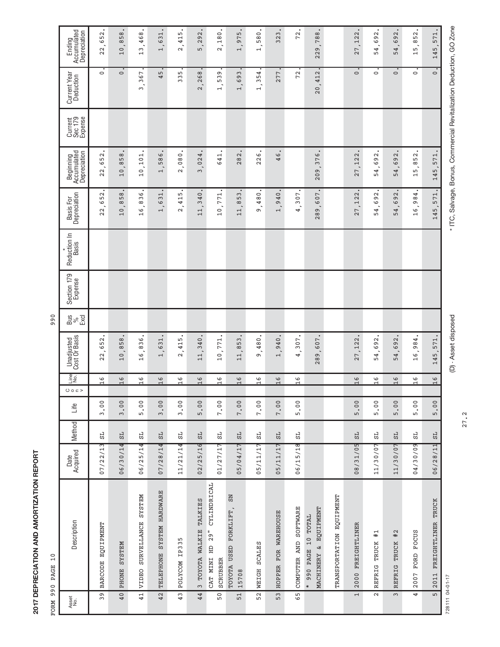| Ì           |  |
|-------------|--|
| J<br>I      |  |
| j<br>ĺ<br>I |  |
| I           |  |

990

|                                          | 652.                                                    | 58<br>${}^{\circ}$                | ,468.                                        | 631                               | Ь٦<br>$\overline{41}$                                    | 292.                              | 2,180.                                                     | 5<br>97                                       | 1,580.                                                      | 23<br>$\infty$                           | 72.                           | 788                                                     |                          | 27,122                   | $\sim$                   | $\mathbf{\Omega}$<br>69      | $\mathbf{\Omega}$<br>Б<br>${}^{\circ}$                      | 571                           |                                                                     |
|------------------------------------------|---------------------------------------------------------|-----------------------------------|----------------------------------------------|-----------------------------------|----------------------------------------------------------|-----------------------------------|------------------------------------------------------------|-----------------------------------------------|-------------------------------------------------------------|------------------------------------------|-------------------------------|---------------------------------------------------------|--------------------------|--------------------------|--------------------------|------------------------------|-------------------------------------------------------------|-------------------------------|---------------------------------------------------------------------|
| Ending<br>Accumulated<br>Depreciation    | 22                                                      | 10                                | 13                                           | $\vdash$                          | $\sim$                                                   | Б                                 |                                                            | $\overline{\phantom{0}}$                      |                                                             |                                          |                               | 229                                                     |                          |                          | 54,69                    | 54                           | Б<br>1                                                      | 45<br>1                       |                                                                     |
| Current Year<br>Deduction                | $\circ$                                                 | $\circ$                           | ,367<br>$\sim$                               | 5<br>4                            | LN.<br>ξ<br>$\infty$                                     | 268<br>$\mathbf{\Omega}$          | G<br>ω<br>5<br>$\overline{\phantom{0}}$                    | ω<br>69<br>$\overline{\phantom{0}}$           | 4<br>Г<br>$\tilde{\mathcal{E}}$<br>$\overline{\phantom{0}}$ | 77<br>$\mathbf{\Omega}$                  | 72                            | ,412<br>20                                              |                          | $\circ$                  | $\circ$                  | $\circ$                      | $\circ$                                                     | $\circ$                       |                                                                     |
| Current<br>Sec 179<br>Expense            |                                                         |                                   |                                              |                                   |                                                          |                                   |                                                            |                                               |                                                             |                                          |                               |                                                         |                          |                          |                          |                              |                                                             |                               |                                                                     |
| Beginning<br>Accumulated<br>Depreciation | 22,652                                                  | 858<br>$\circ$<br>$\overline{ }$  | 10,101                                       | , 586<br>$\overline{\phantom{0}}$ | , 080,<br>$\sim$                                         | , 024<br>$\infty$                 | 641                                                        | 282                                           | 226                                                         | 46                                       |                               | , 376<br>209                                            |                          | 27, 122                  | ,692<br>54               | ,692<br>4<br>5               | 852<br>ιη<br>$\overline{\phantom{0}}$                       | 571<br>145                    |                                                                     |
| Basis For<br>Depreciation                | $\mathbf{\Omega}$<br>,65<br>$\sim$<br>$\mathbf{\Omega}$ | ,858<br>$\circ$<br>$\overline{a}$ | ,836,<br>$\circ$<br>$\overline{\phantom{0}}$ | 631<br>$\overline{\phantom{0}}$   | Г<br>$\frac{1}{4}$<br>$\overline{\phantom{a}}$<br>$\sim$ | , 340<br>11                       | 10,771                                                     | , 853<br>$\overline{11}$                      | ,480.<br>G                                                  | ,940<br>$\overline{ }$                   | 307<br>4                      | ,607<br>289                                             |                          | , 122<br>27              | , 692,<br>54             | 2<br>$\frac{6}{9}$<br>4<br>5 | 4<br>$\overline{98}$<br>$\circ$<br>$\overline{\phantom{0}}$ | 571<br>LN<br>14               | * ITC, Salvage, Bonus, Commercial Revitalization Deduction, GO Zone |
| Reduction In<br><b>Basis</b>             |                                                         |                                   |                                              |                                   |                                                          |                                   |                                                            |                                               |                                                             |                                          |                               |                                                         |                          |                          |                          |                              |                                                             |                               |                                                                     |
| Section 179<br>Expense                   |                                                         |                                   |                                              |                                   |                                                          |                                   |                                                            |                                               |                                                             |                                          |                               |                                                         |                          |                          |                          |                              |                                                             |                               |                                                                     |
| $\frac{9}{8}$<br>Excl                    |                                                         |                                   |                                              |                                   |                                                          |                                   |                                                            |                                               |                                                             |                                          |                               |                                                         |                          |                          |                          |                              |                                                             |                               |                                                                     |
| Cost Or Basis<br>Unadjusted              | 652<br>22                                               | 858<br>$\circ$<br>$\overline{a}$  | 836<br>6<br>$\overline{ }$                   | 631<br>$\overline{a}$             | 415<br>$\sim$                                            | 340<br>11                         | 10,771                                                     | 853<br>11                                     | 480<br>c                                                    | 940<br>$\overline{ }$                    | 307<br>4                      | 607<br>289                                              |                          | , 122<br>27              | 692<br>54                | 692<br>54                    | 4<br>$\frac{8}{9}$<br>6<br>$\overline{\phantom{0}}$         | 571<br>145                    | (D) - Asset disposed                                                |
| Line<br>No.<br>0022                      | 6                                                       | 6<br>$\overline{\phantom{0}}$     | $\circ$                                      | 6                                 | 6<br>$\overline{\phantom{0}}$                            | 6                                 | $\circ$                                                    | 6<br>$\overline{\phantom{0}}$                 | $\circ$<br>$\overline{\phantom{0}}$                         | $\circ$                                  | 6<br>$\overline{\phantom{0}}$ |                                                         |                          | $\circ$                  | G                        | 6                            | 6                                                           | 6<br>$\overline{\phantom{0}}$ |                                                                     |
| Life                                     | 3.00                                                    | 3.00                              | 5.00                                         | 3.00                              | 3.00                                                     | 5.00                              | 7.00                                                       | 7.00                                          | 7.00                                                        | 7.00                                     | 5.00                          |                                                         |                          | 5.00                     | 5.00                     | 5.00                         | 5.00                                                        | 5.00                          |                                                                     |
| <b>Method</b>                            | 55                                                      | 55                                | 55                                           | 55                                | ದ                                                        | 5L                                | 55                                                         | 55                                            | 55                                                          | 55                                       | ದ                             |                                                         |                          | 55                       | 55                       | 55                           | 55                                                          | 55                            |                                                                     |
| Date<br>Acquired                         | 07/22/13                                                | 06/30/14                          | 06/25/14                                     | 07/28/14                          | 11/21/14                                                 | 02/25/16                          | 01/27/17                                                   | 05/04/17                                      | 05/11/17                                                    | 05/11/17                                 | 06/15/18                      |                                                         |                          | 08/31/05                 | 11/30/07                 | 11/30/07                     | 04/30/09                                                    | 06/28/11                      |                                                                     |
| Description                              | BARCODE EQUIPMENT                                       | <b>NHLSAS</b><br>PHONE            | SURVELLANCE SYSTEM<br>VIDEO                  | SYSTEM HARDWARE<br>TELEPHONE      | IP335<br><b>NODATOE</b>                                  | TOYOTA WALKIE TALKIES<br>$\omega$ | CYLINDRICAL<br>$29^{11}$<br>CAT MINI HD<br><b>SCRUBBER</b> | $_{\rm NS}$<br>TOYOTA USED FORKLIFT,<br>15708 | <b>SCALES</b><br><b>WEIGH</b>                               | <b>WAREHOUSE</b><br>FOR<br><b>HOPPER</b> | COMPUTER AND SOFTWARE         | & EQUIPMENT<br>990 PAGE 10 TOTAL<br>MACHINERY<br>$\ast$ | TRANSPORTATION EQUIPMENT | 2000 FREIGHTLINER        | $\pm$<br>TRUCK<br>REFRIG | #2<br><b>TRUCK</b><br>REFRIG | <b>FOCUS</b><br>FORD<br>2007                                | FREIGHTLINER TRUCK<br>2011    |                                                                     |
| Asset<br>No.                             | 39                                                      | 40                                | 41                                           | 42                                | 43                                                       | 44                                | 50                                                         | 51                                            | 52                                                          | 53                                       | 65                            |                                                         |                          | $\overline{\phantom{0}}$ | $\sim$                   | $\infty$                     | 4                                                           | $\overline{5}$                | 728111 04-01-17                                                     |

27.2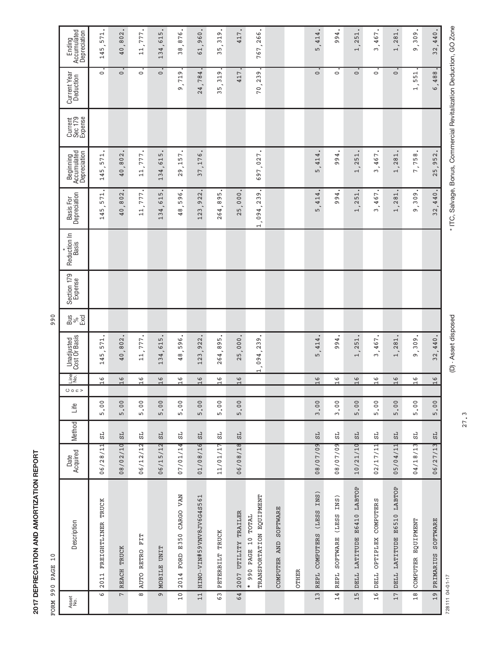| I           |  |
|-------------|--|
| J           |  |
| I<br>j<br>l |  |
|             |  |

|                 | 10<br>FORM 990 PAGE                                           |                  |           |      |                               |                                 | 990              |                        |                              |                                             |                                          |                               |                                       |                                                                     |
|-----------------|---------------------------------------------------------------|------------------|-----------|------|-------------------------------|---------------------------------|------------------|------------------------|------------------------------|---------------------------------------------|------------------------------------------|-------------------------------|---------------------------------------|---------------------------------------------------------------------|
| Asset<br>No.    | Description                                                   | Date<br>Acquired | Method    | Life | $\frac{1}{2}$<br>O O E        | Cost Or Basis<br>Unadjusted     | Bus<br>%<br>Excl | Section 179<br>Expense | Reduction In<br><b>Basis</b> | Depreciation<br>Basis For                   | Beginning<br>Accumulated<br>Depreciation | Expense<br>Current<br>Sec 179 | Current Year<br>Deduction             | Ending<br>Accumulated<br>Depreciation                               |
| $\circ$         | FREIGHTLINER TRUCK<br>2011                                    | 06/28/11         | 딙         | 5.00 | 6<br>$\overline{\phantom{0}}$ | 571<br>145,                     |                  |                        |                              | 145,571                                     | 145,571                                  |                               | $\circ$                               | 571.<br>145                                                         |
| $\overline{a}$  | TRUCK<br><b>REACH</b>                                         | 08/02/10         | 55        | 5.00 | 6                             | 802<br>40                       |                  |                        |                              | ,802<br>40                                  | ,802<br>40                               |                               | $\circ$                               | $\mathbf{\sim}$<br>, 80<br>40                                       |
| $\infty$        | FIT<br>RETRO<br><b>AUTO</b>                                   | 06/12/12         | ದ         | 5.00 | 6<br>$\overline{\phantom{0}}$ | 777<br>11,                      |                  |                        |                              | 777<br>$\overline{\phantom{a}}$<br>11       | 11,777                                   |                               | $\circ$                               | 777.<br>11,                                                         |
| $\sigma$        | MOBILE UNIT                                                   | 06/15/12         | 55        | 5.00 | $\circ$<br>1                  | 615<br>134,                     |                  |                        |                              | Б<br>, 61<br>34<br>$\overline{\phantom{0}}$ | ,615<br>134                              |                               | $\circ$                               | LN.<br><b>61</b><br>134                                             |
| 10              | CARGO VAN<br>2014 FORD E350                                   | 07/01/14         | 55        | 5.00 | G<br>$\overline{\phantom{0}}$ | 596<br>48                       |                  |                        |                              | ,596.<br>${}^{\infty}$<br>4                 | , 157<br>თ<br>$\sim$                     |                               | Ō<br>9, 71                            | 38,876.                                                             |
| 11              | HINO-VIN#59VNV8JV6G4S561                                      | 01/08/16         | <b>HS</b> | 5.00 | 6                             | 922<br>123                      |                  |                        |                              | .922.<br>123                                | 37,176                                   |                               | 24,784                                | 61,960.                                                             |
| $\mathbf{c}_9$  | TRUCK<br>PETERBILT                                            | 11/01/17         | 55        | 5.00 | 6                             | ъ<br>$\frac{9}{8}$<br>264       |                  |                        |                              | LN.<br>, 89<br>264                          |                                          |                               | G<br>$\overline{31}$<br>35            | G<br>, 31<br>35                                                     |
| 64              | 2007 UTILITY TRAILER                                          | 06/08/18         | 55        | 5.00 | 6<br>$\overline{\phantom{0}}$ | 000<br>25                       |                  |                        |                              | ,000.<br>25                                 |                                          |                               | 417                                   | 417.                                                                |
|                 | TRANSPORTATION EQUIPMENT<br>10 TOTAL<br>PAGE<br>990<br>$\ast$ |                  |           |      |                               | ,094,239                        |                  |                        |                              | ,094,239.<br>$\overline{ }$                 | 697,027.                                 |                               | Ō<br>70,239                           | 767,266.                                                            |
|                 | COMPUTER AND SOFTWARE                                         |                  |           |      |                               |                                 |                  |                        |                              |                                             |                                          |                               |                                       |                                                                     |
|                 | <b>OTHER</b>                                                  |                  |           |      |                               |                                 |                  |                        |                              |                                             |                                          |                               |                                       |                                                                     |
| 13              | INS)<br>COMPUTERS (LESS<br>REPL                               | 08/07/09         | 55        | 3.00 | 6                             | 414<br>Б                        |                  |                        |                              | , 414<br>LN                                 | , 414<br>LN                              |                               | $\circ$                               | ,414.<br>ъ                                                          |
| 14              | INS)<br>(LESS)<br>SOFTWARE<br>REPL                            | 08/07/09         | ದ         | 3.00 | 6                             | 994                             |                  |                        |                              | 994                                         | 4<br>ā                                   |                               | $\circ$                               | 94<br>$\sigma$                                                      |
| 15              | LATITUDE E6410 LABTOP<br>DELL                                 | 10/21/10         | 55        | 5.00 | 6                             | 251<br>$\overline{\phantom{0}}$ |                  |                        |                              | , 251<br>$\overline{\phantom{0}}$           | , 251<br>$\overline{\phantom{0}}$        |                               | $\circ$                               | 1,251.                                                              |
| 16              | DELL OPTIPLEX COMPUTERS                                       | 02/17/11         | 55        | 5.00 | 6                             | 467<br>ω                        |                  |                        |                              | , 467<br>ω                                  | , 467<br>ω                               |                               | $\circ$                               | 3,467.                                                              |
| 17              | E6510 LABTOP<br>LATITUDE<br>DELL                              | 05/04/11         | 55        | 5.00 | 6                             | 1,281.                          |                  |                        |                              | 1,281                                       | 1,281                                    |                               | $\circ$                               | 1,281.                                                              |
| 18              | <b>EQUIPMENT</b><br>COMPUTER                                  | 04/18/13         | ದ         | 5.00 | 6                             | 309<br>G                        |                  |                        |                              | ,309<br>Ō                                   | 7,758                                    |                               | 51<br>in.<br>$\overline{\phantom{0}}$ | , 309.<br>Ō                                                         |
| 19              | SOFTWARE<br>PRIMARIUS                                         | 06/27/13         | 55        | 5.00 | $\frac{9}{16}$                | 440.<br>32                      |                  |                        |                              | 440.<br>32                                  | 952<br>25                                |                               | 488.<br>$\circ$                       | 440.<br>32,                                                         |
| 728111 04-01-17 |                                                               |                  |           |      |                               | (D) - Asset disposed            |                  |                        |                              |                                             |                                          |                               |                                       | * ITC, Salvage, Bonus, Commercial Revitalization Deduction, GO Zone |

27.3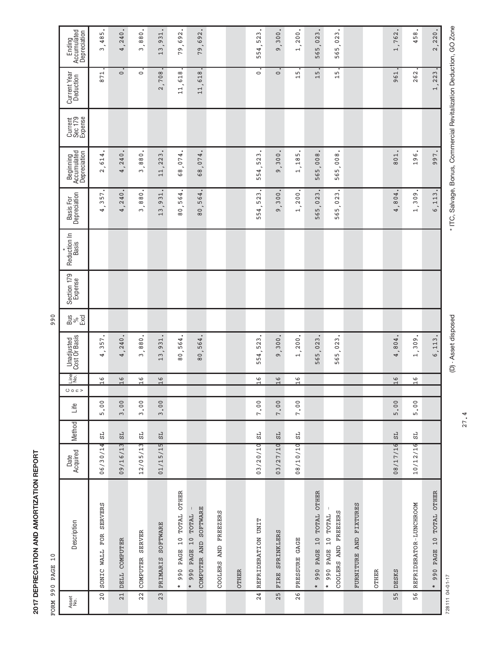| I<br>i      |  |
|-------------|--|
|             |  |
| ı<br>I<br>ı |  |
| I           |  |

|                 | 10<br>PAGE 066 NROW                               |                  |        |      |                               |                                 | 990                   |                        |                              |                                    |                                          |                               |                                 |                                                                     |
|-----------------|---------------------------------------------------|------------------|--------|------|-------------------------------|---------------------------------|-----------------------|------------------------|------------------------------|------------------------------------|------------------------------------------|-------------------------------|---------------------------------|---------------------------------------------------------------------|
| Asset<br>No.    | Description                                       | Date<br>Acquired | Method | Life | $rac{1}{2}$<br>O O E          | Cost Or Basis<br>Unadjusted     | $\frac{8}{3}$<br>Excl | Section 179<br>Expense | Reduction In<br><b>Basis</b> | Depreciation<br>Basis For          | Beginning<br>Accumulated<br>Depreciation | Expense<br>Current<br>Sec 179 | Current Year<br>Deduction       | Ending<br>Accumulated<br>Depreciation                               |
| 20              | FOR SERVERS<br>WALL<br>SONIC                      | 06/30/14         | 딙      | 5.00 | 6<br>$\overline{\phantom{0}}$ | 357<br>4                        |                       |                        |                              | , 357<br>4                         | 2,614.                                   |                               | 871                             | ,485.<br>ω                                                          |
| 21              | COMPUTER<br>DELL                                  | 09/16/13         | 55     | 3.00 | 6                             | 240<br>4                        |                       |                        |                              | ,240<br>4                          | ,240<br>4                                |                               | $\circ$                         | , 240.<br>4                                                         |
| 22              | <b>SERVER</b><br>COMPUTER                         | 12/05/13         | ದ      | 3.00 | 6<br>$\overline{\phantom{0}}$ | 880<br>ω                        |                       |                        |                              | ,880,<br>ω                         | ,880,<br>ω                               |                               | $\circ$                         | ,880,<br>ω                                                          |
| 23              | PRIMARIS SOFTWARE                                 | 01/15/15         | 55     | 3.00 | 6                             | 931<br>13                       |                       |                        |                              | ,931<br>13                         | 11, 223                                  |                               | 2,708.                          | $\bullet$<br>,931<br>13                                             |
|                 | 990 PAGE 10 TOTAL OTHER<br>$\ast$                 |                  |        |      |                               | 564<br>80                       |                       |                        |                              | 80,564                             | 68,074                                   |                               | ${}^{\circ}$<br>11,61           | 79,692.                                                             |
|                 | COMPUTER AND SOFTWARE<br>L<br>* 990 PAGE 10 TOTAL |                  |        |      |                               | 80,564                          |                       |                        |                              | 80,564.                            | 68,074                                   |                               | 11,618                          | 79,692.                                                             |
|                 | COOLERS AND FREEZERS                              |                  |        |      |                               |                                 |                       |                        |                              |                                    |                                          |                               |                                 |                                                                     |
|                 | <b>OTHER</b>                                      |                  |        |      |                               |                                 |                       |                        |                              |                                    |                                          |                               |                                 |                                                                     |
| 24              | REFRIDERATION UNIT                                | 03/20/10         | 55     | 7.00 | 6                             | 54,523<br>ъ                     |                       |                        |                              | 54,523<br>5                        | 54,523<br>5                              |                               | $\circ$                         | 523.<br>54<br>5                                                     |
| $\frac{1}{25}$  | FIRE SPRINKLERS                                   | 03/27/10         | 55     | 7.00 | 6                             | 300<br>o                        |                       |                        |                              | , 300.<br>o                        | , 300.<br>o                              |                               | $\circ$                         | 9,300.                                                              |
| 26              | PRESSURE GAGE                                     | 08/10/10         | ස්     | 7.00 | $\frac{6}{1}$                 | 1,200                           |                       |                        |                              | 1,200,                             | 1,185,                                   |                               | 15                              | 1,200.                                                              |
|                 | 990 PAGE 10 TOTAL OTHER<br>$\ast$                 |                  |        |      |                               | 565,023                         |                       |                        |                              | ,023<br>565                        | 008<br>565                               |                               | LŊ<br>$\overline{ }$            | .023.<br>565                                                        |
|                 | COOLERS AND FREEZERS<br>* 990 PAGE 10 TOTAL       |                  |        |      |                               | 565,023                         |                       |                        |                              | 565,023.                           | 565,008                                  |                               | LN.<br>$\overline{ }$           | $\bullet$<br>, 023.<br>565                                          |
|                 | FURNITURE AND FIXTURES                            |                  |        |      |                               |                                 |                       |                        |                              |                                    |                                          |                               |                                 |                                                                     |
|                 | <b>OTHER</b>                                      |                  |        |      |                               |                                 |                       |                        |                              |                                    |                                          |                               |                                 |                                                                     |
| 55              | DESKS                                             | 08/17/16         | 55     | 5.00 | 6<br>$\overline{\phantom{0}}$ | 4,804.                          |                       |                        |                              | 4,804.                             | 801                                      |                               | 961                             | 1,762.                                                              |
| 56              | REFRIDERATOR-LUNCHROOM                            | 10/12/16         | 55     | 5.00 | 6                             | 309<br>$\overline{\phantom{0}}$ |                       |                        |                              | , 309.<br>$\overline{\phantom{0}}$ | 6<br>$\overline{c}$                      |                               | 262                             | 58<br>4                                                             |
|                 | TOTAL OTHER<br>10<br>PAGE<br>990<br>$\ast$        |                  |        |      |                               | 113<br>$\circ$                  |                       |                        |                              | 113<br>$\circ$                     | 997                                      |                               | 223<br>$\overline{\phantom{0}}$ | 220.<br>$\mathbf{\Omega}$                                           |
| 728111 04-01-17 |                                                   |                  |        |      |                               | (D) - Asset disposed            |                       |                        |                              |                                    |                                          |                               |                                 | * ITC, Salvage, Bonus, Commercial Revitalization Deduction, GO Zone |

(D) - Asset disposed \* ITC, Salvage, Bonus, Commercial Revitalization Deduction, GO Zone (D) - Asset disposed

27.4

728111 04-01-17 728111 04-01-17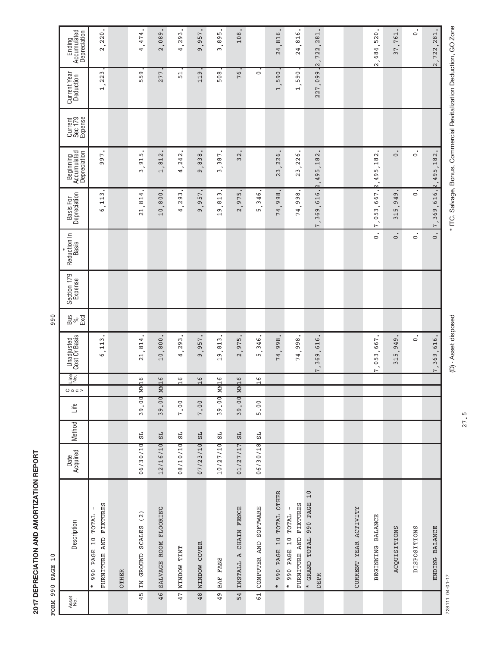|                | 10<br>ORM 990 PAGE                                    |                  |        |       |                               |                                                   | 990                   |                        |                              |                                              |                                                                     |                               |                                    |                                                |
|----------------|-------------------------------------------------------|------------------|--------|-------|-------------------------------|---------------------------------------------------|-----------------------|------------------------|------------------------------|----------------------------------------------|---------------------------------------------------------------------|-------------------------------|------------------------------------|------------------------------------------------|
| Asset<br>No.   | Description                                           | Date<br>Acquired | Method | Life  | O O E                         | <b>Unadjusted</b><br>Cost Or Basis<br>$rac{1}{2}$ | $\frac{8}{3}$<br>Excl | Section 179<br>Expense | Reduction In<br><b>Basis</b> | Basis For<br>Depreciation                    | Beginning<br>Accumulated<br>Depreciation                            | Expense<br>Current<br>Sec 179 | Current Year<br>Deduction          | Ending<br>Accumulated<br>Depreciation          |
|                | FURNITURE AND FIXTURES<br>990 PAGE 10 TOTAL<br>$\ast$ |                  |        |       |                               | 6, 113.                                           |                       |                        |                              | 6, 113.                                      | 997.                                                                |                               | , 223.<br>$\overline{\phantom{0}}$ | 2,220.                                         |
|                | <b>OTHER</b>                                          |                  |        |       |                               |                                                   |                       |                        |                              |                                              |                                                                     |                               |                                    |                                                |
| 45             | (2)<br>SCALES<br>IN GROUND                            | 06/30/10         | 55     | 39.00 | MM16                          | 814<br>21                                         |                       |                        |                              | , 814.<br>21                                 | 915<br>$\overline{\phantom{a}}$<br>ω                                |                               | 59<br>5                            | 474.<br>$\ddot{\phantom{0}}$<br>4              |
| 46             | SALVAGE ROOM FLOORING                                 | 12/16/10         | 55     | 39.00 | MM <sub>16</sub>              | ,800,<br>10                                       |                       |                        |                              | 10,800                                       | 1,812.                                                              |                               | 277                                | $\bullet$<br>2,089.                            |
| 47             | WINDOW TINT                                           | 08/10/10         | 55     | 7.00  | $\frac{9}{1}$                 | 293<br>$\frac{1}{4}$                              |                       |                        |                              | , 293<br>4                                   | 4,242                                                               |                               | 51                                 | 4, 293.                                        |
| $\frac{48}{ }$ | WINDOW COVER                                          | 07/23/10         | 55     | 7.00  | 6                             | 957<br>$\sigma$                                   |                       |                        |                              | ,957<br>G                                    | ,838<br>ഗ                                                           |                               | 119                                | ,957.<br>o                                     |
| 49             | BAF FANS                                              | 10/27/10         | 55     | 39.00 | 6<br>MM <sub>1</sub>          | $\overline{a}$<br>G<br>$\overline{\phantom{0}}$   | ω                     |                        |                              | ω<br>, 81<br>$\sigma$<br>$\overline{ }$      | ,387<br>ω                                                           |                               | ${}^{\circ}$<br>50                 | LN.<br>G<br>$\infty$<br>ω                      |
| 54             | CHAIN FENCE<br>$\vec{A}$<br>INSTALL                   | 01/27/17         | 55     | 39.00 | MM <sub>16</sub>              | 975<br>$\sim$                                     |                       |                        |                              | 975<br>$\mathbf{\Omega}$                     | 32                                                                  |                               | 76                                 | 108.                                           |
| 61             | COMPUTER AND SOFTWARE                                 | 06/30/18         | 55     | 5.00  | 6<br>$\overline{\phantom{0}}$ | 346<br>5                                          |                       |                        |                              | 5,346.                                       |                                                                     |                               | $\circ$                            |                                                |
|                | * 990 PAGE 10 TOTAL OTHER                             |                  |        |       |                               | 998<br>74                                         |                       |                        |                              | ,998<br>74                                   | 23, 226                                                             |                               | 590.<br>$\overline{\phantom{0}}$   | 24,816.                                        |
|                | FURNITURE AND FIXTURES<br>* 990 PAGE 10 TOTAL         |                  |        |       |                               | 998<br>74,                                        |                       |                        |                              | 74,998                                       | 23, 226                                                             |                               | 1,590.                             | 24,816.                                        |
|                | * GRAND TOTAL 990 PAGE 10<br><b>DEPR</b>              |                  |        |       |                               | 616<br>7,369                                      |                       |                        |                              | $\bullet$<br>,616<br>, 369<br>$\overline{ }$ | ,182<br>, 495                                                       |                               | $\bullet$<br>,099.<br>227          | $\bullet$<br>,281<br>,722<br>$\mathbf{\Omega}$ |
|                |                                                       |                  |        |       |                               |                                                   |                       |                        |                              |                                              |                                                                     |                               |                                    |                                                |
|                | CURRENT YEAR ACTIVITY                                 |                  |        |       |                               |                                                   |                       |                        |                              |                                              |                                                                     |                               |                                    |                                                |
|                | BEGINNING BALANCE                                     |                  |        |       |                               | 667<br>$\overline{\phantom{a}}$<br>7,053,         |                       |                        | $\bullet$<br>$\circ$         | $\bullet$<br>,053,667<br>$\overline{ }$      | $\sim$<br>,495,18                                                   |                               |                                    | ,520.<br>2,684                                 |
|                | <b>ACQUISITIONS</b>                                   |                  |        |       |                               | 949<br>315                                        |                       |                        | $\bullet$<br>$\circ$         | ,949<br>315                                  | $\ddot{\circ}$                                                      |                               |                                    | 37,761                                         |
|                | <b>DISPOSITIONS</b>                                   |                  |        |       |                               |                                                   | $\circ$               |                        | $\circ$                      | $\dot{\circ}$                                | $\circ$                                                             |                               |                                    | $\dot{\circ}$                                  |
|                | ENDING BALANCE                                        |                  |        |       |                               | 616.<br>369<br>$\overline{ }$                     |                       |                        | $\circ$                      | 616.<br>369<br>$\overline{ }$                | 182<br>495                                                          |                               |                                    | 281.<br>722<br>$\mathbf{\Omega}$               |
| 28111 04-01-17 |                                                       |                  |        |       |                               | (D) - Asset disposed                              |                       |                        |                              |                                              | * ITC, Salvage, Bonus, Commercial Revitalization Deduction, GO Zone |                               |                                    |                                                |

(D) - Asset disposed \* ITC, Salvage, Bonus, Commercial Revitalization Deduction, GO Zone (D) - Asset disposed

27.5

728111 04-01-17 728111 04-01-17